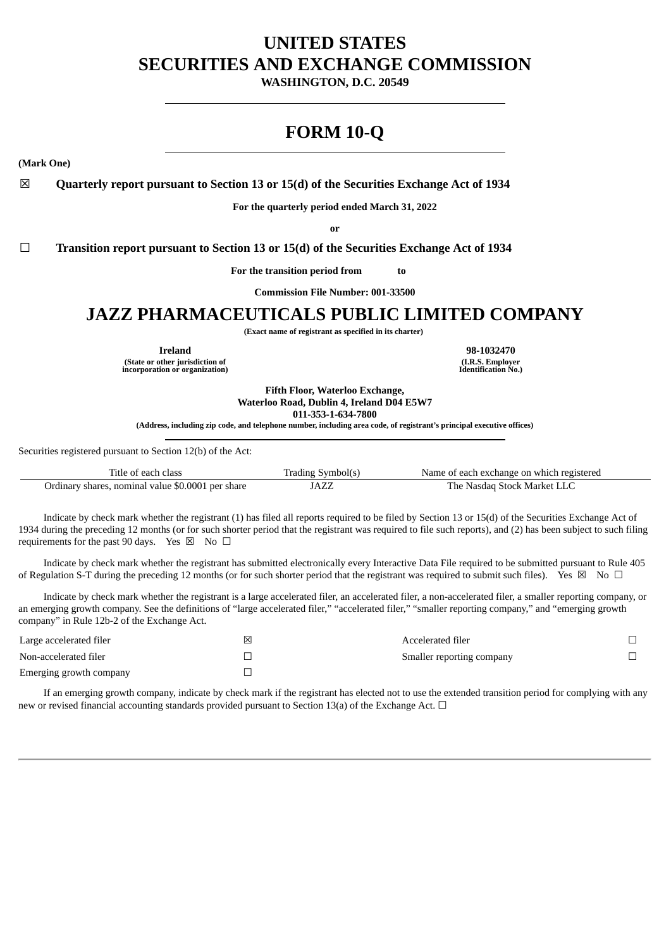# **UNITED STATES SECURITIES AND EXCHANGE COMMISSION**

**WASHINGTON, D.C. 20549**

# **FORM 10-Q**

**(Mark One)**

☒ **Quarterly report pursuant to Section 13 or 15(d) of the Securities Exchange Act of 1934**

**For the quarterly period ended March 31, 2022**

**or**

☐ **Transition report pursuant to Section 13 or 15(d) of the Securities Exchange Act of 1934**

**For the transition period from to**

**Commission File Number: 001-33500**

# **JAZZ PHARMACEUTICALS PUBLIC LIMITED COMPANY**

**(Exact name of registrant as specified in its charter)**

**(State or other jurisdiction of incorporation or organization)**

**Ireland 98-1032470 (I.R.S. Employer Identification No.)**

**Fifth Floor, Waterloo Exchange,**

**Waterloo Road, Dublin 4, Ireland D04 E5W7**

**011-353-1-634-7800**

**(Address, including zip code, and telephone number, including area code, of registrant's principal executive offices)**

Securities registered pursuant to Section 12(b) of the Act:

| Title of each class                               | [rading Svmbol(s) | Name of each exchange on which registered |
|---------------------------------------------------|-------------------|-------------------------------------------|
| Ordinary shares, nominal value \$0,0001 per share | IAZZ              | The Nasdag Stock Market LLC               |

Indicate by check mark whether the registrant (1) has filed all reports required to be filed by Section 13 or 15(d) of the Securities Exchange Act of 1934 during the preceding 12 months (or for such shorter period that the registrant was required to file such reports), and (2) has been subject to such filing requirements for the past 90 days. Yes  $\boxtimes$  No  $\Box$ 

Indicate by check mark whether the registrant has submitted electronically every Interactive Data File required to be submitted pursuant to Rule 405 of Regulation S-T during the preceding 12 months (or for such shorter period that the registrant was required to submit such files). Yes  $\boxtimes$  No  $\Box$ 

Indicate by check mark whether the registrant is a large accelerated filer, an accelerated filer, a non-accelerated filer, a smaller reporting company, or an emerging growth company. See the definitions of "large accelerated filer," "accelerated filer," "smaller reporting company," and "emerging growth company" in Rule 12b-2 of the Exchange Act.

| Large accelerated filer | 冈 | Accelerated filer         |  |
|-------------------------|---|---------------------------|--|
| Non-accelerated filer   |   | Smaller reporting company |  |
| Emerging growth company |   |                           |  |

If an emerging growth company, indicate by check mark if the registrant has elected not to use the extended transition period for complying with any new or revised financial accounting standards provided pursuant to Section 13(a) of the Exchange Act.  $\Box$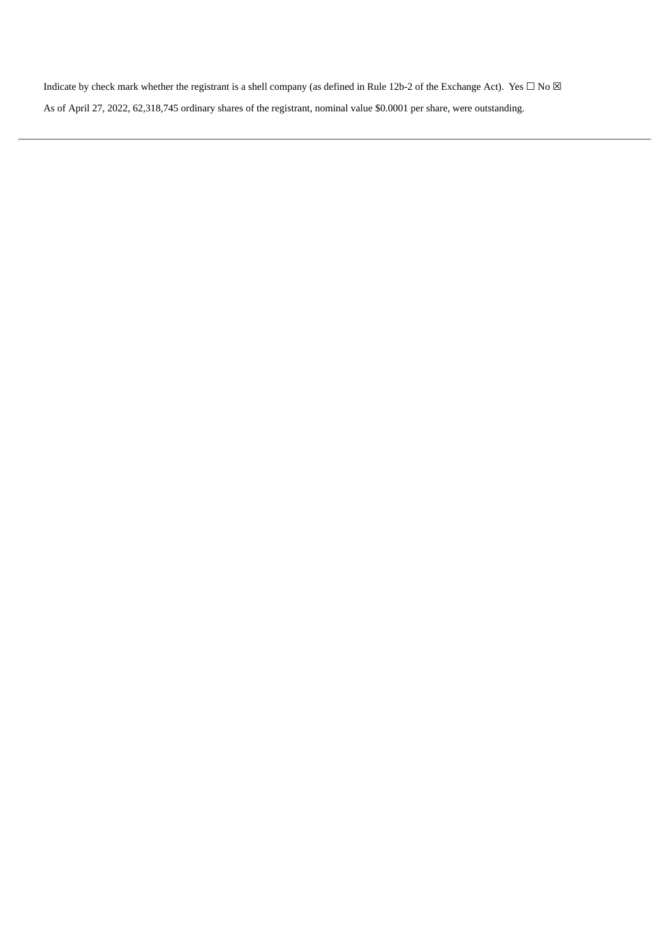<span id="page-1-0"></span>Indicate by check mark whether the registrant is a shell company (as defined in Rule 12b-2 of the Exchange Act). Yes  $\Box$  No  $\boxtimes$ As of April 27, 2022, 62,318,745 ordinary shares of the registrant, nominal value \$0.0001 per share, were outstanding.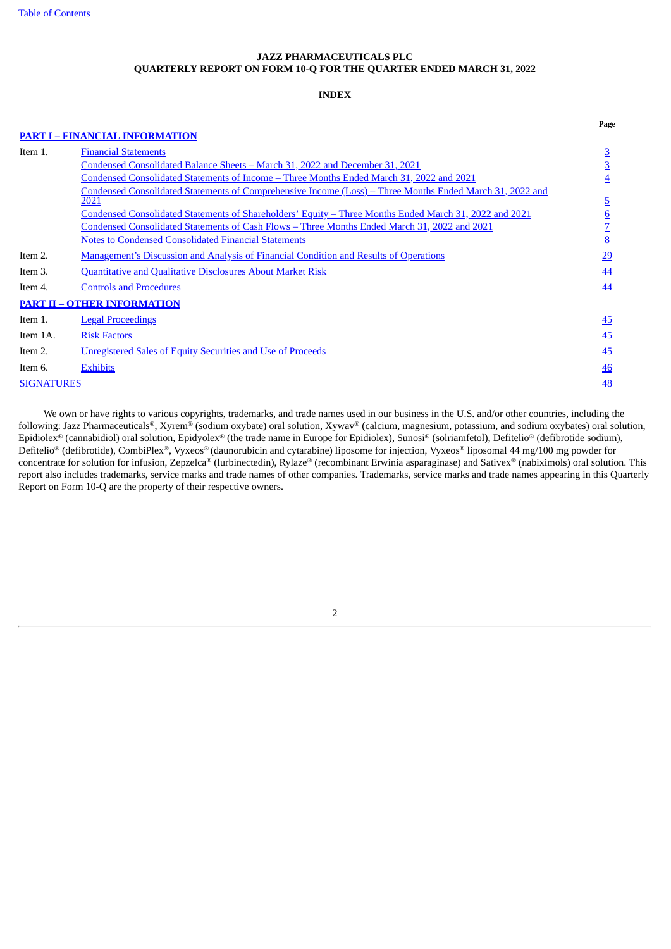# **JAZZ PHARMACEUTICALS PLC QUARTERLY REPORT ON FORM 10-Q FOR THE QUARTER ENDED MARCH 31, 2022**

# **INDEX**

|                   |                                                                                                          | Page             |
|-------------------|----------------------------------------------------------------------------------------------------------|------------------|
|                   | <b>PART I - FINANCIAL INFORMATION</b>                                                                    |                  |
| Item 1.           | <b>Financial Statements</b>                                                                              | $\overline{3}$   |
|                   | Condensed Consolidated Balance Sheets - March 31, 2022 and December 31, 2021                             | $\overline{3}$   |
|                   | Condensed Consolidated Statements of Income - Three Months Ended March 31, 2022 and 2021                 | <u>4</u>         |
|                   | Condensed Consolidated Statements of Comprehensive Income (Loss) - Three Months Ended March 31, 2022 and |                  |
|                   | 2021                                                                                                     | $\overline{5}$   |
|                   | Condensed Consolidated Statements of Shareholders' Equity - Three Months Ended March 31, 2022 and 2021   | $6 \overline{6}$ |
|                   | Condensed Consolidated Statements of Cash Flows - Three Months Ended March 31, 2022 and 2021             | $\overline{Z}$   |
|                   | <b>Notes to Condensed Consolidated Financial Statements</b>                                              | $\underline{8}$  |
| Item 2.           | <b>Management's Discussion and Analysis of Financial Condition and Results of Operations</b>             | 29               |
| Item 3.           | Quantitative and Qualitative Disclosures About Market Risk                                               | 44               |
| Item 4.           | <b>Controls and Procedures</b>                                                                           | 44               |
|                   | <b>PART II - OTHER INFORMATION</b>                                                                       |                  |
| Item 1.           | <b>Legal Proceedings</b>                                                                                 | 45               |
| Item 1A.          | <b>Risk Factors</b>                                                                                      | 45               |
| Item 2.           | <b>Unregistered Sales of Equity Securities and Use of Proceeds</b>                                       | 45               |
| Item 6.           | <b>Exhibits</b>                                                                                          | 46               |
| <b>SIGNATURES</b> |                                                                                                          | 48               |
|                   |                                                                                                          |                  |

<span id="page-2-0"></span>We own or have rights to various copyrights, trademarks, and trade names used in our business in the U.S. and/or other countries, including the following: Jazz Pharmaceuticals®, Xyrem® (sodium oxybate) oral solution, Xywav® (calcium, magnesium, potassium, and sodium oxybates) oral solution, Epidiolex® (cannabidiol) oral solution, Epidyolex® (the trade name in Europe for Epidiolex), Sunosi® (solriamfetol), Defitelio® (defibrotide sodium), Defitelio® (defibrotide), CombiPlex®, Vyxeos® (daunorubicin and cytarabine) liposome for injection, Vyxeos® liposomal 44 mg/100 mg powder for concentrate for solution for infusion, Zepzelca® (lurbinectedin), Rylaze® (recombinant Erwinia asparaginase) and Sativex® (nabiximols) oral solution. This report also includes trademarks, service marks and trade names of other companies. Trademarks, service marks and trade names appearing in this Quarterly Report on Form 10‑Q are the property of their respective owners.

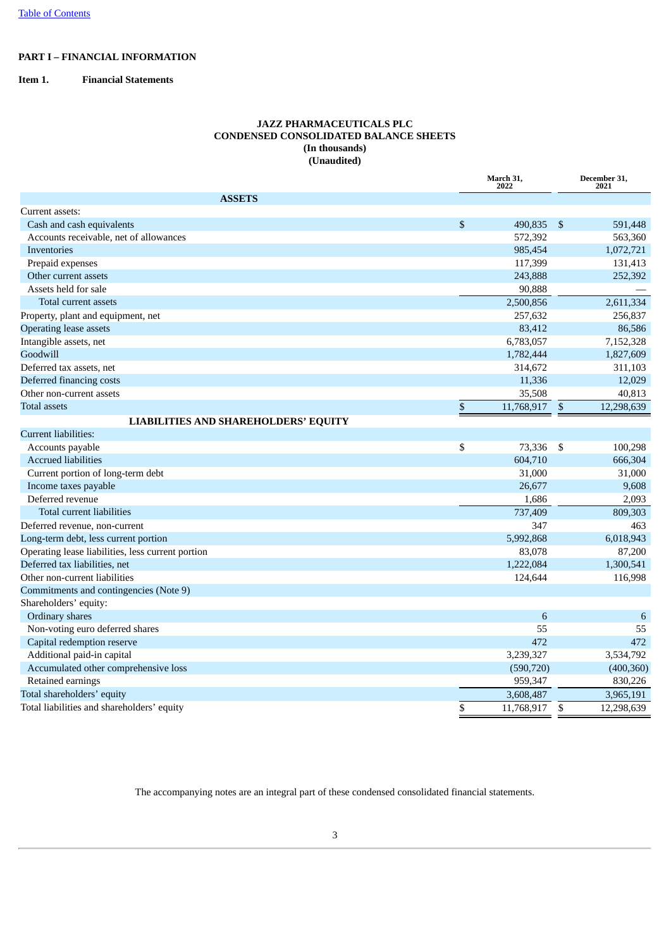# **PART I – FINANCIAL INFORMATION**

<span id="page-3-1"></span><span id="page-3-0"></span>**Item 1. Financial Statements**

# **JAZZ PHARMACEUTICALS PLC CONDENSED CONSOLIDATED BALANCE SHEETS (In thousands) (Unaudited)**

|                                                   |      | March 31,<br>2022 |                | December 31,<br>2021 |
|---------------------------------------------------|------|-------------------|----------------|----------------------|
| <b>ASSETS</b>                                     |      |                   |                |                      |
| Current assets:                                   |      |                   |                |                      |
| Cash and cash equivalents                         | \$   | 490,835           | -\$            | 591,448              |
| Accounts receivable, net of allowances            |      | 572,392           |                | 563,360              |
| Inventories                                       |      | 985,454           |                | 1,072,721            |
| Prepaid expenses                                  |      | 117,399           |                | 131,413              |
| Other current assets                              |      | 243,888           |                | 252,392              |
| Assets held for sale                              |      | 90,888            |                |                      |
| Total current assets                              |      | 2,500,856         |                | 2,611,334            |
| Property, plant and equipment, net                |      | 257,632           |                | 256,837              |
| <b>Operating lease assets</b>                     |      | 83,412            |                | 86,586               |
| Intangible assets, net                            |      | 6,783,057         |                | 7,152,328            |
| Goodwill                                          |      | 1,782,444         |                | 1,827,609            |
| Deferred tax assets, net                          |      | 314,672           |                | 311,103              |
| Deferred financing costs                          |      | 11,336            |                | 12,029               |
| Other non-current assets                          |      | 35,508            |                | 40,813               |
| <b>Total assets</b>                               | $\$$ | 11,768,917        | $\mathfrak{s}$ | 12,298,639           |
| <b>LIABILITIES AND SHAREHOLDERS' EQUITY</b>       |      |                   |                |                      |
| Current liabilities:                              |      |                   |                |                      |
| Accounts payable                                  | \$   | 73,336            | -\$            | 100,298              |
| <b>Accrued liabilities</b>                        |      | 604,710           |                | 666,304              |
| Current portion of long-term debt                 |      | 31,000            |                | 31,000               |
| Income taxes payable                              |      | 26,677            |                | 9,608                |
| Deferred revenue                                  |      | 1,686             |                | 2,093                |
| Total current liabilities                         |      | 737,409           |                | 809,303              |
| Deferred revenue, non-current                     |      | 347               |                | 463                  |
| Long-term debt, less current portion              |      | 5,992,868         |                | 6,018,943            |
| Operating lease liabilities, less current portion |      | 83,078            |                | 87,200               |
| Deferred tax liabilities, net                     |      | 1,222,084         |                | 1,300,541            |
| Other non-current liabilities                     |      | 124,644           |                | 116,998              |
| Commitments and contingencies (Note 9)            |      |                   |                |                      |
| Shareholders' equity:                             |      |                   |                |                      |
| Ordinary shares                                   |      | 6                 |                | 6                    |
| Non-voting euro deferred shares                   |      | 55                |                | 55                   |
| Capital redemption reserve                        |      | 472               |                | 472                  |
| Additional paid-in capital                        |      | 3,239,327         |                | 3,534,792            |
| Accumulated other comprehensive loss              |      | (590, 720)        |                | (400, 360)           |
| Retained earnings                                 |      | 959,347           |                | 830,226              |
| Total shareholders' equity                        |      | 3,608,487         |                | 3,965,191            |
| Total liabilities and shareholders' equity        | \$   | 11.768.917        | \$             | 12,298,639           |

<span id="page-3-2"></span>The accompanying notes are an integral part of these condensed consolidated financial statements.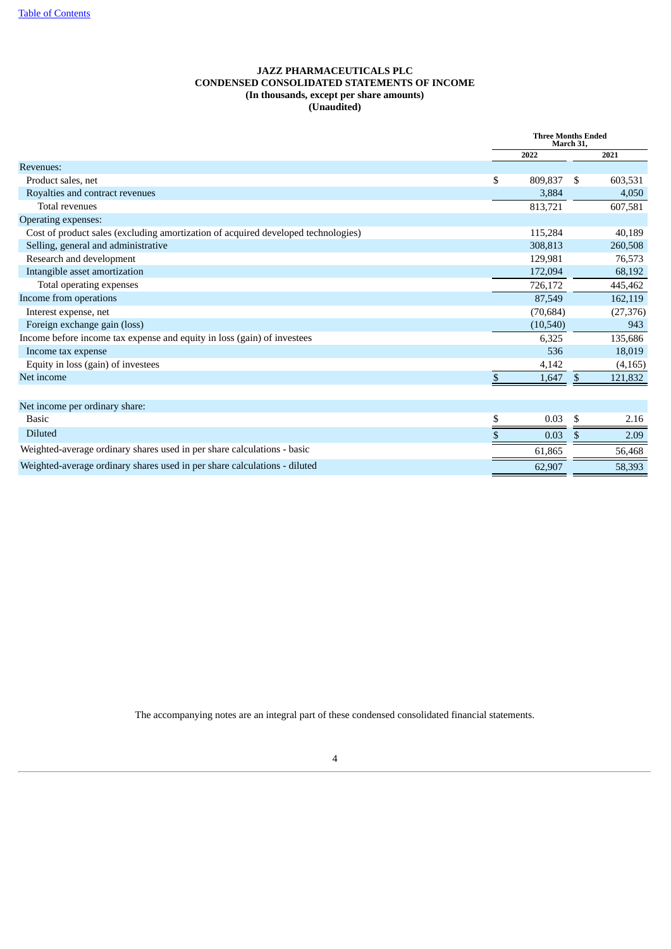# **JAZZ PHARMACEUTICALS PLC CONDENSED CONSOLIDATED STATEMENTS OF INCOME (In thousands, except per share amounts) (Unaudited)**

|                                                                                   | <b>Three Months Ended</b> | March 31. |           |  |  |
|-----------------------------------------------------------------------------------|---------------------------|-----------|-----------|--|--|
|                                                                                   | 2022                      |           | 2021      |  |  |
| Revenues:                                                                         |                           |           |           |  |  |
| Product sales, net                                                                | \$<br>809.837             | S         | 603,531   |  |  |
| Royalties and contract revenues                                                   | 3,884                     |           | 4,050     |  |  |
| <b>Total revenues</b>                                                             | 813,721                   |           | 607,581   |  |  |
| <b>Operating expenses:</b>                                                        |                           |           |           |  |  |
| Cost of product sales (excluding amortization of acquired developed technologies) | 115,284                   |           | 40,189    |  |  |
| Selling, general and administrative                                               | 308,813                   |           | 260,508   |  |  |
| Research and development                                                          | 129,981                   |           | 76,573    |  |  |
| Intangible asset amortization                                                     | 172,094                   |           | 68,192    |  |  |
| Total operating expenses                                                          | 726,172                   |           | 445,462   |  |  |
| Income from operations                                                            | 87,549                    |           | 162,119   |  |  |
| Interest expense, net                                                             | (70, 684)                 |           | (27, 376) |  |  |
| Foreign exchange gain (loss)                                                      | (10,540)                  |           | 943       |  |  |
| Income before income tax expense and equity in loss (gain) of investees           | 6,325                     |           | 135,686   |  |  |
| Income tax expense                                                                | 536                       |           | 18,019    |  |  |
| Equity in loss (gain) of investees                                                | 4,142                     |           | (4, 165)  |  |  |
| Net income                                                                        | 1,647                     | -\$       | 121,832   |  |  |
|                                                                                   |                           |           |           |  |  |
| Net income per ordinary share:                                                    |                           |           |           |  |  |
| <b>Basic</b>                                                                      | \$<br>0.03                | \$        | 2.16      |  |  |
| <b>Diluted</b>                                                                    | 0.03                      | \$.       | 2.09      |  |  |
| Weighted-average ordinary shares used in per share calculations - basic           | 61,865                    |           | 56,468    |  |  |
| Weighted-average ordinary shares used in per share calculations - diluted         | 62,907                    |           | 58,393    |  |  |
|                                                                                   |                           |           |           |  |  |

<span id="page-4-0"></span>The accompanying notes are an integral part of these condensed consolidated financial statements.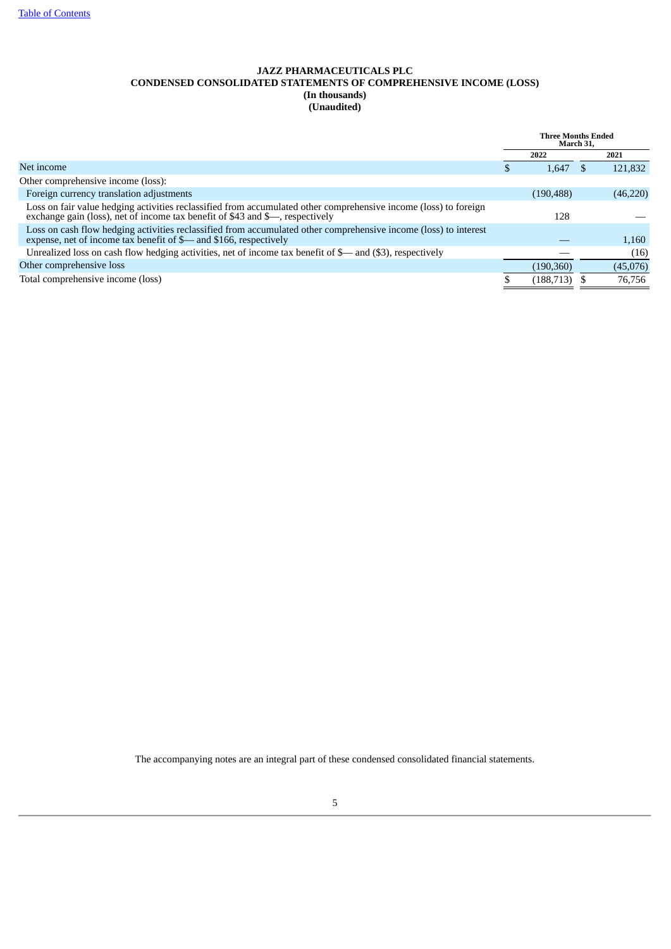# **JAZZ PHARMACEUTICALS PLC CONDENSED CONSOLIDATED STATEMENTS OF COMPREHENSIVE INCOME (LOSS) (In thousands) (Unaudited)**

|                                                                                                                                                                                                   | Three Months Ended | March 31, |          |
|---------------------------------------------------------------------------------------------------------------------------------------------------------------------------------------------------|--------------------|-----------|----------|
|                                                                                                                                                                                                   | 2022               |           | 2021     |
| Net income                                                                                                                                                                                        | 1,647              |           | 121,832  |
| Other comprehensive income (loss):                                                                                                                                                                |                    |           |          |
| Foreign currency translation adjustments                                                                                                                                                          | (190, 488)         |           | (46,220) |
| Loss on fair value hedging activities reclassified from accumulated other comprehensive income (loss) to foreign<br>exchange gain (loss), net of income tax benefit of \$43 and \$—, respectively | 128                |           |          |
| Loss on cash flow hedging activities reclassified from accumulated other comprehensive income (loss) to interest<br>expense, net of income tax benefit of \$— and \$166, respectively             |                    |           | 1,160    |
| Unrealized loss on cash flow hedging activities, net of income tax benefit of $\mathcal{S}$ — and (\$3), respectively                                                                             |                    |           | (16)     |
| Other comprehensive loss                                                                                                                                                                          | (190, 360)         |           | (45,076) |
| Total comprehensive income (loss)                                                                                                                                                                 | (188, 713)         |           | 76,756   |

<span id="page-5-0"></span>The accompanying notes are an integral part of these condensed consolidated financial statements.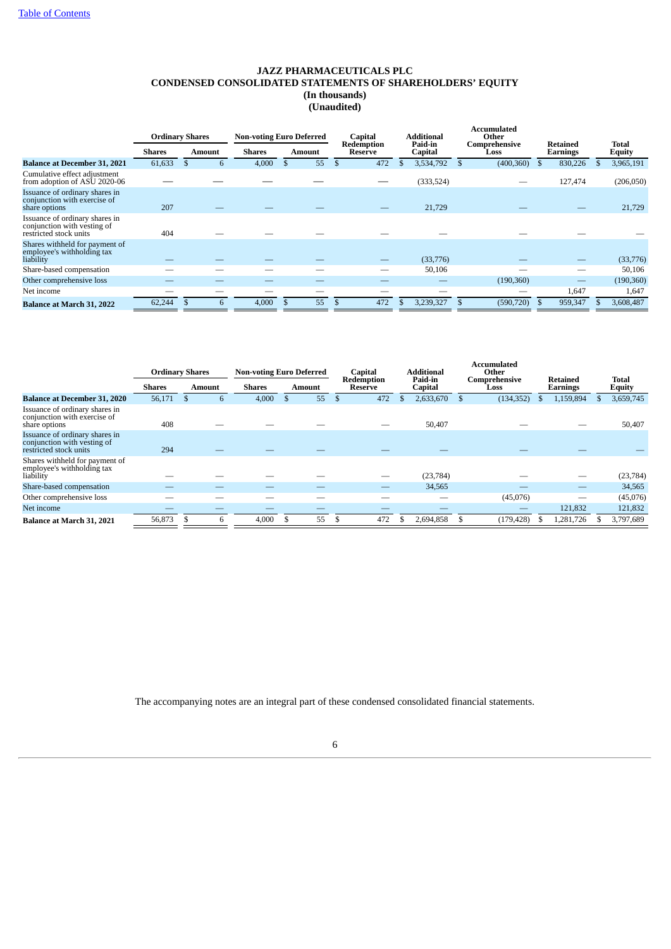# **JAZZ PHARMACEUTICALS PLC CONDENSED CONSOLIDATED STATEMENTS OF SHAREHOLDERS' EQUITY (In thousands) (Unaudited)**

|                                                                                         |        | <b>Ordinary Shares</b> |               | <b>Non-voting Euro Deferred</b> | Capital                      |   | Additional         | <b>Accumulated</b><br>Other |                             |                        |
|-----------------------------------------------------------------------------------------|--------|------------------------|---------------|---------------------------------|------------------------------|---|--------------------|-----------------------------|-----------------------------|------------------------|
|                                                                                         | Shares | Amount                 | <b>Shares</b> | Amount                          | Redemption<br><b>Reserve</b> |   | Paid-in<br>Capital | Comprehensive<br>Loss       | Retained<br><b>Earnings</b> | Total<br><b>Equity</b> |
| <b>Balance at December 31, 2021</b>                                                     | 61,633 | 6                      | 4,000         | 55<br>S.                        | 472                          | S | 3,534,792          | $(400, 360)$ \$<br>S        | 830,226                     | 3,965,191              |
| Cumulative effect adjustment<br>from adoption of ASU 2020-06                            |        |                        |               |                                 |                              |   | (333, 524)         |                             | 127,474                     | (206,050)              |
| Issuance of ordinary shares in<br>conjunction with exercise of<br>share options         | 207    |                        |               |                                 |                              |   | 21,729             |                             |                             | 21,729                 |
| Issuance of ordinary shares in<br>conjunction with vesting of<br>restricted stock units | 404    |                        |               |                                 |                              |   |                    |                             |                             |                        |
| Shares withheld for payment of<br>employee's withholding tax<br>liability               |        |                        |               |                                 |                              |   | (33,776)           |                             |                             | (33,776)               |
| Share-based compensation                                                                |        |                        |               |                                 |                              |   | 50,106             |                             |                             | 50,106                 |
| Other comprehensive loss                                                                |        |                        |               |                                 |                              |   | –                  | (190, 360)                  | –                           | (190, 360)             |
| Net income                                                                              |        |                        |               |                                 |                              |   |                    |                             | 1,647                       | 1,647                  |
| <b>Balance at March 31, 2022</b>                                                        | 62,244 | 6<br>\$                | 4,000         | 55                              | 472                          | ъ | 3,239,327          | (590, 720)                  | 959,347                     | 3,608,487              |

|                                                                                         |               | <b>Ordinary Shares</b> |               | <b>Non-voting Euro Deferred</b> | Capital                      | <b>Additional</b><br>Paid-in | Accumulated<br>Other  |                             |                        |
|-----------------------------------------------------------------------------------------|---------------|------------------------|---------------|---------------------------------|------------------------------|------------------------------|-----------------------|-----------------------------|------------------------|
|                                                                                         | <b>Shares</b> | Amount                 | <b>Shares</b> | Amount                          | Redemption<br><b>Reserve</b> | Capital                      | Comprehensive<br>Loss | Retained<br><b>Earnings</b> | Total<br><b>Equity</b> |
| <b>Balance at December 31, 2020</b>                                                     | 56,171        | 6                      | 4,000         | 55                              | 472<br>£.                    | 2,633,670                    | (134, 352)            | 1,159,894                   | 3,659,745              |
| Issuance of ordinary shares in<br>conjunction with exercise of<br>share options         | 408           |                        |               |                                 |                              | 50,407                       |                       |                             | 50,407                 |
| Issuance of ordinary shares in<br>conjunction with vesting of<br>restricted stock units | 294           |                        |               |                                 |                              |                              |                       |                             |                        |
| Shares withheld for payment of<br>employee's withholding tax<br>liability               |               |                        |               |                                 |                              | (23, 784)                    |                       |                             | (23, 784)              |
| Share-based compensation                                                                |               |                        |               |                                 |                              | 34,565                       |                       |                             | 34,565                 |
| Other comprehensive loss                                                                |               |                        |               |                                 |                              |                              | (45,076)              |                             | (45,076)               |
| Net income                                                                              |               |                        |               |                                 |                              |                              |                       | 121,832                     | 121,832                |
| Balance at March 31, 2021                                                               | 56,873        | 6                      | 4,000         | 55                              | 472                          | 2,694,858                    | (179, 428)            | 1,281,726                   | 3,797,689              |

<span id="page-6-0"></span>The accompanying notes are an integral part of these condensed consolidated financial statements.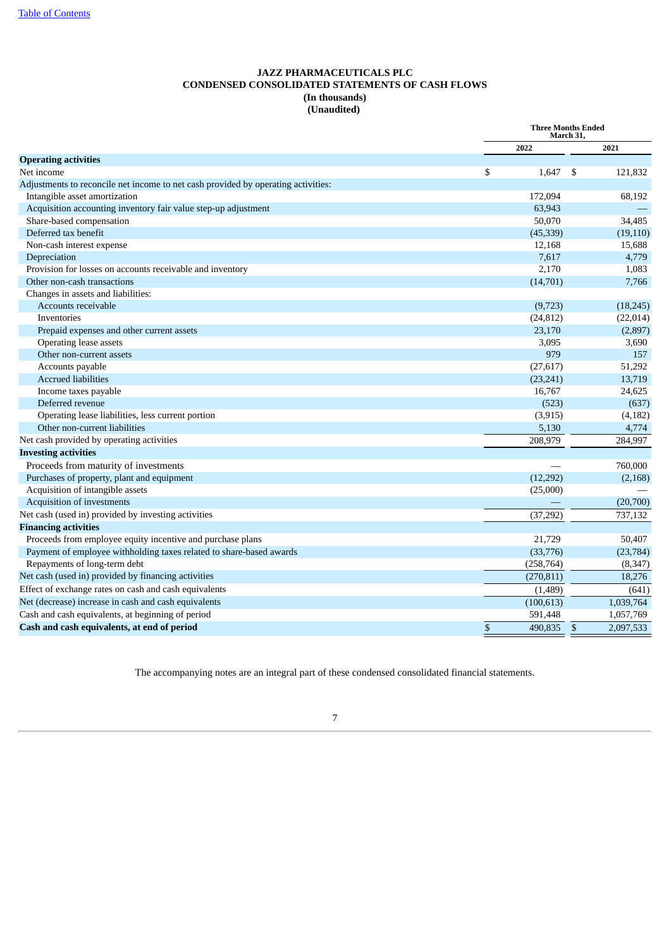# **JAZZ PHARMACEUTICALS PLC CONDENSED CONSOLIDATED STATEMENTS OF CASH FLOWS (In thousands) (Unaudited)**

|                                                                                   |                | <b>Three Months Ended</b><br>March 31, |                           |           |  |  |  |
|-----------------------------------------------------------------------------------|----------------|----------------------------------------|---------------------------|-----------|--|--|--|
|                                                                                   | 2022           |                                        |                           | 2021      |  |  |  |
| <b>Operating activities</b>                                                       |                |                                        |                           |           |  |  |  |
| Net income                                                                        | \$             | 1,647                                  | \$                        | 121,832   |  |  |  |
| Adjustments to reconcile net income to net cash provided by operating activities: |                |                                        |                           |           |  |  |  |
| Intangible asset amortization                                                     |                | 172,094                                |                           | 68,192    |  |  |  |
| Acquisition accounting inventory fair value step-up adjustment                    |                | 63,943                                 |                           |           |  |  |  |
| Share-based compensation                                                          |                | 50.070                                 |                           | 34,485    |  |  |  |
| Deferred tax benefit                                                              |                | (45, 339)                              |                           | (19, 110) |  |  |  |
| Non-cash interest expense                                                         |                | 12,168                                 |                           | 15,688    |  |  |  |
| Depreciation                                                                      |                | 7,617                                  |                           | 4,779     |  |  |  |
| Provision for losses on accounts receivable and inventory                         |                | 2,170                                  |                           | 1,083     |  |  |  |
| Other non-cash transactions                                                       |                | (14, 701)                              |                           | 7,766     |  |  |  |
| Changes in assets and liabilities:                                                |                |                                        |                           |           |  |  |  |
| Accounts receivable                                                               |                | (9,723)                                |                           | (18, 245) |  |  |  |
| Inventories                                                                       |                | (24, 812)                              |                           | (22, 014) |  |  |  |
| Prepaid expenses and other current assets                                         |                | 23,170                                 |                           | (2,897)   |  |  |  |
| Operating lease assets                                                            |                | 3,095                                  |                           | 3,690     |  |  |  |
| Other non-current assets                                                          |                | 979                                    |                           | 157       |  |  |  |
| Accounts payable                                                                  |                | (27, 617)                              |                           | 51,292    |  |  |  |
| <b>Accrued liabilities</b>                                                        |                | (23, 241)                              |                           | 13,719    |  |  |  |
| Income taxes payable                                                              |                | 16,767                                 |                           | 24,625    |  |  |  |
| Deferred revenue                                                                  |                | (523)                                  |                           | (637)     |  |  |  |
| Operating lease liabilities, less current portion                                 |                | (3, 915)                               |                           | (4, 182)  |  |  |  |
| Other non-current liabilities                                                     |                | 5,130                                  |                           | 4,774     |  |  |  |
| Net cash provided by operating activities                                         |                | 208,979                                |                           | 284,997   |  |  |  |
| <b>Investing activities</b>                                                       |                |                                        |                           |           |  |  |  |
| Proceeds from maturity of investments                                             |                |                                        |                           | 760,000   |  |  |  |
| Purchases of property, plant and equipment                                        |                | (12, 292)                              |                           | (2, 168)  |  |  |  |
| Acquisition of intangible assets                                                  |                | (25,000)                               |                           |           |  |  |  |
| Acquisition of investments                                                        |                |                                        |                           | (20,700)  |  |  |  |
| Net cash (used in) provided by investing activities                               |                | (37, 292)                              |                           | 737,132   |  |  |  |
| <b>Financing activities</b>                                                       |                |                                        |                           |           |  |  |  |
| Proceeds from employee equity incentive and purchase plans                        |                | 21,729                                 |                           | 50,407    |  |  |  |
| Payment of employee withholding taxes related to share-based awards               |                | (33,776)                               |                           | (23,784)  |  |  |  |
| Repayments of long-term debt                                                      |                | (258, 764)                             |                           | (8, 347)  |  |  |  |
| Net cash (used in) provided by financing activities                               |                | (270, 811)                             |                           | 18,276    |  |  |  |
| Effect of exchange rates on cash and cash equivalents                             |                | (1,489)                                |                           | (641)     |  |  |  |
| Net (decrease) increase in cash and cash equivalents                              |                | (100, 613)                             |                           | 1,039,764 |  |  |  |
| Cash and cash equivalents, at beginning of period                                 |                | 591,448                                |                           | 1,057,769 |  |  |  |
| Cash and cash equivalents, at end of period                                       | $\mathfrak{s}$ | 490,835                                | $\boldsymbol{\mathsf{S}}$ | 2,097,533 |  |  |  |
|                                                                                   |                |                                        |                           |           |  |  |  |

<span id="page-7-0"></span>The accompanying notes are an integral part of these condensed consolidated financial statements.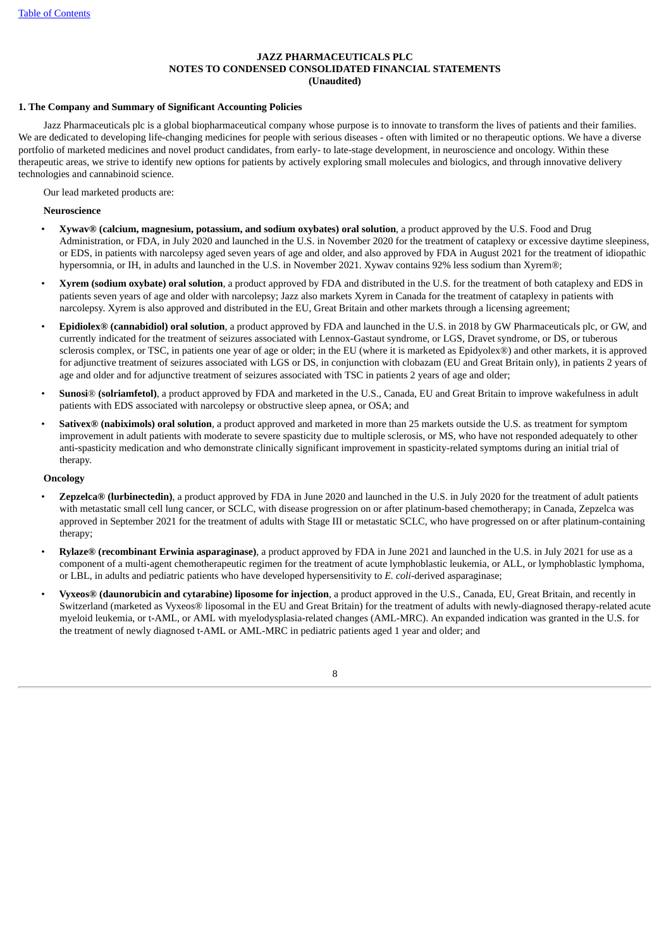# **JAZZ PHARMACEUTICALS PLC NOTES TO CONDENSED CONSOLIDATED FINANCIAL STATEMENTS (Unaudited)**

# **1. The Company and Summary of Significant Accounting Policies**

Jazz Pharmaceuticals plc is a global biopharmaceutical company whose purpose is to innovate to transform the lives of patients and their families. We are dedicated to developing life-changing medicines for people with serious diseases - often with limited or no therapeutic options. We have a diverse portfolio of marketed medicines and novel product candidates, from early- to late-stage development, in neuroscience and oncology. Within these therapeutic areas, we strive to identify new options for patients by actively exploring small molecules and biologics, and through innovative delivery technologies and cannabinoid science.

Our lead marketed products are:

### **Neuroscience**

- **Xywav® (calcium, magnesium, potassium, and sodium oxybates) oral solution**, a product approved by the U.S. Food and Drug Administration, or FDA, in July 2020 and launched in the U.S. in November 2020 for the treatment of cataplexy or excessive daytime sleepiness, or EDS, in patients with narcolepsy aged seven years of age and older, and also approved by FDA in August 2021 for the treatment of idiopathic hypersomnia, or IH, in adults and launched in the U.S. in November 2021. Xywav contains 92% less sodium than Xyrem®;
- **Xyrem (sodium oxybate) oral solution**, a product approved by FDA and distributed in the U.S. for the treatment of both cataplexy and EDS in patients seven years of age and older with narcolepsy; Jazz also markets Xyrem in Canada for the treatment of cataplexy in patients with narcolepsy. Xyrem is also approved and distributed in the EU, Great Britain and other markets through a licensing agreement;
- **Epidiolex® (cannabidiol) oral solution**, a product approved by FDA and launched in the U.S. in 2018 by GW Pharmaceuticals plc, or GW, and currently indicated for the treatment of seizures associated with Lennox-Gastaut syndrome, or LGS, Dravet syndrome, or DS, or tuberous sclerosis complex, or TSC, in patients one year of age or older; in the EU (where it is marketed as Epidyolex®) and other markets, it is approved for adjunctive treatment of seizures associated with LGS or DS, in conjunction with clobazam (EU and Great Britain only), in patients 2 years of age and older and for adjunctive treatment of seizures associated with TSC in patients 2 years of age and older;
- **Sunosi**® **(solriamfetol)**, a product approved by FDA and marketed in the U.S., Canada, EU and Great Britain to improve wakefulness in adult patients with EDS associated with narcolepsy or obstructive sleep apnea, or OSA; and
- **Sativex® (nabiximols) oral solution**, a product approved and marketed in more than 25 markets outside the U.S. as treatment for symptom improvement in adult patients with moderate to severe spasticity due to multiple sclerosis, or MS, who have not responded adequately to other anti-spasticity medication and who demonstrate clinically significant improvement in spasticity-related symptoms during an initial trial of therapy.

# **Oncology**

- **Zepzelca® (lurbinectedin)**, a product approved by FDA in June 2020 and launched in the U.S. in July 2020 for the treatment of adult patients with metastatic small cell lung cancer, or SCLC, with disease progression on or after platinum-based chemotherapy; in Canada, Zepzelca was approved in September 2021 for the treatment of adults with Stage III or metastatic SCLC, who have progressed on or after platinum-containing therapy;
- **Rylaze® (recombinant Erwinia asparaginase)**, a product approved by FDA in June 2021 and launched in the U.S. in July 2021 for use as a component of a multi-agent chemotherapeutic regimen for the treatment of acute lymphoblastic leukemia, or ALL, or lymphoblastic lymphoma, or LBL, in adults and pediatric patients who have developed hypersensitivity to *E. coli*-derived asparaginase;
- **Vyxeos® (daunorubicin and cytarabine) liposome for injection**, a product approved in the U.S., Canada, EU, Great Britain, and recently in Switzerland (marketed as Vyxeos® liposomal in the EU and Great Britain) for the treatment of adults with newly-diagnosed therapy-related acute myeloid leukemia, or t-AML, or AML with myelodysplasia-related changes (AML-MRC). An expanded indication was granted in the U.S. for the treatment of newly diagnosed t-AML or AML-MRC in pediatric patients aged 1 year and older; and

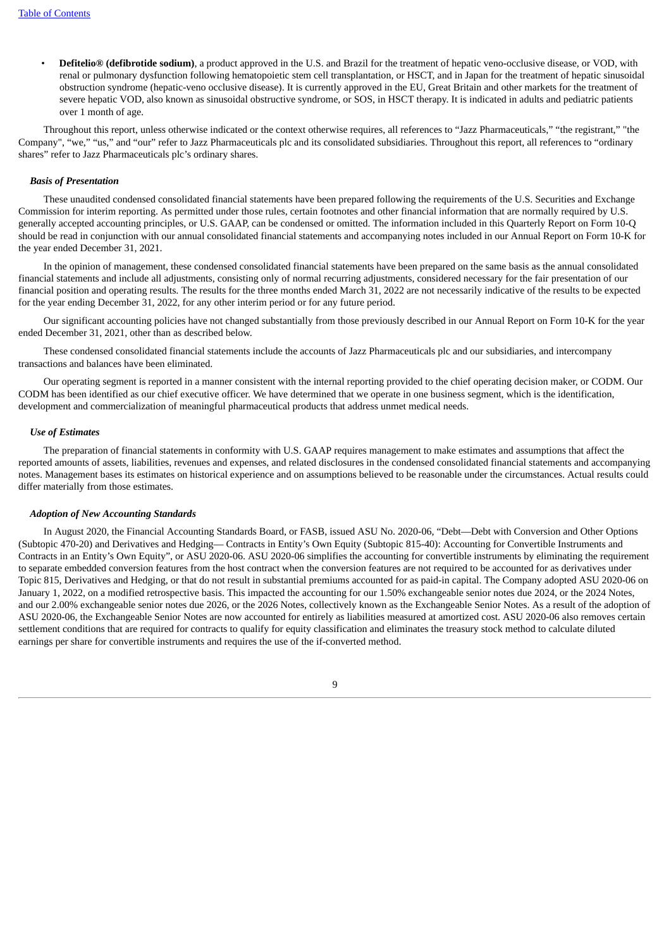• **Defitelio® (defibrotide sodium)**, a product approved in the U.S. and Brazil for the treatment of hepatic veno-occlusive disease, or VOD, with renal or pulmonary dysfunction following hematopoietic stem cell transplantation, or HSCT, and in Japan for the treatment of hepatic sinusoidal obstruction syndrome (hepatic-veno occlusive disease). It is currently approved in the EU, Great Britain and other markets for the treatment of severe hepatic VOD, also known as sinusoidal obstructive syndrome, or SOS, in HSCT therapy. It is indicated in adults and pediatric patients over 1 month of age.

Throughout this report, unless otherwise indicated or the context otherwise requires, all references to "Jazz Pharmaceuticals," "the registrant," "the Company", "we," "us," and "our" refer to Jazz Pharmaceuticals plc and its consolidated subsidiaries. Throughout this report, all references to "ordinary shares" refer to Jazz Pharmaceuticals plc's ordinary shares.

# *Basis of Presentation*

These unaudited condensed consolidated financial statements have been prepared following the requirements of the U.S. Securities and Exchange Commission for interim reporting. As permitted under those rules, certain footnotes and other financial information that are normally required by U.S. generally accepted accounting principles, or U.S. GAAP, can be condensed or omitted. The information included in this Quarterly Report on Form 10‑Q should be read in conjunction with our annual consolidated financial statements and accompanying notes included in our Annual Report on Form 10‑K for the year ended December 31, 2021.

In the opinion of management, these condensed consolidated financial statements have been prepared on the same basis as the annual consolidated financial statements and include all adjustments, consisting only of normal recurring adjustments, considered necessary for the fair presentation of our financial position and operating results. The results for the three months ended March 31, 2022 are not necessarily indicative of the results to be expected for the year ending December 31, 2022, for any other interim period or for any future period.

Our significant accounting policies have not changed substantially from those previously described in our Annual Report on Form 10‑K for the year ended December 31, 2021, other than as described below.

These condensed consolidated financial statements include the accounts of Jazz Pharmaceuticals plc and our subsidiaries, and intercompany transactions and balances have been eliminated.

Our operating segment is reported in a manner consistent with the internal reporting provided to the chief operating decision maker, or CODM. Our CODM has been identified as our chief executive officer. We have determined that we operate in one business segment, which is the identification, development and commercialization of meaningful pharmaceutical products that address unmet medical needs.

#### *Use of Estimates*

The preparation of financial statements in conformity with U.S. GAAP requires management to make estimates and assumptions that affect the reported amounts of assets, liabilities, revenues and expenses, and related disclosures in the condensed consolidated financial statements and accompanying notes. Management bases its estimates on historical experience and on assumptions believed to be reasonable under the circumstances. Actual results could differ materially from those estimates.

#### *Adoption of New Accounting Standards*

In August 2020, the Financial Accounting Standards Board, or FASB, issued ASU No. 2020-06, "Debt—Debt with Conversion and Other Options (Subtopic 470-20) and Derivatives and Hedging— Contracts in Entity's Own Equity (Subtopic 815-40): Accounting for Convertible Instruments and Contracts in an Entity's Own Equity", or ASU 2020-06. ASU 2020-06 simplifies the accounting for convertible instruments by eliminating the requirement to separate embedded conversion features from the host contract when the conversion features are not required to be accounted for as derivatives under Topic 815, Derivatives and Hedging, or that do not result in substantial premiums accounted for as paid-in capital. The Company adopted ASU 2020-06 on January 1, 2022, on a modified retrospective basis. This impacted the accounting for our 1.50% exchangeable senior notes due 2024, or the 2024 Notes, and our 2.00% exchangeable senior notes due 2026, or the 2026 Notes, collectively known as the Exchangeable Senior Notes. As a result of the adoption of ASU 2020-06, the Exchangeable Senior Notes are now accounted for entirely as liabilities measured at amortized cost. ASU 2020-06 also removes certain settlement conditions that are required for contracts to qualify for equity classification and eliminates the treasury stock method to calculate diluted earnings per share for convertible instruments and requires the use of the if-converted method.

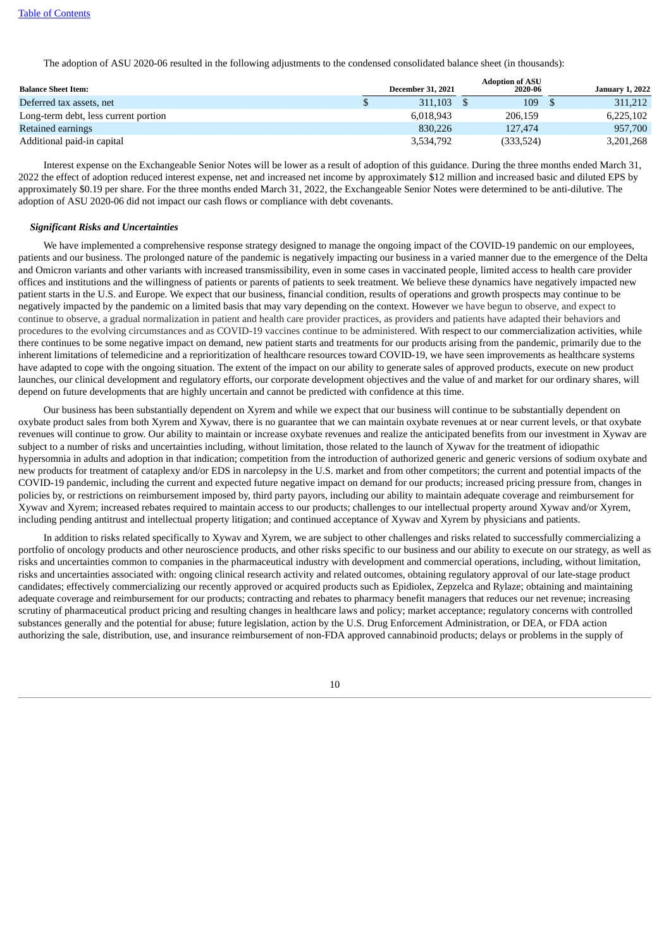The adoption of ASU 2020-06 resulted in the following adjustments to the condensed consolidated balance sheet (in thousands):

|                                      |                          | <b>Adoption of ASU</b> |                        |
|--------------------------------------|--------------------------|------------------------|------------------------|
| <b>Balance Sheet Item:</b>           | <b>December 31, 2021</b> | 2020-06                | <b>January 1, 2022</b> |
| Deferred tax assets, net             | 311.103                  | 109                    | 311,212                |
| Long-term debt, less current portion | 6,018,943                | 206.159                | 6,225,102              |
| Retained earnings                    | 830,226                  | 127,474                | 957,700                |
| Additional paid-in capital           | 3,534,792                | (333,524)              | 3,201,268              |

Interest expense on the Exchangeable Senior Notes will be lower as a result of adoption of this guidance. During the three months ended March 31, 2022 the effect of adoption reduced interest expense, net and increased net income by approximately \$12 million and increased basic and diluted EPS by approximately \$0.19 per share. For the three months ended March 31, 2022, the Exchangeable Senior Notes were determined to be anti-dilutive. The adoption of ASU 2020-06 did not impact our cash flows or compliance with debt covenants.

#### *Significant Risks and Uncertainties*

We have implemented a comprehensive response strategy designed to manage the ongoing impact of the COVID-19 pandemic on our employees, patients and our business. The prolonged nature of the pandemic is negatively impacting our business in a varied manner due to the emergence of the Delta and Omicron variants and other variants with increased transmissibility, even in some cases in vaccinated people, limited access to health care provider offices and institutions and the willingness of patients or parents of patients to seek treatment. We believe these dynamics have negatively impacted new patient starts in the U.S. and Europe. We expect that our business, financial condition, results of operations and growth prospects may continue to be negatively impacted by the pandemic on a limited basis that may vary depending on the context. However we have begun to observe, and expect to continue to observe, a gradual normalization in patient and health care provider practices, as providers and patients have adapted their behaviors and procedures to the evolving circumstances and as COVID-19 vaccines continue to be administered. With respect to our commercialization activities, while there continues to be some negative impact on demand, new patient starts and treatments for our products arising from the pandemic, primarily due to the inherent limitations of telemedicine and a reprioritization of healthcare resources toward COVID-19, we have seen improvements as healthcare systems have adapted to cope with the ongoing situation. The extent of the impact on our ability to generate sales of approved products, execute on new product launches, our clinical development and regulatory efforts, our corporate development objectives and the value of and market for our ordinary shares, will depend on future developments that are highly uncertain and cannot be predicted with confidence at this time.

Our business has been substantially dependent on Xyrem and while we expect that our business will continue to be substantially dependent on oxybate product sales from both Xyrem and Xywav, there is no guarantee that we can maintain oxybate revenues at or near current levels, or that oxybate revenues will continue to grow. Our ability to maintain or increase oxybate revenues and realize the anticipated benefits from our investment in Xywav are subject to a number of risks and uncertainties including, without limitation, those related to the launch of Xywav for the treatment of idiopathic hypersomnia in adults and adoption in that indication; competition from the introduction of authorized generic and generic versions of sodium oxybate and new products for treatment of cataplexy and/or EDS in narcolepsy in the U.S. market and from other competitors; the current and potential impacts of the COVID-19 pandemic, including the current and expected future negative impact on demand for our products; increased pricing pressure from, changes in policies by, or restrictions on reimbursement imposed by, third party payors, including our ability to maintain adequate coverage and reimbursement for Xywav and Xyrem; increased rebates required to maintain access to our products; challenges to our intellectual property around Xywav and/or Xyrem, including pending antitrust and intellectual property litigation; and continued acceptance of Xywav and Xyrem by physicians and patients.

In addition to risks related specifically to Xywav and Xyrem, we are subject to other challenges and risks related to successfully commercializing a portfolio of oncology products and other neuroscience products, and other risks specific to our business and our ability to execute on our strategy, as well as risks and uncertainties common to companies in the pharmaceutical industry with development and commercial operations, including, without limitation, risks and uncertainties associated with: ongoing clinical research activity and related outcomes, obtaining regulatory approval of our late-stage product candidates; effectively commercializing our recently approved or acquired products such as Epidiolex, Zepzelca and Rylaze; obtaining and maintaining adequate coverage and reimbursement for our products; contracting and rebates to pharmacy benefit managers that reduces our net revenue; increasing scrutiny of pharmaceutical product pricing and resulting changes in healthcare laws and policy; market acceptance; regulatory concerns with controlled substances generally and the potential for abuse; future legislation, action by the U.S. Drug Enforcement Administration, or DEA, or FDA action authorizing the sale, distribution, use, and insurance reimbursement of non-FDA approved cannabinoid products; delays or problems in the supply of

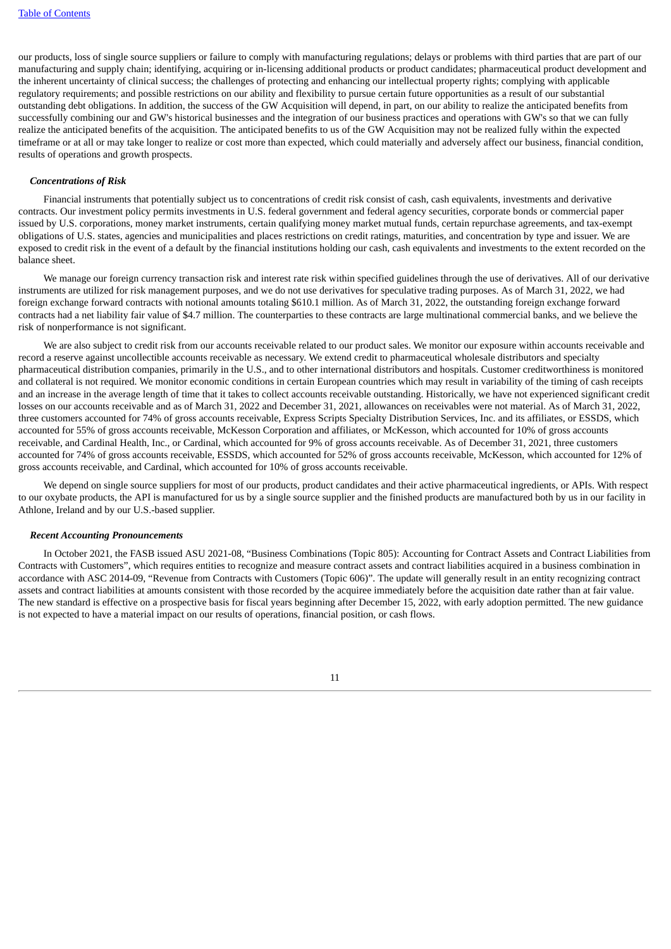our products, loss of single source suppliers or failure to comply with manufacturing regulations; delays or problems with third parties that are part of our manufacturing and supply chain; identifying, acquiring or in-licensing additional products or product candidates; pharmaceutical product development and the inherent uncertainty of clinical success; the challenges of protecting and enhancing our intellectual property rights; complying with applicable regulatory requirements; and possible restrictions on our ability and flexibility to pursue certain future opportunities as a result of our substantial outstanding debt obligations. In addition, the success of the GW Acquisition will depend, in part, on our ability to realize the anticipated benefits from successfully combining our and GW's historical businesses and the integration of our business practices and operations with GW's so that we can fully realize the anticipated benefits of the acquisition. The anticipated benefits to us of the GW Acquisition may not be realized fully within the expected timeframe or at all or may take longer to realize or cost more than expected, which could materially and adversely affect our business, financial condition, results of operations and growth prospects.

#### *Concentrations of Risk*

Financial instruments that potentially subject us to concentrations of credit risk consist of cash, cash equivalents, investments and derivative contracts. Our investment policy permits investments in U.S. federal government and federal agency securities, corporate bonds or commercial paper issued by U.S. corporations, money market instruments, certain qualifying money market mutual funds, certain repurchase agreements, and tax-exempt obligations of U.S. states, agencies and municipalities and places restrictions on credit ratings, maturities, and concentration by type and issuer. We are exposed to credit risk in the event of a default by the financial institutions holding our cash, cash equivalents and investments to the extent recorded on the balance sheet.

We manage our foreign currency transaction risk and interest rate risk within specified guidelines through the use of derivatives. All of our derivative instruments are utilized for risk management purposes, and we do not use derivatives for speculative trading purposes. As of March 31, 2022, we had foreign exchange forward contracts with notional amounts totaling \$610.1 million. As of March 31, 2022, the outstanding foreign exchange forward contracts had a net liability fair value of \$4.7 million. The counterparties to these contracts are large multinational commercial banks, and we believe the risk of nonperformance is not significant.

We are also subject to credit risk from our accounts receivable related to our product sales. We monitor our exposure within accounts receivable and record a reserve against uncollectible accounts receivable as necessary. We extend credit to pharmaceutical wholesale distributors and specialty pharmaceutical distribution companies, primarily in the U.S., and to other international distributors and hospitals. Customer creditworthiness is monitored and collateral is not required. We monitor economic conditions in certain European countries which may result in variability of the timing of cash receipts and an increase in the average length of time that it takes to collect accounts receivable outstanding. Historically, we have not experienced significant credit losses on our accounts receivable and as of March 31, 2022 and December 31, 2021, allowances on receivables were not material. As of March 31, 2022, three customers accounted for 74% of gross accounts receivable, Express Scripts Specialty Distribution Services, Inc. and its affiliates, or ESSDS, which accounted for 55% of gross accounts receivable, McKesson Corporation and affiliates, or McKesson, which accounted for 10% of gross accounts receivable, and Cardinal Health, Inc., or Cardinal, which accounted for 9% of gross accounts receivable. As of December 31, 2021, three customers accounted for 74% of gross accounts receivable, ESSDS, which accounted for 52% of gross accounts receivable, McKesson, which accounted for 12% of gross accounts receivable, and Cardinal, which accounted for 10% of gross accounts receivable.

We depend on single source suppliers for most of our products, product candidates and their active pharmaceutical ingredients, or APIs. With respect to our oxybate products, the API is manufactured for us by a single source supplier and the finished products are manufactured both by us in our facility in Athlone, Ireland and by our U.S.-based supplier.

#### *Recent Accounting Pronouncements*

In October 2021, the FASB issued ASU 2021-08, "Business Combinations (Topic 805): Accounting for Contract Assets and Contract Liabilities from Contracts with Customers", which requires entities to recognize and measure contract assets and contract liabilities acquired in a business combination in accordance with ASC 2014-09, "Revenue from Contracts with Customers (Topic 606)". The update will generally result in an entity recognizing contract assets and contract liabilities at amounts consistent with those recorded by the acquiree immediately before the acquisition date rather than at fair value. The new standard is effective on a prospective basis for fiscal years beginning after December 15, 2022, with early adoption permitted. The new guidance is not expected to have a material impact on our results of operations, financial position, or cash flows.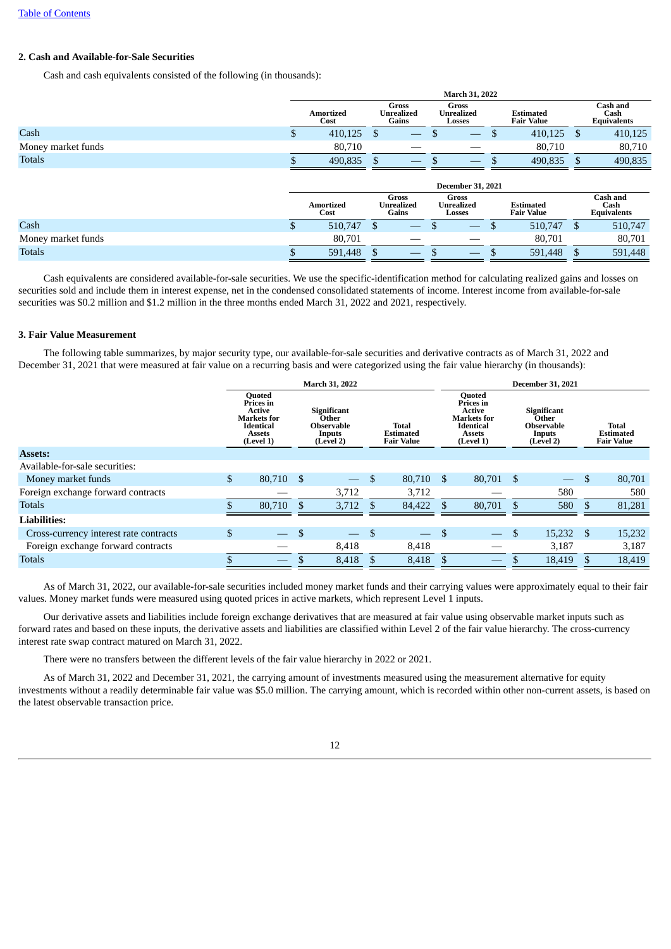# **2. Cash and Available-for-Sale Securities**

Cash and cash equivalents consisted of the following (in thousands):

|                    | March 31, 2022                                                                                                        |                          |                                       |                                            |    |                                               |    |                                       |     |                                               |  |  |
|--------------------|-----------------------------------------------------------------------------------------------------------------------|--------------------------|---------------------------------------|--------------------------------------------|----|-----------------------------------------------|----|---------------------------------------|-----|-----------------------------------------------|--|--|
|                    |                                                                                                                       | <b>Amortized</b><br>Cost |                                       | <b>Gross</b><br><b>Unrealized</b><br>Gains |    | <b>Gross</b><br><b>Unrealized</b><br>Losses   |    | <b>Estimated</b><br><b>Fair Value</b> |     | <b>Cash and</b><br>Cash<br><b>Equivalents</b> |  |  |
| Cash               | S                                                                                                                     | 410,125                  | <sup>\$</sup>                         |                                            |    | $\overline{\phantom{0}}$                      |    | 410,125                               | -S  | 410,125                                       |  |  |
| Money market funds |                                                                                                                       | 80,710                   |                                       |                                            |    |                                               |    | 80,710                                |     | 80,710                                        |  |  |
| <b>Totals</b>      |                                                                                                                       | 490,835                  | <sup>\$</sup>                         | $\overline{\phantom{m}}$                   |    |                                               |    | 490,835                               | \$. | 490,835                                       |  |  |
|                    |                                                                                                                       |                          |                                       |                                            |    | <b>December 31, 2021</b>                      |    |                                       |     |                                               |  |  |
|                    | <b>Gross</b><br><b>Gross</b><br><b>Unrealized</b><br><b>Amortized</b><br><b>Unrealized</b><br>Gains<br>Cost<br>Losses |                          | <b>Estimated</b><br><b>Fair Value</b> |                                            |    | <b>Cash and</b><br>Cash<br><b>Equivalents</b> |    |                                       |     |                                               |  |  |
| Cash               | \$                                                                                                                    | 510,747                  | <sup>\$</sup>                         |                                            | -D |                                               | .S | 510,747                               | \$. | 510,747                                       |  |  |
| Money market funds |                                                                                                                       | 80,701                   |                                       |                                            |    |                                               |    | 80,701                                |     | 80,701                                        |  |  |
| <b>Totals</b>      | \$                                                                                                                    | 591,448                  |                                       |                                            |    |                                               |    | 591,448                               |     | 591,448                                       |  |  |

Cash equivalents are considered available-for-sale securities. We use the specific-identification method for calculating realized gains and losses on securities sold and include them in interest expense, net in the condensed consolidated statements of income. Interest income from available-for-sale securities was \$0.2 million and \$1.2 million in the three months ended March 31, 2022 and 2021, respectively.

### **3. Fair Value Measurement**

The following table summarizes, by major security type, our available-for-sale securities and derivative contracts as of March 31, 2022 and December 31, 2021 that were measured at fair value on a recurring basis and were categorized using the fair value hierarchy (in thousands):

|                                        | March 31, 2022 |                                                                                                              |      |                                                                  |    |                                         |     | <b>December 31, 2021</b>                                                                              |               |                                                                         |                                                |        |  |
|----------------------------------------|----------------|--------------------------------------------------------------------------------------------------------------|------|------------------------------------------------------------------|----|-----------------------------------------|-----|-------------------------------------------------------------------------------------------------------|---------------|-------------------------------------------------------------------------|------------------------------------------------|--------|--|
|                                        |                | <b>Quoted</b><br>Prices in<br><b>Active</b><br><b>Markets</b> for<br><b>Identical</b><br>Assets<br>(Level 1) |      | Significant<br>Other<br><b>Observable</b><br>Inputs<br>(Level 2) |    | Total<br>Estimated<br><b>Fair Value</b> |     | <b>Quoted</b><br>Prices in<br>Active<br><b>Markets</b> for<br><b>Identical</b><br>Assets<br>(Level 1) |               | <b>Significant</b><br>Other<br><b>Observable</b><br>Inputs<br>(Level 2) | <b>Total</b><br>Estimated<br><b>Fair Value</b> |        |  |
| <b>Assets:</b>                         |                |                                                                                                              |      |                                                                  |    |                                         |     |                                                                                                       |               |                                                                         |                                                |        |  |
| Available-for-sale securities:         |                |                                                                                                              |      |                                                                  |    |                                         |     |                                                                                                       |               |                                                                         |                                                |        |  |
| Money market funds                     | \$             | 80,710                                                                                                       | - \$ |                                                                  | \$ | 80,710                                  | -S  | 80,701 \$                                                                                             |               |                                                                         | \$                                             | 80,701 |  |
| Foreign exchange forward contracts     |                |                                                                                                              |      | 3,712                                                            |    | 3,712                                   |     |                                                                                                       |               | 580                                                                     |                                                | 580    |  |
| <b>Totals</b>                          |                | 80,710                                                                                                       | \$   | 3,712                                                            |    | 84,422                                  |     | 80,701 \$                                                                                             |               | 580                                                                     | -S                                             | 81,281 |  |
| <b>Liabilities:</b>                    |                |                                                                                                              |      |                                                                  |    |                                         |     |                                                                                                       |               |                                                                         |                                                |        |  |
| Cross-currency interest rate contracts | \$.            |                                                                                                              | \$.  |                                                                  | -S |                                         | -\$ | $\overline{\phantom{0}}$                                                                              | <sup>\$</sup> | 15,232                                                                  | <sup>\$</sup>                                  | 15,232 |  |
| Foreign exchange forward contracts     |                |                                                                                                              |      | 8,418                                                            |    | 8,418                                   |     |                                                                                                       |               | 3,187                                                                   |                                                | 3,187  |  |
| <b>Totals</b>                          |                |                                                                                                              |      | 8,418                                                            |    | 8,418                                   |     |                                                                                                       |               | 18,419                                                                  |                                                | 18,419 |  |

As of March 31, 2022, our available-for-sale securities included money market funds and their carrying values were approximately equal to their fair values. Money market funds were measured using quoted prices in active markets, which represent Level 1 inputs.

Our derivative assets and liabilities include foreign exchange derivatives that are measured at fair value using observable market inputs such as forward rates and based on these inputs, the derivative assets and liabilities are classified within Level 2 of the fair value hierarchy. The cross-currency interest rate swap contract matured on March 31, 2022.

There were no transfers between the different levels of the fair value hierarchy in 2022 or 2021.

As of March 31, 2022 and December 31, 2021, the carrying amount of investments measured using the measurement alternative for equity investments without a readily determinable fair value was \$5.0 million. The carrying amount, which is recorded within other non-current assets, is based on the latest observable transaction price.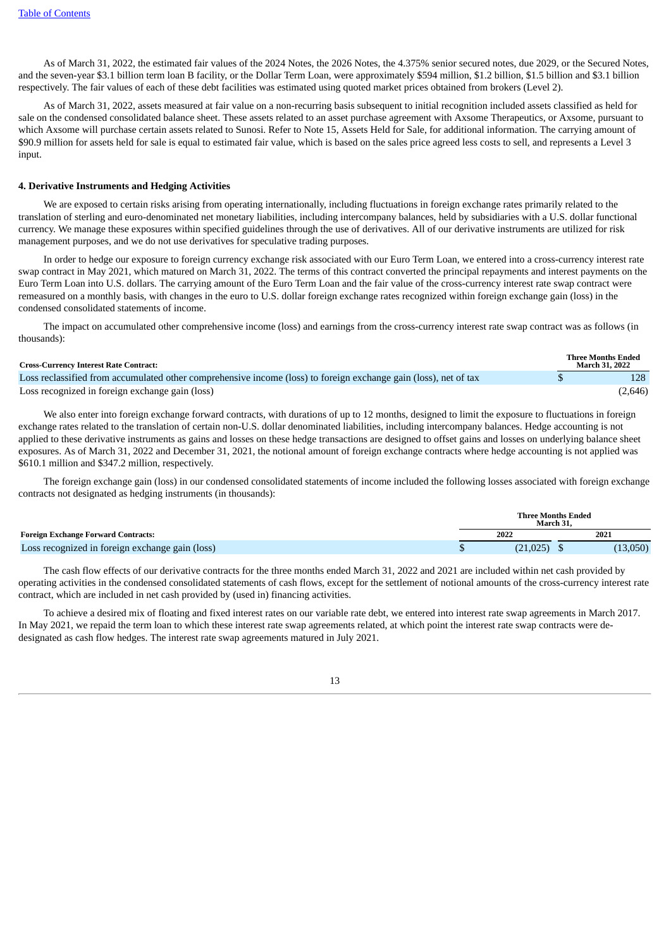As of March 31, 2022, the estimated fair values of the 2024 Notes, the 2026 Notes, the 4.375% senior secured notes, due 2029, or the Secured Notes, and the seven-year \$3.1 billion term loan B facility, or the Dollar Term Loan, were approximately \$594 million, \$1.2 billion, \$1.5 billion and \$3.1 billion respectively. The fair values of each of these debt facilities was estimated using quoted market prices obtained from brokers (Level 2).

As of March 31, 2022, assets measured at fair value on a non-recurring basis subsequent to initial recognition included assets classified as held for sale on the condensed consolidated balance sheet. These assets related to an asset purchase agreement with Axsome Therapeutics, or Axsome, pursuant to which Axsome will purchase certain assets related to Sunosi. Refer to Note 15, Assets Held for Sale, for additional information. The carrying amount of \$90.9 million for assets held for sale is equal to estimated fair value, which is based on the sales price agreed less costs to sell, and represents a Level 3 input.

#### **4. Derivative Instruments and Hedging Activities**

We are exposed to certain risks arising from operating internationally, including fluctuations in foreign exchange rates primarily related to the translation of sterling and euro-denominated net monetary liabilities, including intercompany balances, held by subsidiaries with a U.S. dollar functional currency. We manage these exposures within specified guidelines through the use of derivatives. All of our derivative instruments are utilized for risk management purposes, and we do not use derivatives for speculative trading purposes.

In order to hedge our exposure to foreign currency exchange risk associated with our Euro Term Loan, we entered into a cross-currency interest rate swap contract in May 2021, which matured on March 31, 2022. The terms of this contract converted the principal repayments and interest payments on the Euro Term Loan into U.S. dollars. The carrying amount of the Euro Term Loan and the fair value of the cross-currency interest rate swap contract were remeasured on a monthly basis, with changes in the euro to U.S. dollar foreign exchange rates recognized within foreign exchange gain (loss) in the condensed consolidated statements of income.

The impact on accumulated other comprehensive income (loss) and earnings from the cross-currency interest rate swap contract was as follows (in thousands):

| <b>Cross-Currency Interest Rate Contract:</b>                                                                    | <b>Three Months Ended</b><br>March 31, 2022 |
|------------------------------------------------------------------------------------------------------------------|---------------------------------------------|
| Loss reclassified from accumulated other comprehensive income (loss) to foreign exchange gain (loss), net of tax | 128                                         |
| Loss recognized in foreign exchange gain (loss)                                                                  | (2,646)                                     |

We also enter into foreign exchange forward contracts, with durations of up to 12 months, designed to limit the exposure to fluctuations in foreign exchange rates related to the translation of certain non-U.S. dollar denominated liabilities, including intercompany balances. Hedge accounting is not applied to these derivative instruments as gains and losses on these hedge transactions are designed to offset gains and losses on underlying balance sheet exposures. As of March 31, 2022 and December 31, 2021, the notional amount of foreign exchange contracts where hedge accounting is not applied was \$610.1 million and \$347.2 million, respectively.

The foreign exchange gain (loss) in our condensed consolidated statements of income included the following losses associated with foreign exchange contracts not designated as hedging instruments (in thousands):

|                                                 | <b>Three Months Ended</b><br>March 31. |          |  |          |
|-------------------------------------------------|----------------------------------------|----------|--|----------|
| <b>Foreign Exchange Forward Contracts:</b>      |                                        | 2022     |  | 2021     |
| Loss recognized in foreign exchange gain (loss) |                                        | (21.025) |  | (13,050) |

The cash flow effects of our derivative contracts for the three months ended March 31, 2022 and 2021 are included within net cash provided by operating activities in the condensed consolidated statements of cash flows, except for the settlement of notional amounts of the cross-currency interest rate contract, which are included in net cash provided by (used in) financing activities.

To achieve a desired mix of floating and fixed interest rates on our variable rate debt, we entered into interest rate swap agreements in March 2017. In May 2021, we repaid the term loan to which these interest rate swap agreements related, at which point the interest rate swap contracts were dedesignated as cash flow hedges. The interest rate swap agreements matured in July 2021.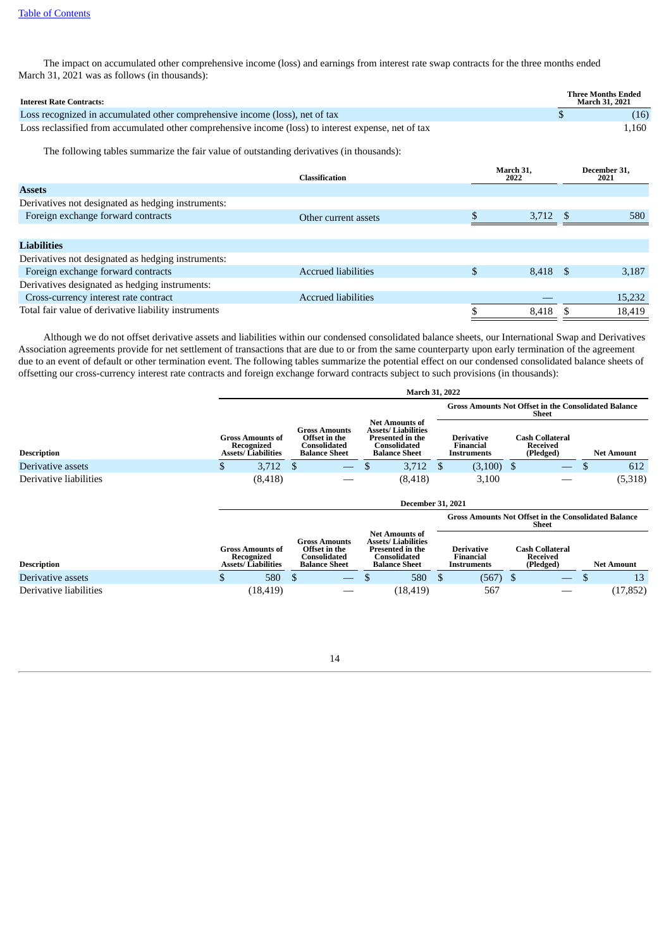The impact on accumulated other comprehensive income (loss) and earnings from interest rate swap contracts for the three months ended March 31, 2021 was as follows (in thousands):

| <b>Interest Rate Contracts:</b>                                                                      |                   |          | <b>Three Months Ended</b><br><b>March 31, 2021</b> |
|------------------------------------------------------------------------------------------------------|-------------------|----------|----------------------------------------------------|
| Loss recognized in accumulated other comprehensive income (loss), net of tax                         |                   | <b>D</b> | (16)                                               |
| Loss reclassified from accumulated other comprehensive income (loss) to interest expense, net of tax |                   |          | 1,160                                              |
| The following tables summarize the fair value of outstanding derivatives (in thousands):             |                   |          |                                                    |
| Classification                                                                                       | March 31,<br>2022 |          | December 31.<br>2021                               |

| <b>Assets</b>                                        |                            |                  |        |
|------------------------------------------------------|----------------------------|------------------|--------|
| Derivatives not designated as hedging instruments:   |                            |                  |        |
| Foreign exchange forward contracts                   | Other current assets       | $3.712 \quad$ \$ | 580    |
|                                                      |                            |                  |        |
| <b>Liabilities</b>                                   |                            |                  |        |
| Derivatives not designated as hedging instruments:   |                            |                  |        |
| Foreign exchange forward contracts                   | Accrued liabilities        | 8.418 \$         | 3.187  |
| Derivatives designated as hedging instruments:       |                            |                  |        |
| Cross-currency interest rate contract                | <b>Accrued liabilities</b> |                  | 15,232 |
| Total fair value of derivative liability instruments |                            | 8.418            | 18.419 |

Although we do not offset derivative assets and liabilities within our condensed consolidated balance sheets, our International Swap and Derivatives Association agreements provide for net settlement of transactions that are due to or from the same counterparty upon early termination of the agreement due to an event of default or other termination event. The following tables summarize the potential effect on our condensed consolidated balance sheets of offsetting our cross-currency interest rate contracts and foreign exchange forward contracts subject to such provisions (in thousands):

|                        | <b>March 31, 2022</b>                                              |  |                                                                               |    |                                                                                                          |                                                             |                                               |       |                                                 |   |                   |
|------------------------|--------------------------------------------------------------------|--|-------------------------------------------------------------------------------|----|----------------------------------------------------------------------------------------------------------|-------------------------------------------------------------|-----------------------------------------------|-------|-------------------------------------------------|---|-------------------|
|                        |                                                                    |  |                                                                               |    |                                                                                                          | <b>Gross Amounts Not Offset in the Consolidated Balance</b> |                                               | Sheet |                                                 |   |                   |
| <b>Description</b>     | <b>Gross Amounts of</b><br>Recognized<br><b>Assets/Liabilities</b> |  | <b>Gross Amounts</b><br>Offset in the<br>Consolidated<br><b>Balance Sheet</b> |    | <b>Net Amounts of</b><br>Assets/ Liabilities<br>Presented in the<br>Consolidated<br><b>Balance Sheet</b> |                                                             | <b>Derivative</b><br>Financial<br>Instruments |       | <b>Cash Collateral</b><br>Received<br>(Pledged) |   | <b>Net Amount</b> |
| Derivative assets      | \$<br>$3,712$ \$                                                   |  | $\hspace{0.1mm}-\hspace{0.1mm}$                                               | -S | 3,712                                                                                                    |                                                             | $(3,100)$ \$                                  |       | $\hspace{0.1mm}-\hspace{0.1mm}$                 | D | 612               |
| Derivative liabilities | (8, 418)                                                           |  |                                                                               |    | (8, 418)                                                                                                 |                                                             | 3,100                                         |       |                                                 |   | (5,318)           |

|                        | <b>December 31, 2021</b>                                     |  |                                                                               |   |                                                                                                                |  |                                                             |  |                                                 |   |                   |
|------------------------|--------------------------------------------------------------|--|-------------------------------------------------------------------------------|---|----------------------------------------------------------------------------------------------------------------|--|-------------------------------------------------------------|--|-------------------------------------------------|---|-------------------|
|                        |                                                              |  |                                                                               |   |                                                                                                                |  | <b>Gross Amounts Not Offset in the Consolidated Balance</b> |  | Sheet                                           |   |                   |
| <b>Description</b>     | <b>Gross Amounts of</b><br>Recognized<br>Assets/ Liabilities |  | <b>Gross Amounts</b><br>Offset in the<br>Consolidated<br><b>Balance Sheet</b> |   | <b>Net Amounts of</b><br><b>Assets/Liabilities</b><br>Presented in the<br>Consolidated<br><b>Balance Sheet</b> |  | Derivative<br>Financial<br>Instruments                      |  | <b>Cash Collateral</b><br>Received<br>(Pledged) |   | <b>Net Amount</b> |
| Derivative assets      | 580                                                          |  | $\hspace{0.1mm}-\hspace{0.1mm}$                                               | D | 580                                                                                                            |  | $(567)$ \$                                                  |  | $\hspace{0.1mm}-\hspace{0.1mm}$                 | D | 13                |
| Derivative liabilities | (18,419)                                                     |  | __                                                                            |   | (18,419)                                                                                                       |  | 567                                                         |  | $\overline{\phantom{a}}$                        |   | (17, 852)         |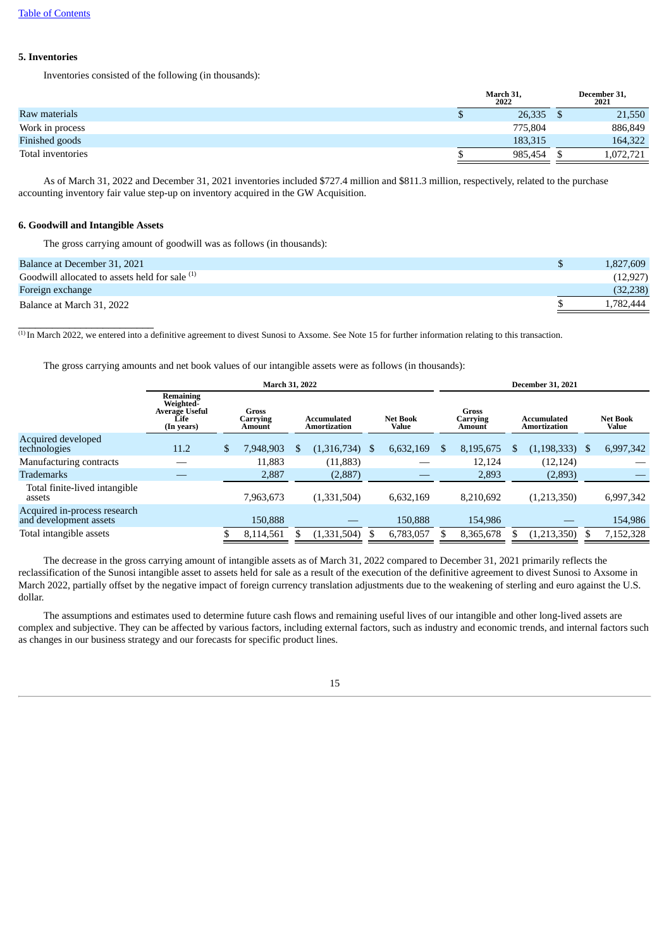# **5. Inventories**

Inventories consisted of the following (in thousands):

|                   |    | March 31,<br>2022 | December 31,<br>2021 |
|-------------------|----|-------------------|----------------------|
| Raw materials     | ۰D | 26,335            | 21,550               |
| Work in process   |    | 775,804           | 886,849              |
| Finished goods    |    | 183,315           | 164,322              |
| Total inventories |    | 985,454           | 1,072,721            |
|                   |    |                   |                      |

As of March 31, 2022 and December 31, 2021 inventories included \$727.4 million and \$811.3 million, respectively, related to the purchase accounting inventory fair value step-up on inventory acquired in the GW Acquisition.

# **6. Goodwill and Intangible Assets**

 $\overline{\phantom{a}}$  , where  $\overline{\phantom{a}}$  , where  $\overline{\phantom{a}}$  , where  $\overline{\phantom{a}}$ 

The gross carrying amount of goodwill was as follows (in thousands):

| Balance at December 31, 2021                              | 1.827.609 |
|-----------------------------------------------------------|-----------|
| Goodwill allocated to assets held for sale <sup>(1)</sup> | (12, 927) |
| Foreign exchange                                          | (32, 238) |
| Balance at March 31, 2022                                 | L.782.444 |

 $<sup>(1)</sup>$  In March 2022, we entered into a definitive agreement to divest Sunosi to Axsome. See Note 15 for further information relating to this transaction.</sup>

The gross carrying amounts and net book values of our intangible assets were as follows (in thousands):

|                                                        | March 31, 2022                                                 |                             |           |   |                                                                                               |  |           | <b>December 31, 2021</b> |                                           |  |                                 |  |           |  |  |
|--------------------------------------------------------|----------------------------------------------------------------|-----------------------------|-----------|---|-----------------------------------------------------------------------------------------------|--|-----------|--------------------------|-------------------------------------------|--|---------------------------------|--|-----------|--|--|
|                                                        | Remaining<br>Weighted-<br>Average Useful<br>Life<br>(In years) | Gross<br>Carrying<br>Amount |           |   | Gross<br><b>Net Book</b><br>Accumulated<br>Carrying<br><b>Amortization</b><br>Value<br>Amount |  |           |                          | <b>Accumulated</b><br><b>Amortization</b> |  | <b>Net Book</b><br><b>Value</b> |  |           |  |  |
| Acquired developed<br>technologies                     | 11.2                                                           | \$                          | 7,948,903 | S | $(1,316,734)$ \$                                                                              |  | 6,632,169 | S                        | 8,195,675                                 |  | $(1, 198, 333)$ \$              |  | 6,997,342 |  |  |
| Manufacturing contracts                                |                                                                |                             | 11,883    |   | (11, 883)                                                                                     |  |           |                          | 12,124                                    |  | (12, 124)                       |  |           |  |  |
| <b>Trademarks</b>                                      |                                                                |                             | 2,887     |   | (2,887)                                                                                       |  |           |                          | 2,893                                     |  | (2,893)                         |  |           |  |  |
| Total finite-lived intangible<br>assets                |                                                                |                             | 7,963,673 |   | (1,331,504)                                                                                   |  | 6,632,169 |                          | 8,210,692                                 |  | (1,213,350)                     |  | 6,997,342 |  |  |
| Acquired in-process research<br>and development assets |                                                                |                             | 150,888   |   |                                                                                               |  | 150,888   |                          | 154,986                                   |  |                                 |  | 154,986   |  |  |
| Total intangible assets                                |                                                                |                             | 8,114,561 |   | (1,331,504)                                                                                   |  | 6,783,057 |                          | 8,365,678                                 |  | (1,213,350)                     |  | 7,152,328 |  |  |

The decrease in the gross carrying amount of intangible assets as of March 31, 2022 compared to December 31, 2021 primarily reflects the reclassification of the Sunosi intangible asset to assets held for sale as a result of the execution of the definitive agreement to divest Sunosi to Axsome in March 2022, partially offset by the negative impact of foreign currency translation adjustments due to the weakening of sterling and euro against the U.S. dollar.

The assumptions and estimates used to determine future cash flows and remaining useful lives of our intangible and other long-lived assets are complex and subjective. They can be affected by various factors, including external factors, such as industry and economic trends, and internal factors such as changes in our business strategy and our forecasts for specific product lines.

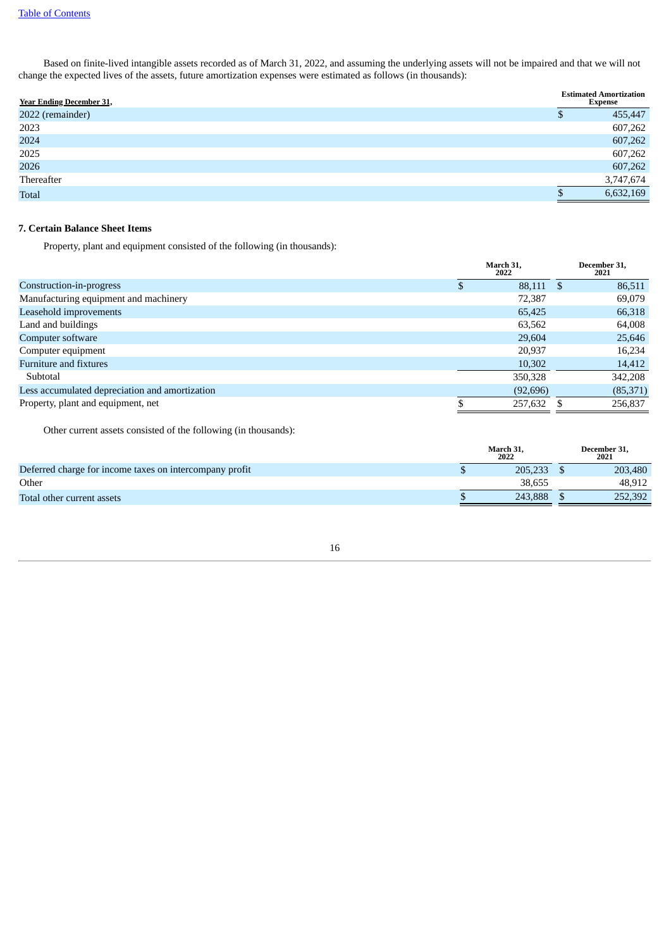Based on finite-lived intangible assets recorded as of March 31, 2022, and assuming the underlying assets will not be impaired and that we will not change the expected lives of the assets, future amortization expenses were estimated as follows (in thousands):

| <b>Year Ending December 31,</b> | <b>Estimated Amortization</b><br><b>Expense</b> |
|---------------------------------|-------------------------------------------------|
| 2022 (remainder)                | 455,447                                         |
| 2023                            | 607,262                                         |
| 2024                            | 607,262                                         |
| 2025                            | 607,262                                         |
| 2026                            | 607,262                                         |
| Thereafter                      | 3,747,674                                       |
| <b>Total</b>                    | 6,632,169                                       |

# **7. Certain Balance Sheet Items**

Property, plant and equipment consisted of the following (in thousands):

|                                                | March 31.<br>2022 |           | December 31.<br>2021 |
|------------------------------------------------|-------------------|-----------|----------------------|
| Construction-in-progress                       | S                 | 88,111 \$ | 86,511               |
| Manufacturing equipment and machinery          | 72,387            |           | 69,079               |
| Leasehold improvements                         | 65,425            |           | 66,318               |
| Land and buildings                             | 63,562            |           | 64,008               |
| Computer software                              | 29,604            |           | 25,646               |
| Computer equipment                             | 20,937            |           | 16,234               |
| Furniture and fixtures                         | 10,302            |           | 14,412               |
| Subtotal                                       | 350,328           |           | 342,208              |
| Less accumulated depreciation and amortization | (92, 696)         |           | (85, 371)            |
| Property, plant and equipment, net             | 257,632           |           | 256,837              |
|                                                |                   |           |                      |

Other current assets consisted of the following (in thousands):

|                                                         | March 31,<br>2022 | December 31,<br>2021 |
|---------------------------------------------------------|-------------------|----------------------|
| Deferred charge for income taxes on intercompany profit | 205.233           | 203,480              |
| Other                                                   | 38,655            | 48.912               |
| Total other current assets                              | 243,888           | 252,392              |
|                                                         |                   |                      |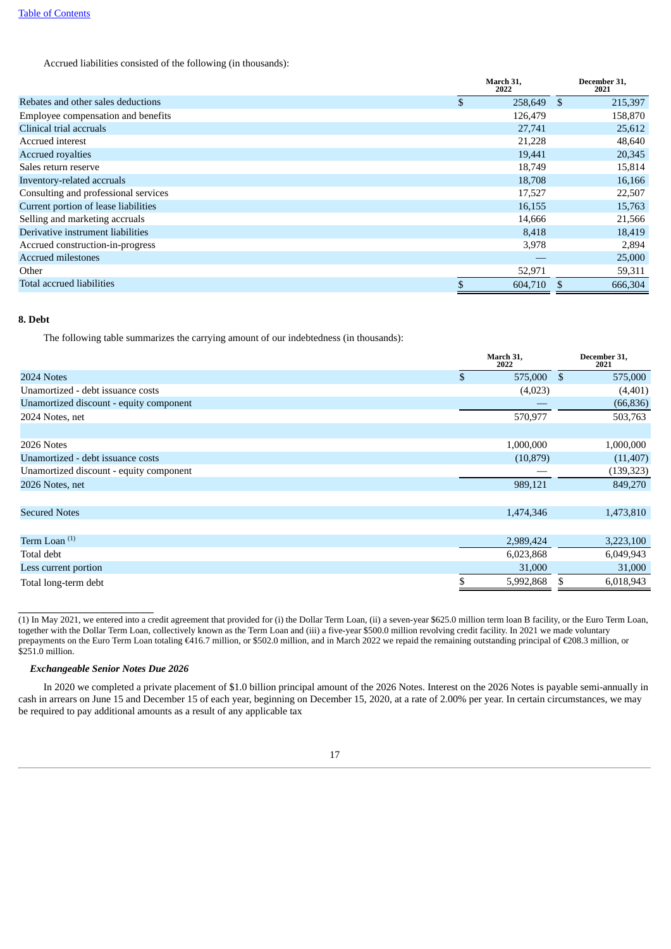Accrued liabilities consisted of the following (in thousands):

|                                      | March 31,<br>2022 |         |     | December 31,<br>2021 |
|--------------------------------------|-------------------|---------|-----|----------------------|
| Rebates and other sales deductions   | \$                | 258,649 | -\$ | 215,397              |
| Employee compensation and benefits   |                   | 126,479 |     | 158,870              |
| Clinical trial accruals              |                   | 27,741  |     | 25,612               |
| Accrued interest                     |                   | 21,228  |     | 48,640               |
| <b>Accrued royalties</b>             |                   | 19,441  |     | 20,345               |
| Sales return reserve                 |                   | 18,749  |     | 15,814               |
| Inventory-related accruals           |                   | 18,708  |     | 16,166               |
| Consulting and professional services |                   | 17,527  |     | 22,507               |
| Current portion of lease liabilities |                   | 16,155  |     | 15,763               |
| Selling and marketing accruals       |                   | 14,666  |     | 21,566               |
| Derivative instrument liabilities    |                   | 8,418   |     | 18,419               |
| Accrued construction-in-progress     |                   | 3,978   |     | 2,894                |
| <b>Accrued milestones</b>            |                   |         |     | 25,000               |
| Other                                |                   | 52,971  |     | 59,311               |
| Total accrued liabilities            |                   | 604,710 |     | 666.304              |

### **8. Debt**

The following table summarizes the carrying amount of our indebtedness (in thousands):

|                                         |                | March 31,<br>2022 |  |            |  | December 31,<br>2021 |
|-----------------------------------------|----------------|-------------------|--|------------|--|----------------------|
| 2024 Notes                              | $\mathfrak{S}$ | 575,000 \$        |  | 575,000    |  |                      |
| Unamortized - debt issuance costs       |                | (4,023)           |  | (4, 401)   |  |                      |
| Unamortized discount - equity component |                |                   |  | (66, 836)  |  |                      |
| 2024 Notes, net                         |                | 570,977           |  | 503,763    |  |                      |
|                                         |                |                   |  |            |  |                      |
| 2026 Notes                              |                | 1,000,000         |  | 1,000,000  |  |                      |
| Unamortized - debt issuance costs       |                | (10, 879)         |  | (11, 407)  |  |                      |
| Unamortized discount - equity component |                |                   |  | (139, 323) |  |                      |
| 2026 Notes, net                         |                | 989,121           |  | 849,270    |  |                      |
|                                         |                |                   |  |            |  |                      |
| <b>Secured Notes</b>                    |                | 1,474,346         |  | 1,473,810  |  |                      |
|                                         |                |                   |  |            |  |                      |
| Term Loan <sup>(1)</sup>                |                | 2,989,424         |  | 3,223,100  |  |                      |
| Total debt                              |                | 6,023,868         |  | 6,049,943  |  |                      |
| Less current portion                    |                | 31,000            |  | 31,000     |  |                      |
| Total long-term debt                    | \$             | 5,992,868         |  | 6,018,943  |  |                      |

(1) In May 2021, we entered into a credit agreement that provided for (i) the Dollar Term Loan, (ii) a seven-year \$625.0 million term loan B facility, or the Euro Term Loan, together with the Dollar Term Loan, collectively known as the Term Loan and (iii) a five-year \$500.0 million revolving credit facility. In 2021 we made voluntary prepayments on the Euro Term Loan totaling €416.7 million, or \$502.0 million, and in March 2022 we repaid the remaining outstanding principal of €208.3 million, or \$251.0 million.

#### *Exchangeable Senior Notes Due 2026*

 $\overline{\phantom{a}}$  , where  $\overline{\phantom{a}}$  , where  $\overline{\phantom{a}}$  , where  $\overline{\phantom{a}}$ 

In 2020 we completed a private placement of \$1.0 billion principal amount of the 2026 Notes. Interest on the 2026 Notes is payable semi-annually in cash in arrears on June 15 and December 15 of each year, beginning on December 15, 2020, at a rate of 2.00% per year. In certain circumstances, we may be required to pay additional amounts as a result of any applicable tax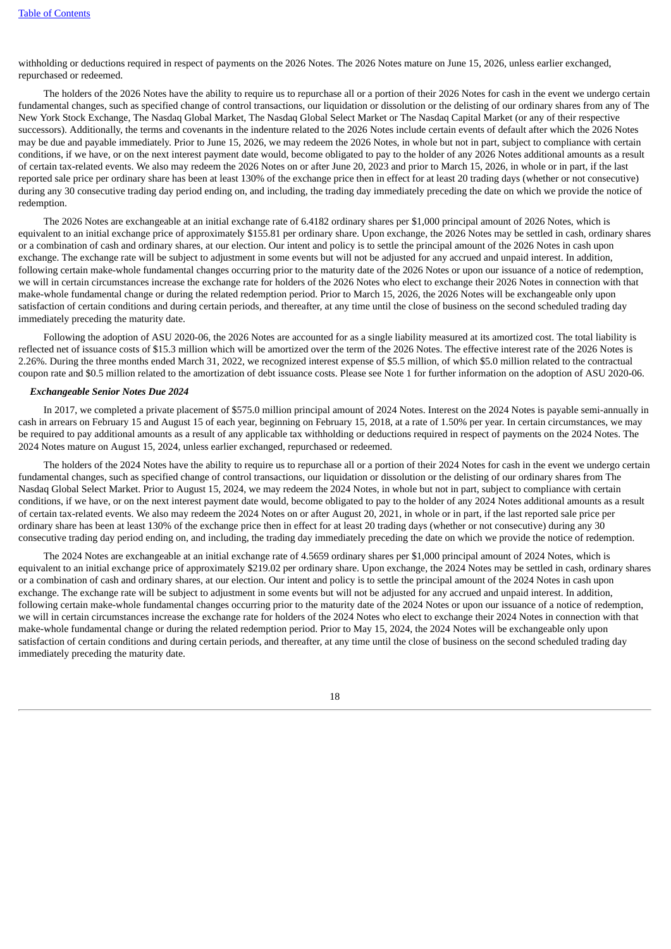withholding or deductions required in respect of payments on the 2026 Notes. The 2026 Notes mature on June 15, 2026, unless earlier exchanged, repurchased or redeemed.

The holders of the 2026 Notes have the ability to require us to repurchase all or a portion of their 2026 Notes for cash in the event we undergo certain fundamental changes, such as specified change of control transactions, our liquidation or dissolution or the delisting of our ordinary shares from any of The New York Stock Exchange, The Nasdaq Global Market, The Nasdaq Global Select Market or The Nasdaq Capital Market (or any of their respective successors). Additionally, the terms and covenants in the indenture related to the 2026 Notes include certain events of default after which the 2026 Notes may be due and payable immediately. Prior to June 15, 2026, we may redeem the 2026 Notes, in whole but not in part, subject to compliance with certain conditions, if we have, or on the next interest payment date would, become obligated to pay to the holder of any 2026 Notes additional amounts as a result of certain tax-related events. We also may redeem the 2026 Notes on or after June 20, 2023 and prior to March 15, 2026, in whole or in part, if the last reported sale price per ordinary share has been at least 130% of the exchange price then in effect for at least 20 trading days (whether or not consecutive) during any 30 consecutive trading day period ending on, and including, the trading day immediately preceding the date on which we provide the notice of redemption.

The 2026 Notes are exchangeable at an initial exchange rate of 6.4182 ordinary shares per \$1,000 principal amount of 2026 Notes, which is equivalent to an initial exchange price of approximately \$155.81 per ordinary share. Upon exchange, the 2026 Notes may be settled in cash, ordinary shares or a combination of cash and ordinary shares, at our election. Our intent and policy is to settle the principal amount of the 2026 Notes in cash upon exchange. The exchange rate will be subject to adjustment in some events but will not be adjusted for any accrued and unpaid interest. In addition, following certain make-whole fundamental changes occurring prior to the maturity date of the 2026 Notes or upon our issuance of a notice of redemption, we will in certain circumstances increase the exchange rate for holders of the 2026 Notes who elect to exchange their 2026 Notes in connection with that make-whole fundamental change or during the related redemption period. Prior to March 15, 2026, the 2026 Notes will be exchangeable only upon satisfaction of certain conditions and during certain periods, and thereafter, at any time until the close of business on the second scheduled trading day immediately preceding the maturity date.

Following the adoption of ASU 2020-06, the 2026 Notes are accounted for as a single liability measured at its amortized cost. The total liability is reflected net of issuance costs of \$15.3 million which will be amortized over the term of the 2026 Notes. The effective interest rate of the 2026 Notes is 2.26%. During the three months ended March 31, 2022, we recognized interest expense of \$5.5 million, of which \$5.0 million related to the contractual coupon rate and \$0.5 million related to the amortization of debt issuance costs. Please see Note 1 for further information on the adoption of ASU 2020-06.

#### *Exchangeable Senior Notes Due 2024*

In 2017, we completed a private placement of \$575.0 million principal amount of 2024 Notes. Interest on the 2024 Notes is payable semi-annually in cash in arrears on February 15 and August 15 of each year, beginning on February 15, 2018, at a rate of 1.50% per year. In certain circumstances, we may be required to pay additional amounts as a result of any applicable tax withholding or deductions required in respect of payments on the 2024 Notes. The 2024 Notes mature on August 15, 2024, unless earlier exchanged, repurchased or redeemed.

The holders of the 2024 Notes have the ability to require us to repurchase all or a portion of their 2024 Notes for cash in the event we undergo certain fundamental changes, such as specified change of control transactions, our liquidation or dissolution or the delisting of our ordinary shares from The Nasdaq Global Select Market. Prior to August 15, 2024, we may redeem the 2024 Notes, in whole but not in part, subject to compliance with certain conditions, if we have, or on the next interest payment date would, become obligated to pay to the holder of any 2024 Notes additional amounts as a result of certain tax-related events. We also may redeem the 2024 Notes on or after August 20, 2021, in whole or in part, if the last reported sale price per ordinary share has been at least 130% of the exchange price then in effect for at least 20 trading days (whether or not consecutive) during any 30 consecutive trading day period ending on, and including, the trading day immediately preceding the date on which we provide the notice of redemption.

The 2024 Notes are exchangeable at an initial exchange rate of 4.5659 ordinary shares per \$1,000 principal amount of 2024 Notes, which is equivalent to an initial exchange price of approximately \$219.02 per ordinary share. Upon exchange, the 2024 Notes may be settled in cash, ordinary shares or a combination of cash and ordinary shares, at our election. Our intent and policy is to settle the principal amount of the 2024 Notes in cash upon exchange. The exchange rate will be subject to adjustment in some events but will not be adjusted for any accrued and unpaid interest. In addition, following certain make-whole fundamental changes occurring prior to the maturity date of the 2024 Notes or upon our issuance of a notice of redemption, we will in certain circumstances increase the exchange rate for holders of the 2024 Notes who elect to exchange their 2024 Notes in connection with that make-whole fundamental change or during the related redemption period. Prior to May 15, 2024, the 2024 Notes will be exchangeable only upon satisfaction of certain conditions and during certain periods, and thereafter, at any time until the close of business on the second scheduled trading day immediately preceding the maturity date.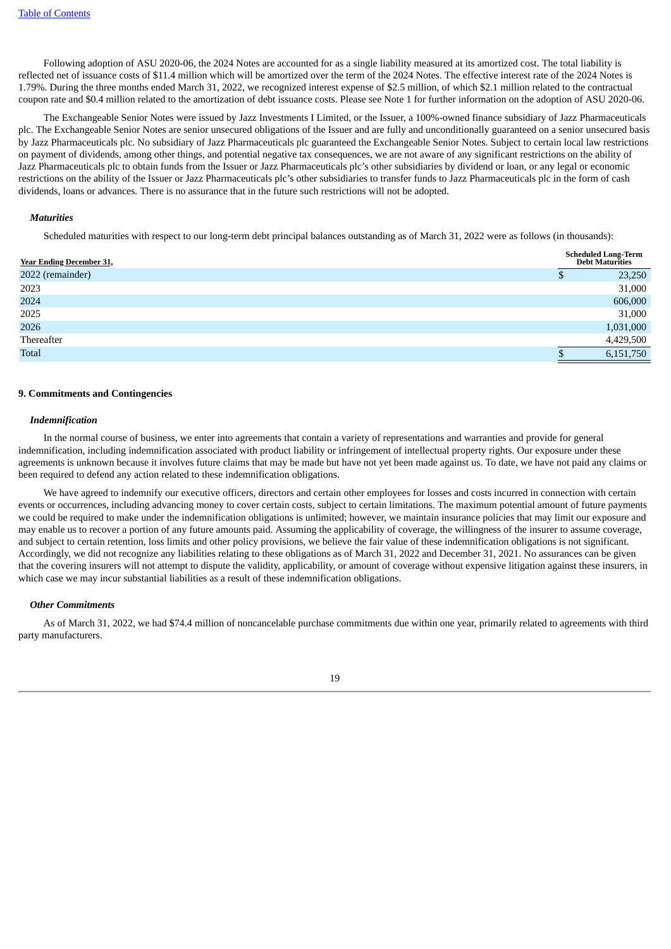Following adoption of ASU 2020-06, the 2024 Notes are accounted for as a single liability measured at its amortized cost. The total liability is reflected net of issuance costs of \$11.4 million which will be amortized over the term of the 2024 Notes. The effective interest rate of the 2024 Notes is 1.79%. During the three months ended March 31, 2022, we recognized interest expense of \$2.5 million, of which \$2.1 million related to the contractual coupon rate and \$0.4 million related to the amortization of debt issuance costs. Please see Note 1 for further information on the adoption of ASU 2020-06.

The Exchangeable Senior Notes were issued by Jazz Investments I Limited, or the Issuer, a 100%-owned finance subsidiary of Jazz Pharmaceuticals plc. The Exchangeable Senior Notes are senior unsecured obligations of the Issuer and are fully and unconditionally guaranteed on a senior unsecured basis by Jazz Pharmaceuticals plc. No subsidiary of Jazz Pharmaceuticals plc guaranteed the Exchangeable Senior Notes. Subject to certain local law restrictions on payment of dividends, among other things, and potential negative tax consequences, we are not aware of any significant restrictions on the ability of Jazz Pharmaceuticals plc to obtain funds from the Issuer or Jazz Pharmaceuticals plc's other subsidiaries by dividend or loan, or any legal or economic restrictions on the ability of the Issuer or Jazz Pharmaceuticals plc's other subsidiaries to transfer funds to Jazz Pharmaceuticals plc in the form of cash dividends, loans or advances. There is no assurance that in the future such restrictions will not be adopted.

#### *Maturities*

Scheduled maturities with respect to our long-term debt principal balances outstanding as of March 31, 2022 were as follows (in thousands):

| <b>Year Ending December 31,</b> |    | <b>Scheduled Long-Term<br/>Debt Maturities</b> |
|---------------------------------|----|------------------------------------------------|
| 2022 (remainder)                | ٦J | 23,250                                         |
| 2023                            |    | 31,000                                         |
| 2024                            |    | 606,000                                        |
| 2025                            |    | 31,000                                         |
| 2026                            |    | 1,031,000                                      |
| Thereafter                      |    | 4,429,500                                      |
| <b>Total</b>                    |    | 6,151,750                                      |

# **9. Commitments and Contingencies**

#### *Indemnification*

In the normal course of business, we enter into agreements that contain a variety of representations and warranties and provide for general indemnification, including indemnification associated with product liability or infringement of intellectual property rights. Our exposure under these agreements is unknown because it involves future claims that may be made but have not yet been made against us. To date, we have not paid any claims or been required to defend any action related to these indemnification obligations.

We have agreed to indemnify our executive officers, directors and certain other employees for losses and costs incurred in connection with certain events or occurrences, including advancing money to cover certain costs, subject to certain limitations. The maximum potential amount of future payments we could be required to make under the indemnification obligations is unlimited; however, we maintain insurance policies that may limit our exposure and may enable us to recover a portion of any future amounts paid. Assuming the applicability of coverage, the willingness of the insurer to assume coverage, and subject to certain retention, loss limits and other policy provisions, we believe the fair value of these indemnification obligations is not significant. Accordingly, we did not recognize any liabilities relating to these obligations as of March 31, 2022 and December 31, 2021. No assurances can be given that the covering insurers will not attempt to dispute the validity, applicability, or amount of coverage without expensive litigation against these insurers, in which case we may incur substantial liabilities as a result of these indemnification obligations.

#### *Other Commitments*

As of March 31, 2022, we had \$74.4 million of noncancelable purchase commitments due within one year, primarily related to agreements with third party manufacturers.

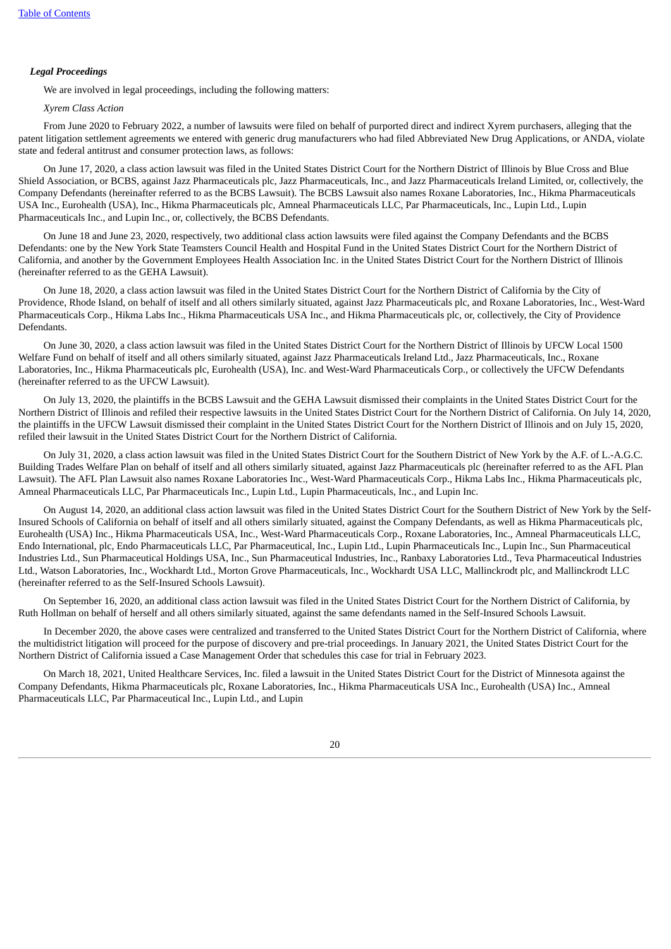#### *Legal Proceedings*

We are involved in legal proceedings, including the following matters:

# *Xyrem Class Action*

From June 2020 to February 2022, a number of lawsuits were filed on behalf of purported direct and indirect Xyrem purchasers, alleging that the patent litigation settlement agreements we entered with generic drug manufacturers who had filed Abbreviated New Drug Applications, or ANDA, violate state and federal antitrust and consumer protection laws, as follows:

On June 17, 2020, a class action lawsuit was filed in the United States District Court for the Northern District of Illinois by Blue Cross and Blue Shield Association, or BCBS, against Jazz Pharmaceuticals plc, Jazz Pharmaceuticals, Inc., and Jazz Pharmaceuticals Ireland Limited, or, collectively, the Company Defendants (hereinafter referred to as the BCBS Lawsuit). The BCBS Lawsuit also names Roxane Laboratories, Inc., Hikma Pharmaceuticals USA Inc., Eurohealth (USA), Inc., Hikma Pharmaceuticals plc, Amneal Pharmaceuticals LLC, Par Pharmaceuticals, Inc., Lupin Ltd., Lupin Pharmaceuticals Inc., and Lupin Inc., or, collectively, the BCBS Defendants.

On June 18 and June 23, 2020, respectively, two additional class action lawsuits were filed against the Company Defendants and the BCBS Defendants: one by the New York State Teamsters Council Health and Hospital Fund in the United States District Court for the Northern District of California, and another by the Government Employees Health Association Inc. in the United States District Court for the Northern District of Illinois (hereinafter referred to as the GEHA Lawsuit).

On June 18, 2020, a class action lawsuit was filed in the United States District Court for the Northern District of California by the City of Providence, Rhode Island, on behalf of itself and all others similarly situated, against Jazz Pharmaceuticals plc, and Roxane Laboratories, Inc., West-Ward Pharmaceuticals Corp., Hikma Labs Inc., Hikma Pharmaceuticals USA Inc., and Hikma Pharmaceuticals plc, or, collectively, the City of Providence Defendants.

On June 30, 2020, a class action lawsuit was filed in the United States District Court for the Northern District of Illinois by UFCW Local 1500 Welfare Fund on behalf of itself and all others similarly situated, against Jazz Pharmaceuticals Ireland Ltd., Jazz Pharmaceuticals, Inc., Roxane Laboratories, Inc., Hikma Pharmaceuticals plc, Eurohealth (USA), Inc. and West-Ward Pharmaceuticals Corp., or collectively the UFCW Defendants (hereinafter referred to as the UFCW Lawsuit).

On July 13, 2020, the plaintiffs in the BCBS Lawsuit and the GEHA Lawsuit dismissed their complaints in the United States District Court for the Northern District of Illinois and refiled their respective lawsuits in the United States District Court for the Northern District of California. On July 14, 2020, the plaintiffs in the UFCW Lawsuit dismissed their complaint in the United States District Court for the Northern District of Illinois and on July 15, 2020, refiled their lawsuit in the United States District Court for the Northern District of California.

On July 31, 2020, a class action lawsuit was filed in the United States District Court for the Southern District of New York by the A.F. of L.-A.G.C. Building Trades Welfare Plan on behalf of itself and all others similarly situated, against Jazz Pharmaceuticals plc (hereinafter referred to as the AFL Plan Lawsuit). The AFL Plan Lawsuit also names Roxane Laboratories Inc., West-Ward Pharmaceuticals Corp., Hikma Labs Inc., Hikma Pharmaceuticals plc, Amneal Pharmaceuticals LLC, Par Pharmaceuticals Inc., Lupin Ltd., Lupin Pharmaceuticals, Inc., and Lupin Inc.

On August 14, 2020, an additional class action lawsuit was filed in the United States District Court for the Southern District of New York by the Self-Insured Schools of California on behalf of itself and all others similarly situated, against the Company Defendants, as well as Hikma Pharmaceuticals plc, Eurohealth (USA) Inc., Hikma Pharmaceuticals USA, Inc., West-Ward Pharmaceuticals Corp., Roxane Laboratories, Inc., Amneal Pharmaceuticals LLC, Endo International, plc, Endo Pharmaceuticals LLC, Par Pharmaceutical, Inc., Lupin Ltd., Lupin Pharmaceuticals Inc., Lupin Inc., Sun Pharmaceutical Industries Ltd., Sun Pharmaceutical Holdings USA, Inc., Sun Pharmaceutical Industries, Inc., Ranbaxy Laboratories Ltd., Teva Pharmaceutical Industries Ltd., Watson Laboratories, Inc., Wockhardt Ltd., Morton Grove Pharmaceuticals, Inc., Wockhardt USA LLC, Mallinckrodt plc, and Mallinckrodt LLC (hereinafter referred to as the Self-Insured Schools Lawsuit).

On September 16, 2020, an additional class action lawsuit was filed in the United States District Court for the Northern District of California, by Ruth Hollman on behalf of herself and all others similarly situated, against the same defendants named in the Self-Insured Schools Lawsuit.

In December 2020, the above cases were centralized and transferred to the United States District Court for the Northern District of California, where the multidistrict litigation will proceed for the purpose of discovery and pre-trial proceedings. In January 2021, the United States District Court for the Northern District of California issued a Case Management Order that schedules this case for trial in February 2023.

On March 18, 2021, United Healthcare Services, Inc. filed a lawsuit in the United States District Court for the District of Minnesota against the Company Defendants, Hikma Pharmaceuticals plc, Roxane Laboratories, Inc., Hikma Pharmaceuticals USA Inc., Eurohealth (USA) Inc., Amneal Pharmaceuticals LLC, Par Pharmaceutical Inc., Lupin Ltd., and Lupin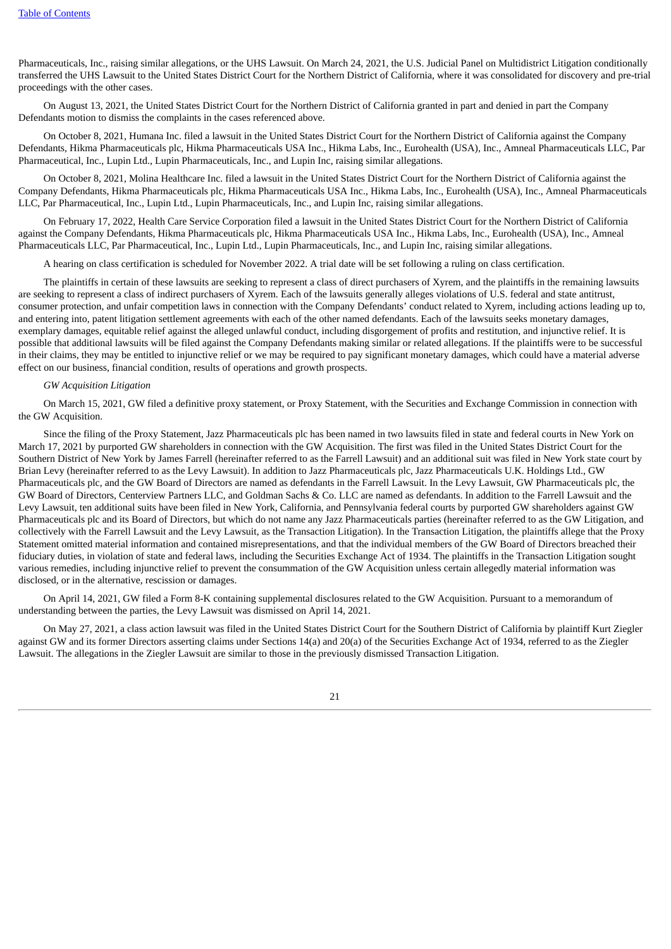Pharmaceuticals, Inc., raising similar allegations, or the UHS Lawsuit. On March 24, 2021, the U.S. Judicial Panel on Multidistrict Litigation conditionally transferred the UHS Lawsuit to the United States District Court for the Northern District of California, where it was consolidated for discovery and pre-trial proceedings with the other cases.

On August 13, 2021, the United States District Court for the Northern District of California granted in part and denied in part the Company Defendants motion to dismiss the complaints in the cases referenced above.

On October 8, 2021, Humana Inc. filed a lawsuit in the United States District Court for the Northern District of California against the Company Defendants, Hikma Pharmaceuticals plc, Hikma Pharmaceuticals USA Inc., Hikma Labs, Inc., Eurohealth (USA), Inc., Amneal Pharmaceuticals LLC, Par Pharmaceutical, Inc., Lupin Ltd., Lupin Pharmaceuticals, Inc., and Lupin Inc, raising similar allegations.

On October 8, 2021, Molina Healthcare Inc. filed a lawsuit in the United States District Court for the Northern District of California against the Company Defendants, Hikma Pharmaceuticals plc, Hikma Pharmaceuticals USA Inc., Hikma Labs, Inc., Eurohealth (USA), Inc., Amneal Pharmaceuticals LLC, Par Pharmaceutical, Inc., Lupin Ltd., Lupin Pharmaceuticals, Inc., and Lupin Inc, raising similar allegations.

On February 17, 2022, Health Care Service Corporation filed a lawsuit in the United States District Court for the Northern District of California against the Company Defendants, Hikma Pharmaceuticals plc, Hikma Pharmaceuticals USA Inc., Hikma Labs, Inc., Eurohealth (USA), Inc., Amneal Pharmaceuticals LLC, Par Pharmaceutical, Inc., Lupin Ltd., Lupin Pharmaceuticals, Inc., and Lupin Inc, raising similar allegations.

A hearing on class certification is scheduled for November 2022. A trial date will be set following a ruling on class certification.

The plaintiffs in certain of these lawsuits are seeking to represent a class of direct purchasers of Xyrem, and the plaintiffs in the remaining lawsuits are seeking to represent a class of indirect purchasers of Xyrem. Each of the lawsuits generally alleges violations of U.S. federal and state antitrust, consumer protection, and unfair competition laws in connection with the Company Defendants' conduct related to Xyrem, including actions leading up to, and entering into, patent litigation settlement agreements with each of the other named defendants. Each of the lawsuits seeks monetary damages, exemplary damages, equitable relief against the alleged unlawful conduct, including disgorgement of profits and restitution, and injunctive relief. It is possible that additional lawsuits will be filed against the Company Defendants making similar or related allegations. If the plaintiffs were to be successful in their claims, they may be entitled to injunctive relief or we may be required to pay significant monetary damages, which could have a material adverse effect on our business, financial condition, results of operations and growth prospects.

#### *GW Acquisition Litigation*

On March 15, 2021, GW filed a definitive proxy statement, or Proxy Statement, with the Securities and Exchange Commission in connection with the GW Acquisition.

Since the filing of the Proxy Statement, Jazz Pharmaceuticals plc has been named in two lawsuits filed in state and federal courts in New York on March 17, 2021 by purported GW shareholders in connection with the GW Acquisition. The first was filed in the United States District Court for the Southern District of New York by James Farrell (hereinafter referred to as the Farrell Lawsuit) and an additional suit was filed in New York state court by Brian Levy (hereinafter referred to as the Levy Lawsuit). In addition to Jazz Pharmaceuticals plc, Jazz Pharmaceuticals U.K. Holdings Ltd., GW Pharmaceuticals plc, and the GW Board of Directors are named as defendants in the Farrell Lawsuit. In the Levy Lawsuit, GW Pharmaceuticals plc, the GW Board of Directors, Centerview Partners LLC, and Goldman Sachs & Co. LLC are named as defendants. In addition to the Farrell Lawsuit and the Levy Lawsuit, ten additional suits have been filed in New York, California, and Pennsylvania federal courts by purported GW shareholders against GW Pharmaceuticals plc and its Board of Directors, but which do not name any Jazz Pharmaceuticals parties (hereinafter referred to as the GW Litigation, and collectively with the Farrell Lawsuit and the Levy Lawsuit, as the Transaction Litigation). In the Transaction Litigation, the plaintiffs allege that the Proxy Statement omitted material information and contained misrepresentations, and that the individual members of the GW Board of Directors breached their fiduciary duties, in violation of state and federal laws, including the Securities Exchange Act of 1934. The plaintiffs in the Transaction Litigation sought various remedies, including injunctive relief to prevent the consummation of the GW Acquisition unless certain allegedly material information was disclosed, or in the alternative, rescission or damages.

On April 14, 2021, GW filed a Form 8-K containing supplemental disclosures related to the GW Acquisition. Pursuant to a memorandum of understanding between the parties, the Levy Lawsuit was dismissed on April 14, 2021.

On May 27, 2021, a class action lawsuit was filed in the United States District Court for the Southern District of California by plaintiff Kurt Ziegler against GW and its former Directors asserting claims under Sections 14(a) and 20(a) of the Securities Exchange Act of 1934, referred to as the Ziegler Lawsuit. The allegations in the Ziegler Lawsuit are similar to those in the previously dismissed Transaction Litigation.

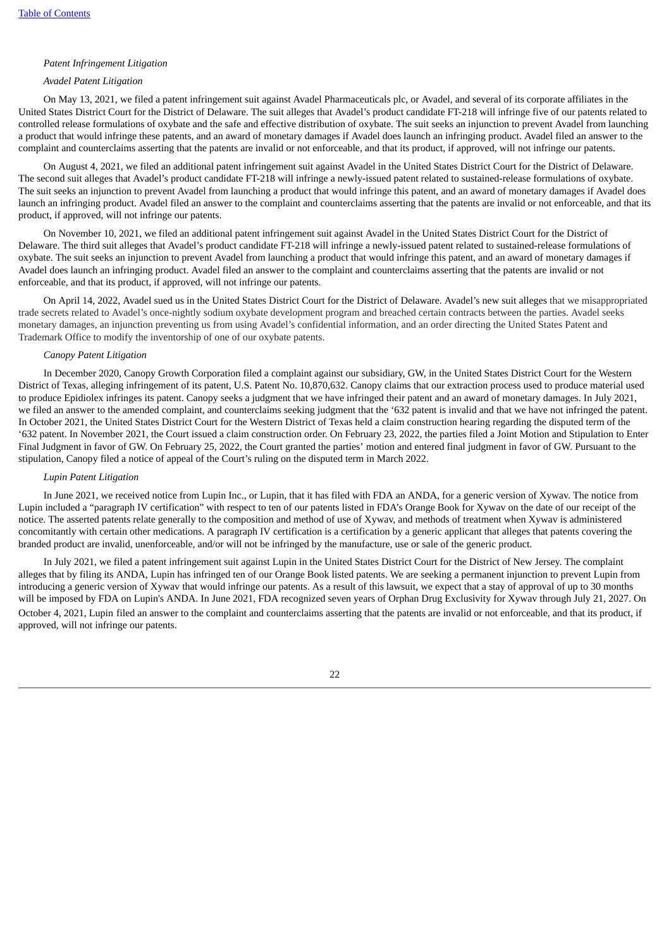#### *Patent Infringement Litigation*

# *Avadel Patent Litigation*

On May 13, 2021, we filed a patent infringement suit against Avadel Pharmaceuticals plc, or Avadel, and several of its corporate affiliates in the United States District Court for the District of Delaware. The suit alleges that Avadel's product candidate FT-218 will infringe five of our patents related to controlled release formulations of oxybate and the safe and effective distribution of oxybate. The suit seeks an injunction to prevent Avadel from launching a product that would infringe these patents, and an award of monetary damages if Avadel does launch an infringing product. Avadel filed an answer to the complaint and counterclaims asserting that the patents are invalid or not enforceable, and that its product, if approved, will not infringe our patents.

On August 4, 2021, we filed an additional patent infringement suit against Avadel in the United States District Court for the District of Delaware. The second suit alleges that Avadel's product candidate FT-218 will infringe a newly-issued patent related to sustained-release formulations of oxybate. The suit seeks an injunction to prevent Avadel from launching a product that would infringe this patent, and an award of monetary damages if Avadel does launch an infringing product. Avadel filed an answer to the complaint and counterclaims asserting that the patents are invalid or not enforceable, and that its product, if approved, will not infringe our patents.

On November 10, 2021, we filed an additional patent infringement suit against Avadel in the United States District Court for the District of Delaware. The third suit alleges that Avadel's product candidate FT-218 will infringe a newly-issued patent related to sustained-release formulations of oxybate. The suit seeks an injunction to prevent Avadel from launching a product that would infringe this patent, and an award of monetary damages if Avadel does launch an infringing product. Avadel filed an answer to the complaint and counterclaims asserting that the patents are invalid or not enforceable, and that its product, if approved, will not infringe our patents.

On April 14, 2022, Avadel sued us in the United States District Court for the District of Delaware. Avadel's new suit alleges that we misappropriated trade secrets related to Avadel's once-nightly sodium oxybate development program and breached certain contracts between the parties. Avadel seeks monetary damages, an injunction preventing us from using Avadel's confidential information, and an order directing the United States Patent and Trademark Office to modify the inventorship of one of our oxybate patents.

# *Canopy Patent Litigation*

In December 2020, Canopy Growth Corporation filed a complaint against our subsidiary, GW, in the United States District Court for the Western District of Texas, alleging infringement of its patent, U.S. Patent No. 10,870,632. Canopy claims that our extraction process used to produce material used to produce Epidiolex infringes its patent. Canopy seeks a judgment that we have infringed their patent and an award of monetary damages. In July 2021, we filed an answer to the amended complaint, and counterclaims seeking judgment that the '632 patent is invalid and that we have not infringed the patent. In October 2021, the United States District Court for the Western District of Texas held a claim construction hearing regarding the disputed term of the '632 patent. In November 2021, the Court issued a claim construction order. On February 23, 2022, the parties filed a Joint Motion and Stipulation to Enter Final Judgment in favor of GW. On February 25, 2022, the Court granted the parties' motion and entered final judgment in favor of GW. Pursuant to the stipulation, Canopy filed a notice of appeal of the Court's ruling on the disputed term in March 2022.

#### *Lupin Patent Litigation*

In June 2021, we received notice from Lupin Inc., or Lupin, that it has filed with FDA an ANDA, for a generic version of Xywav. The notice from Lupin included a "paragraph IV certification" with respect to ten of our patents listed in FDA's Orange Book for Xywav on the date of our receipt of the notice. The asserted patents relate generally to the composition and method of use of Xywav, and methods of treatment when Xywav is administered concomitantly with certain other medications. A paragraph IV certification is a certification by a generic applicant that alleges that patents covering the branded product are invalid, unenforceable, and/or will not be infringed by the manufacture, use or sale of the generic product.

In July 2021, we filed a patent infringement suit against Lupin in the United States District Court for the District of New Jersey. The complaint alleges that by filing its ANDA, Lupin has infringed ten of our Orange Book listed patents. We are seeking a permanent injunction to prevent Lupin from introducing a generic version of Xywav that would infringe our patents. As a result of this lawsuit, we expect that a stay of approval of up to 30 months will be imposed by FDA on Lupin's ANDA. In June 2021, FDA recognized seven years of Orphan Drug Exclusivity for Xywav through July 21, 2027. On October 4, 2021, Lupin filed an answer to the complaint and counterclaims asserting that the patents are invalid or not enforceable, and that its product, if approved, will not infringe our patents.

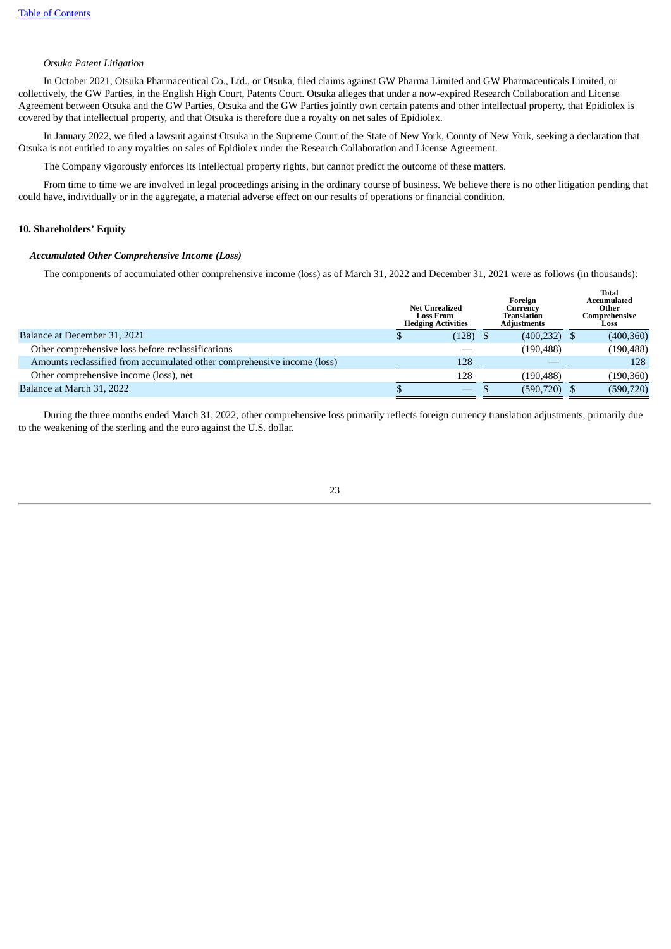# *Otsuka Patent Litigation*

In October 2021, Otsuka Pharmaceutical Co., Ltd., or Otsuka, filed claims against GW Pharma Limited and GW Pharmaceuticals Limited, or collectively, the GW Parties, in the English High Court, Patents Court. Otsuka alleges that under a now-expired Research Collaboration and License Agreement between Otsuka and the GW Parties, Otsuka and the GW Parties jointly own certain patents and other intellectual property, that Epidiolex is covered by that intellectual property, and that Otsuka is therefore due a royalty on net sales of Epidiolex.

In January 2022, we filed a lawsuit against Otsuka in the Supreme Court of the State of New York, County of New York, seeking a declaration that Otsuka is not entitled to any royalties on sales of Epidiolex under the Research Collaboration and License Agreement.

The Company vigorously enforces its intellectual property rights, but cannot predict the outcome of these matters.

From time to time we are involved in legal proceedings arising in the ordinary course of business. We believe there is no other litigation pending that could have, individually or in the aggregate, a material adverse effect on our results of operations or financial condition.

# **10. Shareholders' Equity**

### *Accumulated Other Comprehensive Income (Loss)*

The components of accumulated other comprehensive income (loss) as of March 31, 2022 and December 31, 2021 were as follows (in thousands):

|                                                                         | <b>Net Unrealized</b><br>Loss From<br><b>Hedging Activities</b> | Foreign<br>Currency<br>Translation<br>Adjustments | <b>Total</b><br>Accumulated<br>Other<br>Comprehensive<br>Loss |
|-------------------------------------------------------------------------|-----------------------------------------------------------------|---------------------------------------------------|---------------------------------------------------------------|
| Balance at December 31, 2021                                            | $(128)$ \$                                                      | $(400, 232)$ \$                                   | (400, 360)                                                    |
| Other comprehensive loss before reclassifications                       |                                                                 | (190, 488)                                        | (190, 488)                                                    |
| Amounts reclassified from accumulated other comprehensive income (loss) | 128                                                             |                                                   | 128                                                           |
| Other comprehensive income (loss), net                                  | 128                                                             | (190, 488)                                        | (190, 360)                                                    |
| Balance at March 31, 2022                                               |                                                                 | $(590, 720)$ \$                                   | (590, 720)                                                    |
|                                                                         |                                                                 |                                                   |                                                               |

During the three months ended March 31, 2022, other comprehensive loss primarily reflects foreign currency translation adjustments, primarily due to the weakening of the sterling and the euro against the U.S. dollar.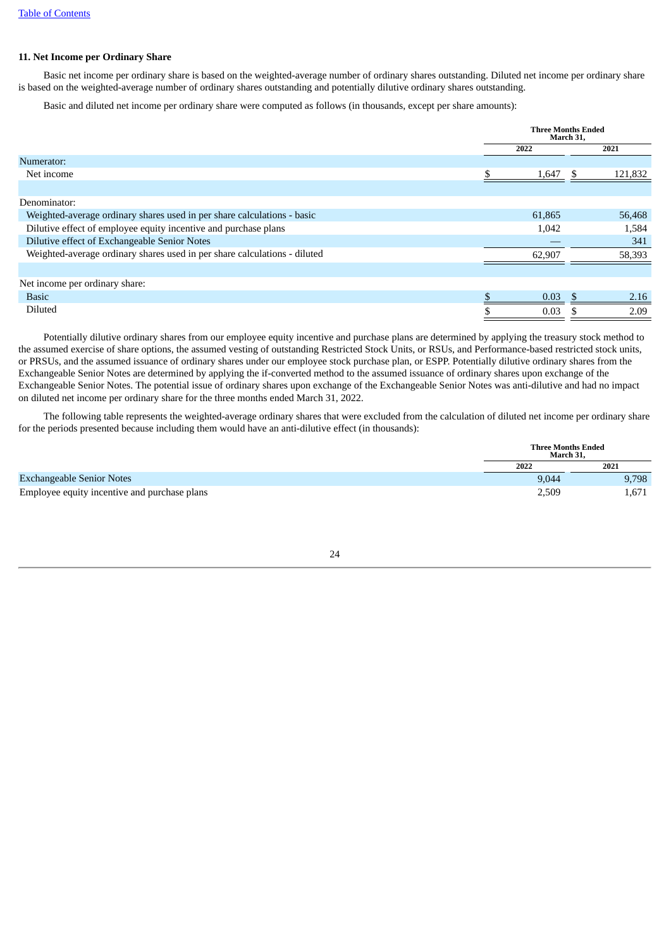# **11. Net Income per Ordinary Share**

Basic net income per ordinary share is based on the weighted-average number of ordinary shares outstanding. Diluted net income per ordinary share is based on the weighted-average number of ordinary shares outstanding and potentially dilutive ordinary shares outstanding.

Basic and diluted net income per ordinary share were computed as follows (in thousands, except per share amounts):

|                                                                           |        | <b>Three Months Ended</b><br>March 31, |         |  |
|---------------------------------------------------------------------------|--------|----------------------------------------|---------|--|
|                                                                           | 2022   |                                        | 2021    |  |
| Numerator:                                                                |        |                                        |         |  |
| Net income                                                                | 1,647  |                                        | 121,832 |  |
|                                                                           |        |                                        |         |  |
| Denominator:                                                              |        |                                        |         |  |
| Weighted-average ordinary shares used in per share calculations - basic   | 61,865 |                                        | 56,468  |  |
| Dilutive effect of employee equity incentive and purchase plans           | 1,042  |                                        | 1,584   |  |
| Dilutive effect of Exchangeable Senior Notes                              |        |                                        | 341     |  |
| Weighted-average ordinary shares used in per share calculations - diluted | 62,907 |                                        | 58,393  |  |
|                                                                           |        |                                        |         |  |
| Net income per ordinary share:                                            |        |                                        |         |  |
| <b>Basic</b>                                                              | 0.03   |                                        | 2.16    |  |
| Diluted                                                                   | 0.03   |                                        | 2.09    |  |
|                                                                           |        |                                        |         |  |

Potentially dilutive ordinary shares from our employee equity incentive and purchase plans are determined by applying the treasury stock method to the assumed exercise of share options, the assumed vesting of outstanding Restricted Stock Units, or RSUs, and Performance-based restricted stock units, or PRSUs, and the assumed issuance of ordinary shares under our employee stock purchase plan, or ESPP. Potentially dilutive ordinary shares from the Exchangeable Senior Notes are determined by applying the if-converted method to the assumed issuance of ordinary shares upon exchange of the Exchangeable Senior Notes. The potential issue of ordinary shares upon exchange of the Exchangeable Senior Notes was anti-dilutive and had no impact on diluted net income per ordinary share for the three months ended March 31, 2022.

The following table represents the weighted-average ordinary shares that were excluded from the calculation of diluted net income per ordinary share for the periods presented because including them would have an anti-dilutive effect (in thousands):

|                                              | Three Months Ended<br>March 31. |       |
|----------------------------------------------|---------------------------------|-------|
|                                              | 2022                            | 2021  |
| <b>Exchangeable Senior Notes</b>             | 9,044                           | 9,798 |
| Employee equity incentive and purchase plans | 2,509                           | .671  |

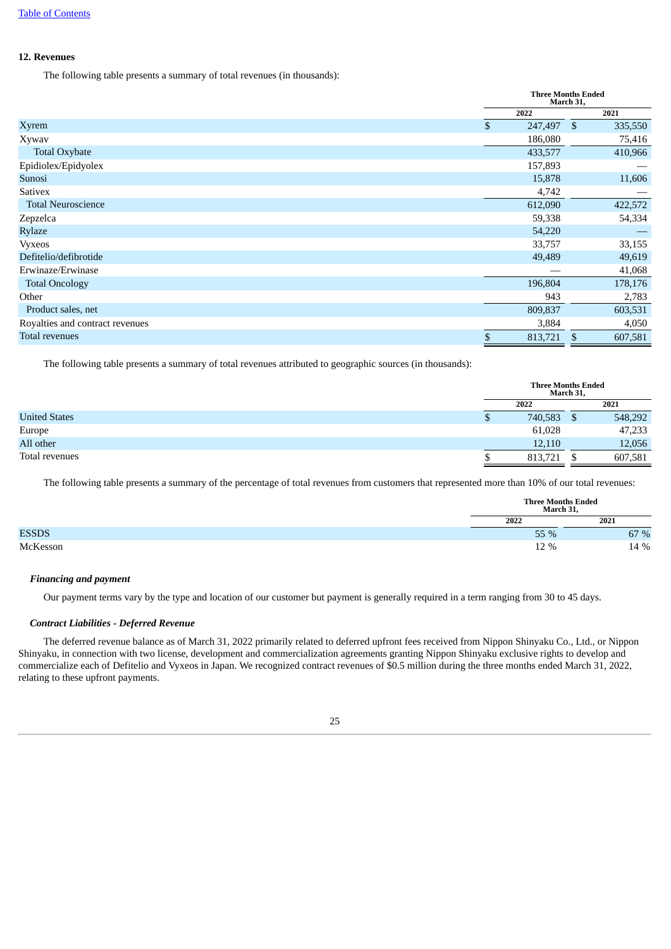# **12. Revenues**

The following table presents a summary of total revenues (in thousands):

|                                 |               | <b>Three Months Ended</b><br>March 31, |
|---------------------------------|---------------|----------------------------------------|
|                                 | 2022          | 2021                                   |
| <b>Xyrem</b>                    | \$<br>247,497 | - \$<br>335,550                        |
| Xywav                           | 186,080       | 75,416                                 |
| <b>Total Oxybate</b>            | 433,577       | 410,966                                |
| Epidiolex/Epidyolex             | 157,893       |                                        |
| Sunosi                          | 15,878        | 11,606                                 |
| <b>Sativex</b>                  | 4,742         |                                        |
| <b>Total Neuroscience</b>       | 612,090       | 422,572                                |
| Zepzelca                        | 59,338        | 54,334                                 |
| Rylaze                          | 54,220        |                                        |
| <b>Vyxeos</b>                   | 33,757        | 33,155                                 |
| Defitelio/defibrotide           | 49,489        | 49,619                                 |
| Erwinaze/Erwinase               |               | 41,068                                 |
| <b>Total Oncology</b>           | 196,804       | 178,176                                |
| Other                           | 943           | 2,783                                  |
| Product sales, net              | 809,837       | 603,531                                |
| Royalties and contract revenues | 3,884         | 4,050                                  |
| <b>Total revenues</b>           | 813,721<br>\$ | 607,581<br><sup>\$</sup>               |

The following table presents a summary of total revenues attributed to geographic sources (in thousands):

|                      | <b>Three Months Ended</b><br>March 31, |         |          |         |
|----------------------|----------------------------------------|---------|----------|---------|
|                      |                                        | 2022    |          | 2021    |
| <b>United States</b> | Ф                                      | 740,583 | <b>S</b> | 548,292 |
| Europe               |                                        | 61,028  |          | 47,233  |
| All other            |                                        | 12,110  |          | 12,056  |
| Total revenues       |                                        | 813,721 |          | 607,581 |

The following table presents a summary of the percentage of total revenues from customers that represented more than 10% of our total revenues:

|              | <b>Three Months Ended</b><br>March 31, |      |  |
|--------------|----------------------------------------|------|--|
|              | 2022                                   | 2021 |  |
| <b>ESSDS</b> | 55 %                                   | 67 % |  |
| McKesson     | 12 %                                   | 14 % |  |

# *Financing and payment*

Our payment terms vary by the type and location of our customer but payment is generally required in a term ranging from 30 to 45 days.

# *Contract Liabilities - Deferred Revenue*

The deferred revenue balance as of March 31, 2022 primarily related to deferred upfront fees received from Nippon Shinyaku Co., Ltd., or Nippon Shinyaku, in connection with two license, development and commercialization agreements granting Nippon Shinyaku exclusive rights to develop and commercialize each of Defitelio and Vyxeos in Japan. We recognized contract revenues of \$0.5 million during the three months ended March 31, 2022, relating to these upfront payments.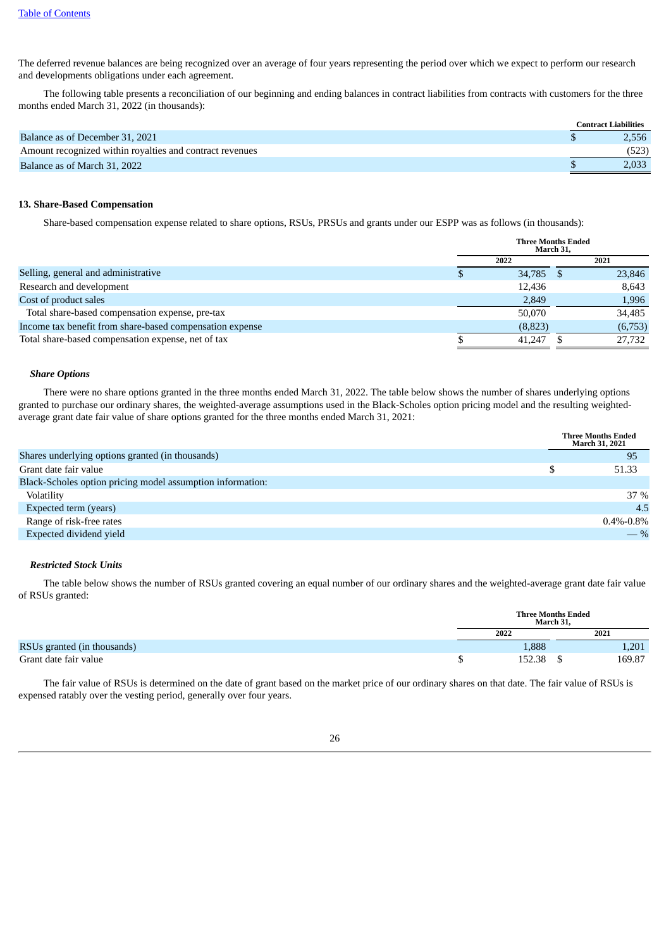The deferred revenue balances are being recognized over an average of four years representing the period over which we expect to perform our research and developments obligations under each agreement.

The following table presents a reconciliation of our beginning and ending balances in contract liabilities from contracts with customers for the three months ended March 31, 2022 (in thousands):

|                                                          | <b>Contract Liabilities</b> |       |
|----------------------------------------------------------|-----------------------------|-------|
| Balance as of December 31, 2021                          |                             | 2.556 |
| Amount recognized within royalties and contract revenues |                             | (523) |
| Balance as of March 31, 2022                             |                             | 2,033 |
|                                                          |                             |       |

#### **13. Share-Based Compensation**

Share-based compensation expense related to share options, RSUs, PRSUs and grants under our ESPP was as follows (in thousands):

|                                                          |   | <b>Three Months Ended</b><br>March 31. |  |         |  |
|----------------------------------------------------------|---|----------------------------------------|--|---------|--|
|                                                          |   | 2022                                   |  | 2021    |  |
| Selling, general and administrative                      | D | 34,785 \$                              |  | 23,846  |  |
| Research and development                                 |   | 12,436                                 |  | 8.643   |  |
| Cost of product sales                                    |   | 2.849                                  |  | 1,996   |  |
| Total share-based compensation expense, pre-tax          |   | 50,070                                 |  | 34,485  |  |
| Income tax benefit from share-based compensation expense |   | (8,823)                                |  | (6,753) |  |
| Total share-based compensation expense, net of tax       |   | 41.247                                 |  | 27.732  |  |

# *Share Options*

There were no share options granted in the three months ended March 31, 2022. The table below shows the number of shares underlying options granted to purchase our ordinary shares, the weighted-average assumptions used in the Black-Scholes option pricing model and the resulting weightedaverage grant date fair value of share options granted for the three months ended March 31, 2021:

|                                                            | <b>Three Months Ended</b><br>March 31, 2021 |                 |
|------------------------------------------------------------|---------------------------------------------|-----------------|
| Shares underlying options granted (in thousands)           |                                             | 95              |
| Grant date fair value                                      |                                             | 51.33           |
| Black-Scholes option pricing model assumption information: |                                             |                 |
| Volatility                                                 |                                             | 37 %            |
| Expected term (years)                                      |                                             | 4.5             |
| Range of risk-free rates                                   |                                             | $0.4\% - 0.8\%$ |
| Expected dividend yield                                    |                                             | $-$ %           |

# *Restricted Stock Units*

The table below shows the number of RSUs granted covering an equal number of our ordinary shares and the weighted-average grant date fair value of RSUs granted:

|                             |   | Three Months Ended<br>March 31. |  |        |
|-----------------------------|---|---------------------------------|--|--------|
|                             |   | 2022                            |  | 2021   |
| RSUs granted (in thousands) |   | 1,888                           |  | 1,201  |
| Grant date fair value       | ۵ | 152.38                          |  | 169.87 |

The fair value of RSUs is determined on the date of grant based on the market price of our ordinary shares on that date. The fair value of RSUs is expensed ratably over the vesting period, generally over four years.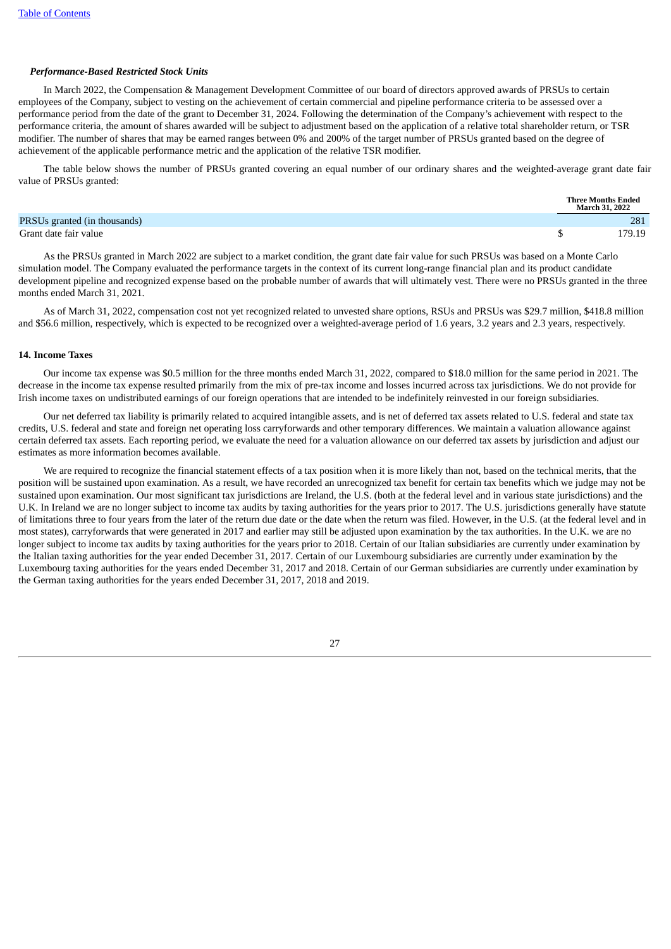#### *Performance-Based Restricted Stock Units*

In March 2022, the Compensation & Management Development Committee of our board of directors approved awards of PRSUs to certain employees of the Company, subject to vesting on the achievement of certain commercial and pipeline performance criteria to be assessed over a performance period from the date of the grant to December 31, 2024. Following the determination of the Company's achievement with respect to the performance criteria, the amount of shares awarded will be subject to adjustment based on the application of a relative total shareholder return, or TSR modifier. The number of shares that may be earned ranges between 0% and 200% of the target number of PRSUs granted based on the degree of achievement of the applicable performance metric and the application of the relative TSR modifier.

The table below shows the number of PRSUs granted covering an equal number of our ordinary shares and the weighted-average grant date fair value of PRSUs granted:

|                              | <b>Three Months Ended</b><br>March 31, 2022 |
|------------------------------|---------------------------------------------|
| PRSUs granted (in thousands) | 281                                         |
| Grant date fair value        | 179.19                                      |

As the PRSUs granted in March 2022 are subject to a market condition, the grant date fair value for such PRSUs was based on a Monte Carlo simulation model. The Company evaluated the performance targets in the context of its current long-range financial plan and its product candidate development pipeline and recognized expense based on the probable number of awards that will ultimately vest. There were no PRSUs granted in the three months ended March 31, 2021.

As of March 31, 2022, compensation cost not yet recognized related to unvested share options, RSUs and PRSUs was \$29.7 million, \$418.8 million and \$56.6 million, respectively, which is expected to be recognized over a weighted-average period of 1.6 years, 3.2 years and 2.3 years, respectively.

#### **14. Income Taxes**

Our income tax expense was \$0.5 million for the three months ended March 31, 2022, compared to \$18.0 million for the same period in 2021. The decrease in the income tax expense resulted primarily from the mix of pre-tax income and losses incurred across tax jurisdictions. We do not provide for Irish income taxes on undistributed earnings of our foreign operations that are intended to be indefinitely reinvested in our foreign subsidiaries.

Our net deferred tax liability is primarily related to acquired intangible assets, and is net of deferred tax assets related to U.S. federal and state tax credits, U.S. federal and state and foreign net operating loss carryforwards and other temporary differences. We maintain a valuation allowance against certain deferred tax assets. Each reporting period, we evaluate the need for a valuation allowance on our deferred tax assets by jurisdiction and adjust our estimates as more information becomes available.

We are required to recognize the financial statement effects of a tax position when it is more likely than not, based on the technical merits, that the position will be sustained upon examination. As a result, we have recorded an unrecognized tax benefit for certain tax benefits which we judge may not be sustained upon examination. Our most significant tax jurisdictions are Ireland, the U.S. (both at the federal level and in various state jurisdictions) and the U.K. In Ireland we are no longer subject to income tax audits by taxing authorities for the years prior to 2017. The U.S. jurisdictions generally have statute of limitations three to four years from the later of the return due date or the date when the return was filed. However, in the U.S. (at the federal level and in most states), carryforwards that were generated in 2017 and earlier may still be adjusted upon examination by the tax authorities. In the U.K. we are no longer subject to income tax audits by taxing authorities for the years prior to 2018. Certain of our Italian subsidiaries are currently under examination by the Italian taxing authorities for the year ended December 31, 2017. Certain of our Luxembourg subsidiaries are currently under examination by the Luxembourg taxing authorities for the years ended December 31, 2017 and 2018. Certain of our German subsidiaries are currently under examination by the German taxing authorities for the years ended December 31, 2017, 2018 and 2019.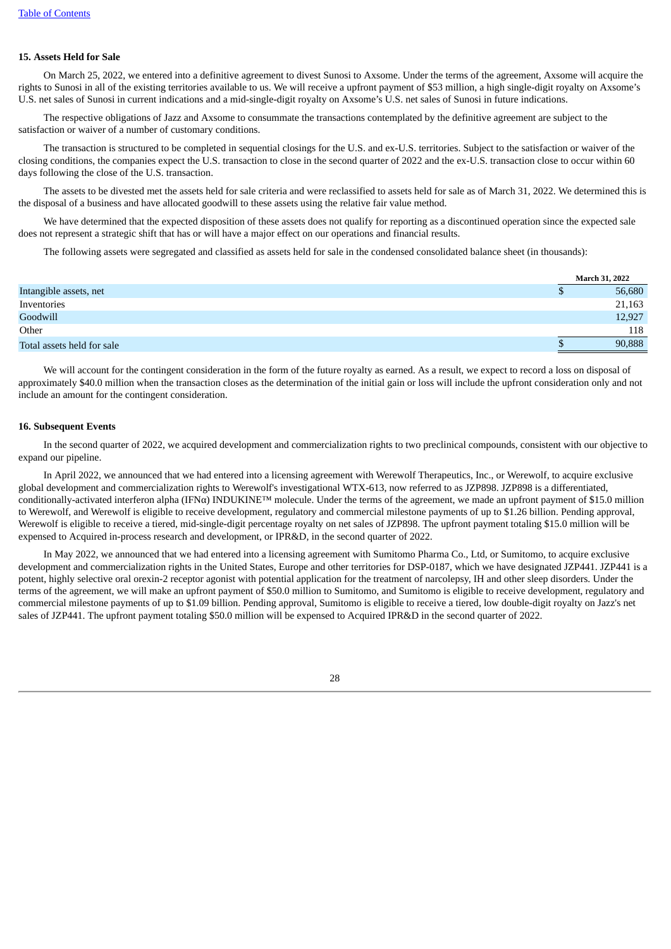# **15. Assets Held for Sale**

On March 25, 2022, we entered into a definitive agreement to divest Sunosi to Axsome. Under the terms of the agreement, Axsome will acquire the rights to Sunosi in all of the existing territories available to us. We will receive a upfront payment of \$53 million, a high single-digit royalty on Axsome's U.S. net sales of Sunosi in current indications and a mid-single-digit royalty on Axsome's U.S. net sales of Sunosi in future indications.

The respective obligations of Jazz and Axsome to consummate the transactions contemplated by the definitive agreement are subject to the satisfaction or waiver of a number of customary conditions.

The transaction is structured to be completed in sequential closings for the U.S. and ex-U.S. territories. Subject to the satisfaction or waiver of the closing conditions, the companies expect the U.S. transaction to close in the second quarter of 2022 and the ex-U.S. transaction close to occur within 60 days following the close of the U.S. transaction.

The assets to be divested met the assets held for sale criteria and were reclassified to assets held for sale as of March 31, 2022. We determined this is the disposal of a business and have allocated goodwill to these assets using the relative fair value method.

We have determined that the expected disposition of these assets does not qualify for reporting as a discontinued operation since the expected sale does not represent a strategic shift that has or will have a major effect on our operations and financial results.

The following assets were segregated and classified as assets held for sale in the condensed consolidated balance sheet (in thousands):

|                            |   | <b>March 31, 2022</b> |
|----------------------------|---|-----------------------|
| Intangible assets, net     | D | 56,680                |
| Inventories                |   | 21,163                |
| Goodwill                   |   | 12,927                |
| Other                      |   | 118                   |
| Total assets held for sale |   | 90,888                |

We will account for the contingent consideration in the form of the future royalty as earned. As a result, we expect to record a loss on disposal of approximately \$40.0 million when the transaction closes as the determination of the initial gain or loss will include the upfront consideration only and not include an amount for the contingent consideration.

#### **16. Subsequent Events**

In the second quarter of 2022, we acquired development and commercialization rights to two preclinical compounds, consistent with our objective to expand our pipeline.

In April 2022, we announced that we had entered into a licensing agreement with Werewolf Therapeutics, Inc., or Werewolf, to acquire exclusive global development and commercialization rights to Werewolf's investigational WTX-613, now referred to as JZP898. JZP898 is a differentiated, conditionally-activated interferon alpha (IFNα) INDUKINE™ molecule. Under the terms of the agreement, we made an upfront payment of \$15.0 million to Werewolf, and Werewolf is eligible to receive development, regulatory and commercial milestone payments of up to \$1.26 billion. Pending approval, Werewolf is eligible to receive a tiered, mid-single-digit percentage royalty on net sales of JZP898. The upfront payment totaling \$15.0 million will be expensed to Acquired in-process research and development, or IPR&D, in the second quarter of 2022.

<span id="page-28-0"></span>In May 2022, we announced that we had entered into a licensing agreement with Sumitomo Pharma Co., Ltd, or Sumitomo, to acquire exclusive development and commercialization rights in the United States, Europe and other territories for DSP-0187, which we have designated JZP441. JZP441 is a potent, highly selective oral orexin-2 receptor agonist with potential application for the treatment of narcolepsy, IH and other sleep disorders. Under the terms of the agreement, we will make an upfront payment of \$50.0 million to Sumitomo, and Sumitomo is eligible to receive development, regulatory and commercial milestone payments of up to \$1.09 billion. Pending approval, Sumitomo is eligible to receive a tiered, low double-digit royalty on Jazz's net sales of JZP441. The upfront payment totaling \$50.0 million will be expensed to Acquired IPR&D in the second quarter of 2022.

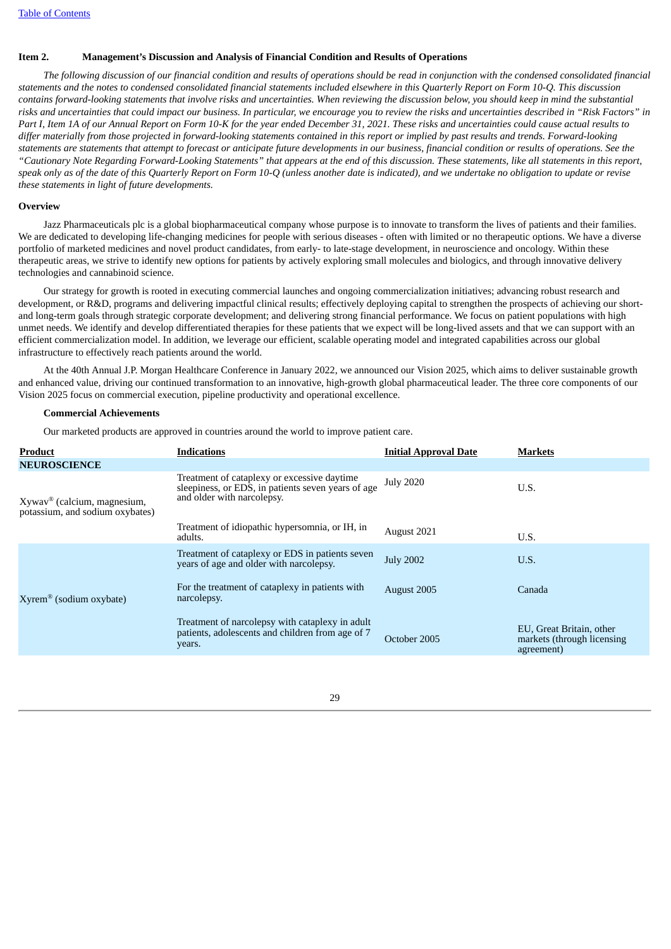# **Item 2. Management's Discussion and Analysis of Financial Condition and Results of Operations**

The following discussion of our financial condition and results of operations should be read in conjunction with the condensed consolidated financial statements and the notes to condensed consolidated financial statements included elsewhere in this Quarterly Report on Form 10-Q. This discussion contains forward-looking statements that involve risks and uncertainties. When reviewing the discussion below, you should keep in mind the substantial risks and uncertainties that could impact our business. In particular, we encourage you to review the risks and uncertainties described in "Risk Factors" in Part I, Item 1A of our Annual Report on Form 10-K for the year ended December 31, 2021. These risks and uncertainties could cause actual results to differ materially from those projected in forward-looking statements contained in this report or implied by past results and trends. Forward-looking statements are statements that attempt to forecast or anticipate future developments in our business, financial condition or results of operations. See the "Cautionary Note Regarding Forward-Looking Statements" that appears at the end of this discussion. These statements, like all statements in this report, speak only as of the date of this Quarterly Report on Form 10-Q (unless another date is indicated), and we undertake no obligation to update or revise *these statements in light of future developments.*

#### **Overview**

Jazz Pharmaceuticals plc is a global biopharmaceutical company whose purpose is to innovate to transform the lives of patients and their families. We are dedicated to developing life-changing medicines for people with serious diseases - often with limited or no therapeutic options. We have a diverse portfolio of marketed medicines and novel product candidates, from early- to late-stage development, in neuroscience and oncology. Within these therapeutic areas, we strive to identify new options for patients by actively exploring small molecules and biologics, and through innovative delivery technologies and cannabinoid science.

Our strategy for growth is rooted in executing commercial launches and ongoing commercialization initiatives; advancing robust research and development, or R&D, programs and delivering impactful clinical results; effectively deploying capital to strengthen the prospects of achieving our shortand long-term goals through strategic corporate development; and delivering strong financial performance. We focus on patient populations with high unmet needs. We identify and develop differentiated therapies for these patients that we expect will be long-lived assets and that we can support with an efficient commercialization model. In addition, we leverage our efficient, scalable operating model and integrated capabilities across our global infrastructure to effectively reach patients around the world.

At the 40th Annual J.P. Morgan Healthcare Conference in January 2022, we announced our Vision 2025, which aims to deliver sustainable growth and enhanced value, driving our continued transformation to an innovative, high-growth global pharmaceutical leader. The three core components of our Vision 2025 focus on commercial execution, pipeline productivity and operational excellence.

#### **Commercial Achievements**

Our marketed products are approved in countries around the world to improve patient care.

| <b>Product</b>                                                                                                                                                                                                | <b>Indications</b>                                                                                            | <b>Initial Approval Date</b> | <b>Markets</b>                                                        |
|---------------------------------------------------------------------------------------------------------------------------------------------------------------------------------------------------------------|---------------------------------------------------------------------------------------------------------------|------------------------------|-----------------------------------------------------------------------|
| <b>NEUROSCIENCE</b>                                                                                                                                                                                           |                                                                                                               |                              |                                                                       |
| Treatment of cataplexy or excessive daytime<br>sleepiness, or EDS, in patients seven years of age<br>and older with narcolepsy.<br>Xywav <sup>®</sup> (calcium, magnesium,<br>potassium, and sodium oxybates) |                                                                                                               | <b>July 2020</b>             | U.S.                                                                  |
|                                                                                                                                                                                                               | Treatment of idiopathic hypersomnia, or IH, in<br>adults.                                                     | August 2021                  | U.S.                                                                  |
|                                                                                                                                                                                                               | Treatment of cataplexy or EDS in patients seven<br>years of age and older with narcolepsy.                    | <b>July 2002</b>             | U.S.                                                                  |
| Xyrem <sup>®</sup> (sodium oxybate)                                                                                                                                                                           | For the treatment of cataplexy in patients with<br>narcolepsy.                                                | August 2005                  | Canada                                                                |
|                                                                                                                                                                                                               | Treatment of narcolepsy with cataplexy in adult<br>patients, adolescents and children from age of 7<br>years. | October 2005                 | EU, Great Britain, other<br>markets (through licensing)<br>agreement) |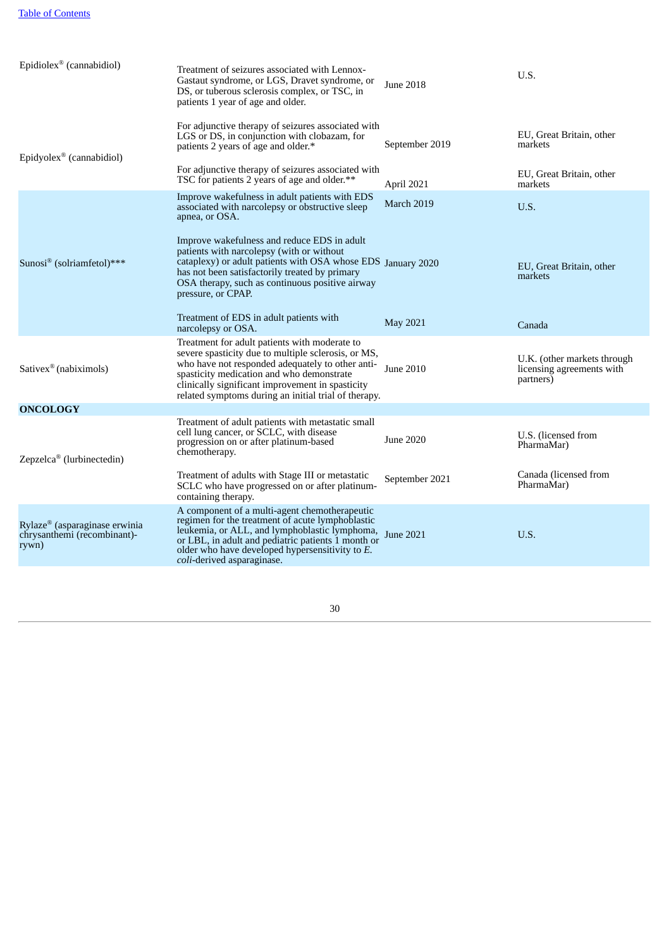| Epidiolex® (cannabidiol)                                              | Treatment of seizures associated with Lennox-<br>Gastaut syndrome, or LGS, Dravet syndrome, or<br>DS, or tuberous sclerosis complex, or TSC, in<br>patients 1 year of age and older.                                                                                                                              | June 2018        | U.S.                                                                  |
|-----------------------------------------------------------------------|-------------------------------------------------------------------------------------------------------------------------------------------------------------------------------------------------------------------------------------------------------------------------------------------------------------------|------------------|-----------------------------------------------------------------------|
| Epidyolex <sup>®</sup> (cannabidiol)                                  | For adjunctive therapy of seizures associated with<br>LGS or DS, in conjunction with clobazam, for<br>patients 2 years of age and older.*                                                                                                                                                                         | September 2019   | EU, Great Britain, other<br>markets                                   |
|                                                                       | For adjunctive therapy of seizures associated with<br>TSC for patients 2 years of age and older.**                                                                                                                                                                                                                | April 2021       | EU, Great Britain, other<br>markets                                   |
|                                                                       | Improve wakefulness in adult patients with EDS<br>associated with narcolepsy or obstructive sleep<br>apnea, or OSA.                                                                                                                                                                                               | March 2019       | U.S.                                                                  |
| Sunosi <sup>®</sup> (solriamfetol)***                                 | Improve wakefulness and reduce EDS in adult<br>patients with narcolepsy (with or without<br>cataplexy) or adult patients with OSA whose EDS January 2020<br>has not been satisfactorily treated by primary<br>OSA therapy, such as continuous positive airway<br>pressure, or CPAP.                               |                  | EU, Great Britain, other<br>markets                                   |
|                                                                       | Treatment of EDS in adult patients with<br>narcolepsy or OSA.                                                                                                                                                                                                                                                     | <b>May 2021</b>  | Canada                                                                |
| Sativex <sup>®</sup> (nabiximols)                                     | Treatment for adult patients with moderate to<br>severe spasticity due to multiple sclerosis, or MS,<br>who have not responded adequately to other anti-<br>spasticity medication and who demonstrate<br>clinically significant improvement in spasticity<br>related symptoms during an initial trial of therapy. | June 2010        | U.K. (other markets through<br>licensing agreements with<br>partners) |
| <b>ONCOLOGY</b>                                                       |                                                                                                                                                                                                                                                                                                                   |                  |                                                                       |
| Zepzelca® (lurbinectedin)                                             | Treatment of adult patients with metastatic small<br>cell lung cancer, or SCLC, with disease<br>progression on or after platinum-based<br>chemotherapy.                                                                                                                                                           | June 2020        | U.S. (licensed from<br>PharmaMar)                                     |
|                                                                       | Treatment of adults with Stage III or metastatic<br>SCLC who have progressed on or after platinum-<br>containing therapy.                                                                                                                                                                                         | September 2021   | Canada (licensed from<br>PharmaMar)                                   |
| Rylaze® (asparaginase erwinia<br>chrysanthemi (recombinant)-<br>rywn) | A component of a multi-agent chemotherapeutic<br>regimen for the treatment of acute lymphoblastic<br>leukemia, or ALL, and lymphoblastic lymphoma,<br>or LBL, in adult and pediatric patients 1 month or<br>older who have developed hypersensitivity to $E$ .<br>coli-derived asparaginase.                      | <b>June 2021</b> | U.S.                                                                  |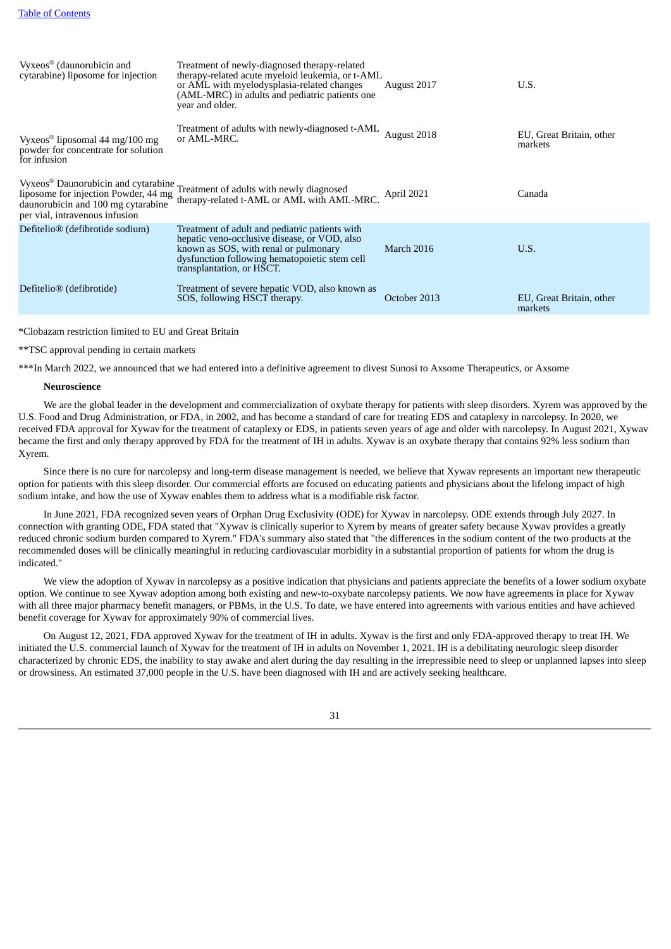| Vyxeos <sup>®</sup> (daunorubicin and<br>cytarabine) liposome for injection                                  | Treatment of newly-diagnosed therapy-related<br>therapy-related acute myeloid leukemia, or t-AML<br>or AML with myelodysplasia-related changes<br>(AML-MRC) in adults and pediatric patients one<br>vear and older.   | August 2017  | U.S.                                |
|--------------------------------------------------------------------------------------------------------------|-----------------------------------------------------------------------------------------------------------------------------------------------------------------------------------------------------------------------|--------------|-------------------------------------|
| Vyxeos <sup>®</sup> liposomal 44 mg/100 mg<br>powder for concentrate for solution<br>for infusion            | Treatment of adults with newly-diagnosed t-AML<br>or AML-MRC.                                                                                                                                                         | August 2018  | EU, Great Britain, other<br>markets |
| liposome for injection Powder, 44 mg<br>daunorubicin and 100 mg cytarabine<br>per vial, intravenous infusion | Vyxeos <sup>®</sup> Daunorubicin and cytarabine<br>Treatment of adults with newly diagnosed<br>therapy-related t-AML or AML with AML-MRC.                                                                             | April 2021   | Canada                              |
| Defitelio <sup>®</sup> (defibrotide sodium)                                                                  | Treatment of adult and pediatric patients with<br>hepatic veno-occlusive disease, or VOD, also<br>known as SOS, with renal or pulmonary<br>dysfunction following hematopoietic stem cell<br>transplantation, or HSCT. | March 2016   | U.S.                                |
| Defitelio <sup>®</sup> (defibrotide)                                                                         | Treatment of severe hepatic VOD, also known as<br>SOS, following HSCT therapy.                                                                                                                                        | October 2013 | EU, Great Britain, other<br>markets |

\*Clobazam restriction limited to EU and Great Britain

# \*\*TSC approval pending in certain markets

\*\*\*In March 2022, we announced that we had entered into a definitive agreement to divest Sunosi to Axsome Therapeutics, or Axsome

#### **Neuroscience**

We are the global leader in the development and commercialization of oxybate therapy for patients with sleep disorders. Xyrem was approved by the U.S. Food and Drug Administration, or FDA, in 2002, and has become a standard of care for treating EDS and cataplexy in narcolepsy. In 2020, we received FDA approval for Xywav for the treatment of cataplexy or EDS, in patients seven years of age and older with narcolepsy. In August 2021, Xywav became the first and only therapy approved by FDA for the treatment of IH in adults. Xywav is an oxybate therapy that contains 92% less sodium than Xyrem.

Since there is no cure for narcolepsy and long-term disease management is needed, we believe that Xywav represents an important new therapeutic option for patients with this sleep disorder. Our commercial efforts are focused on educating patients and physicians about the lifelong impact of high sodium intake, and how the use of Xywav enables them to address what is a modifiable risk factor.

In June 2021, FDA recognized seven years of Orphan Drug Exclusivity (ODE) for Xywav in narcolepsy. ODE extends through July 2027. In connection with granting ODE, FDA stated that "Xywav is clinically superior to Xyrem by means of greater safety because Xywav provides a greatly reduced chronic sodium burden compared to Xyrem." FDA's summary also stated that "the differences in the sodium content of the two products at the recommended doses will be clinically meaningful in reducing cardiovascular morbidity in a substantial proportion of patients for whom the drug is indicated."

We view the adoption of Xywav in narcolepsy as a positive indication that physicians and patients appreciate the benefits of a lower sodium oxybate option. We continue to see Xywav adoption among both existing and new-to-oxybate narcolepsy patients. We now have agreements in place for Xywav with all three major pharmacy benefit managers, or PBMs, in the U.S. To date, we have entered into agreements with various entities and have achieved benefit coverage for Xywav for approximately 90% of commercial lives.

On August 12, 2021, FDA approved Xywav for the treatment of IH in adults. Xywav is the first and only FDA-approved therapy to treat IH. We initiated the U.S. commercial launch of Xywav for the treatment of IH in adults on November 1, 2021. IH is a debilitating neurologic sleep disorder characterized by chronic EDS, the inability to stay awake and alert during the day resulting in the irrepressible need to sleep or unplanned lapses into sleep or drowsiness. An estimated 37,000 people in the U.S. have been diagnosed with IH and are actively seeking healthcare.

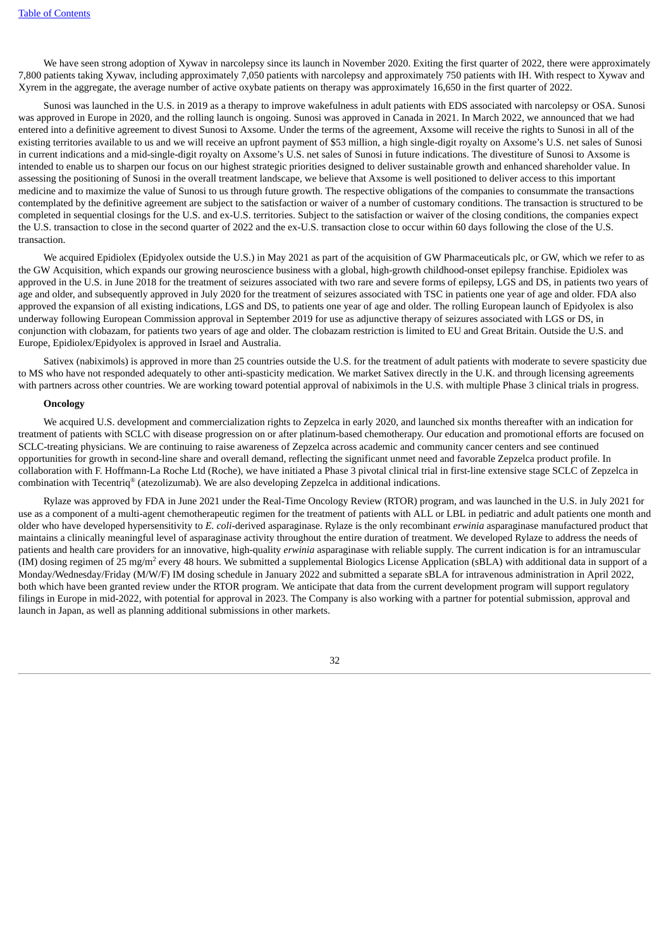We have seen strong adoption of Xywav in narcolepsy since its launch in November 2020. Exiting the first quarter of 2022, there were approximately 7,800 patients taking Xywav, including approximately 7,050 patients with narcolepsy and approximately 750 patients with IH. With respect to Xywav and Xyrem in the aggregate, the average number of active oxybate patients on therapy was approximately 16,650 in the first quarter of 2022.

Sunosi was launched in the U.S. in 2019 as a therapy to improve wakefulness in adult patients with EDS associated with narcolepsy or OSA. Sunosi was approved in Europe in 2020, and the rolling launch is ongoing. Sunosi was approved in Canada in 2021. In March 2022, we announced that we had entered into a definitive agreement to divest Sunosi to Axsome. Under the terms of the agreement, Axsome will receive the rights to Sunosi in all of the existing territories available to us and we will receive an upfront payment of \$53 million, a high single-digit royalty on Axsome's U.S. net sales of Sunosi in current indications and a mid-single-digit royalty on Axsome's U.S. net sales of Sunosi in future indications. The divestiture of Sunosi to Axsome is intended to enable us to sharpen our focus on our highest strategic priorities designed to deliver sustainable growth and enhanced shareholder value. In assessing the positioning of Sunosi in the overall treatment landscape, we believe that Axsome is well positioned to deliver access to this important medicine and to maximize the value of Sunosi to us through future growth. The respective obligations of the companies to consummate the transactions contemplated by the definitive agreement are subject to the satisfaction or waiver of a number of customary conditions. The transaction is structured to be completed in sequential closings for the U.S. and ex-U.S. territories. Subject to the satisfaction or waiver of the closing conditions, the companies expect the U.S. transaction to close in the second quarter of 2022 and the ex-U.S. transaction close to occur within 60 days following the close of the U.S. transaction.

We acquired Epidiolex (Epidyolex outside the U.S.) in May 2021 as part of the acquisition of GW Pharmaceuticals plc, or GW, which we refer to as the GW Acquisition, which expands our growing neuroscience business with a global, high-growth childhood-onset epilepsy franchise. Epidiolex was approved in the U.S. in June 2018 for the treatment of seizures associated with two rare and severe forms of epilepsy, LGS and DS, in patients two years of age and older, and subsequently approved in July 2020 for the treatment of seizures associated with TSC in patients one year of age and older. FDA also approved the expansion of all existing indications, LGS and DS, to patients one year of age and older. The rolling European launch of Epidyolex is also underway following European Commission approval in September 2019 for use as adjunctive therapy of seizures associated with LGS or DS, in conjunction with clobazam, for patients two years of age and older. The clobazam restriction is limited to EU and Great Britain. Outside the U.S. and Europe, Epidiolex/Epidyolex is approved in Israel and Australia.

Sativex (nabiximols) is approved in more than 25 countries outside the U.S. for the treatment of adult patients with moderate to severe spasticity due to MS who have not responded adequately to other anti-spasticity medication. We market Sativex directly in the U.K. and through licensing agreements with partners across other countries. We are working toward potential approval of nabiximols in the U.S. with multiple Phase 3 clinical trials in progress.

#### **Oncology**

We acquired U.S. development and commercialization rights to Zepzelca in early 2020, and launched six months thereafter with an indication for treatment of patients with SCLC with disease progression on or after platinum-based chemotherapy. Our education and promotional efforts are focused on SCLC-treating physicians. We are continuing to raise awareness of Zepzelca across academic and community cancer centers and see continued opportunities for growth in second-line share and overall demand, reflecting the significant unmet need and favorable Zepzelca product profile. In collaboration with F. Hoffmann-La Roche Ltd (Roche), we have initiated a Phase 3 pivotal clinical trial in first-line extensive stage SCLC of Zepzelca in combination with Tecentriq® (atezolizumab). We are also developing Zepzelca in additional indications.

Rylaze was approved by FDA in June 2021 under the Real-Time Oncology Review (RTOR) program, and was launched in the U.S. in July 2021 for use as a component of a multi-agent chemotherapeutic regimen for the treatment of patients with ALL or LBL in pediatric and adult patients one month and older who have developed hypersensitivity to *E. coli*-derived asparaginase. Rylaze is the only recombinant *erwinia* asparaginase manufactured product that maintains a clinically meaningful level of asparaginase activity throughout the entire duration of treatment. We developed Rylaze to address the needs of patients and health care providers for an innovative, high-quality *erwinia* asparaginase with reliable supply. The current indication is for an intramuscular (IM) dosing regimen of 25 mg/m<sup>2</sup> every 48 hours. We submitted a supplemental Biologics License Application (sBLA) with additional data in support of a Monday/Wednesday/Friday (M/W/F) IM dosing schedule in January 2022 and submitted a separate sBLA for intravenous administration in April 2022, both which have been granted review under the RTOR program. We anticipate that data from the current development program will support regulatory filings in Europe in mid-2022, with potential for approval in 2023. The Company is also working with a partner for potential submission, approval and launch in Japan, as well as planning additional submissions in other markets.

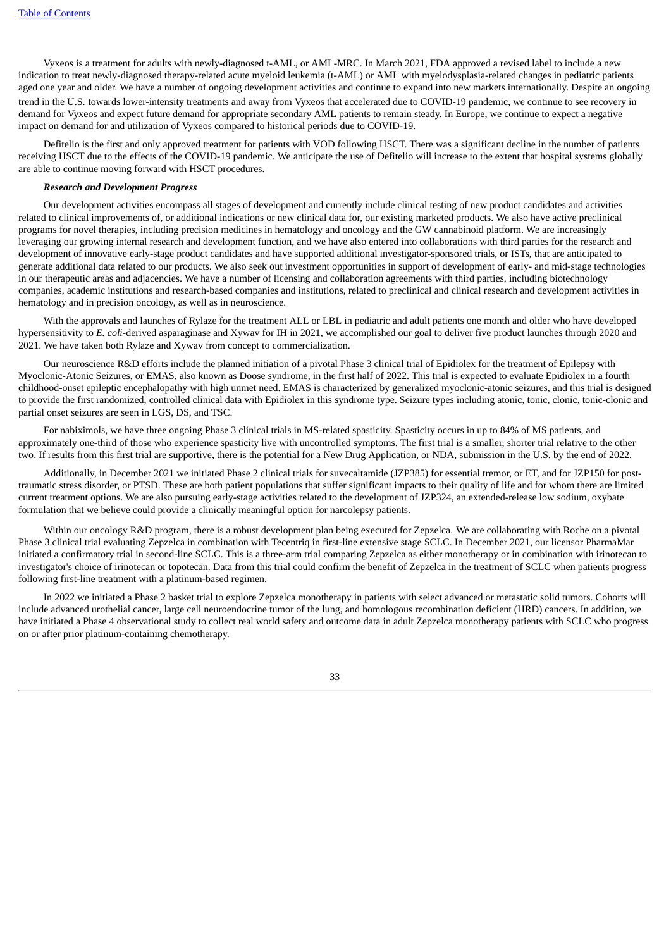Vyxeos is a treatment for adults with newly-diagnosed t-AML, or AML-MRC. In March 2021, FDA approved a revised label to include a new indication to treat newly-diagnosed therapy-related acute myeloid leukemia (t-AML) or AML with myelodysplasia-related changes in pediatric patients aged one year and older. We have a number of ongoing development activities and continue to expand into new markets internationally. Despite an ongoing trend in the U.S. towards lower-intensity treatments and away from Vyxeos that accelerated due to COVID-19 pandemic, we continue to see recovery in demand for Vyxeos and expect future demand for appropriate secondary AML patients to remain steady. In Europe, we continue to expect a negative impact on demand for and utilization of Vyxeos compared to historical periods due to COVID-19.

Defitelio is the first and only approved treatment for patients with VOD following HSCT. There was a significant decline in the number of patients receiving HSCT due to the effects of the COVID-19 pandemic. We anticipate the use of Defitelio will increase to the extent that hospital systems globally are able to continue moving forward with HSCT procedures.

## *Research and Development Progress*

Our development activities encompass all stages of development and currently include clinical testing of new product candidates and activities related to clinical improvements of, or additional indications or new clinical data for, our existing marketed products. We also have active preclinical programs for novel therapies, including precision medicines in hematology and oncology and the GW cannabinoid platform. We are increasingly leveraging our growing internal research and development function, and we have also entered into collaborations with third parties for the research and development of innovative early-stage product candidates and have supported additional investigator-sponsored trials, or ISTs, that are anticipated to generate additional data related to our products. We also seek out investment opportunities in support of development of early- and mid-stage technologies in our therapeutic areas and adjacencies. We have a number of licensing and collaboration agreements with third parties, including biotechnology companies, academic institutions and research-based companies and institutions, related to preclinical and clinical research and development activities in hematology and in precision oncology, as well as in neuroscience.

With the approvals and launches of Rylaze for the treatment ALL or LBL in pediatric and adult patients one month and older who have developed hypersensitivity to *E. coli*-derived asparaginase and Xywav for IH in 2021, we accomplished our goal to deliver five product launches through 2020 and 2021. We have taken both Rylaze and Xywav from concept to commercialization.

Our neuroscience R&D efforts include the planned initiation of a pivotal Phase 3 clinical trial of Epidiolex for the treatment of Epilepsy with Myoclonic-Atonic Seizures, or EMAS, also known as Doose syndrome, in the first half of 2022. This trial is expected to evaluate Epidiolex in a fourth childhood-onset epileptic encephalopathy with high unmet need. EMAS is characterized by generalized myoclonic-atonic seizures, and this trial is designed to provide the first randomized, controlled clinical data with Epidiolex in this syndrome type. Seizure types including atonic, tonic, clonic, tonic-clonic and partial onset seizures are seen in LGS, DS, and TSC.

For nabiximols, we have three ongoing Phase 3 clinical trials in MS-related spasticity. Spasticity occurs in up to 84% of MS patients, and approximately one-third of those who experience spasticity live with uncontrolled symptoms. The first trial is a smaller, shorter trial relative to the other two. If results from this first trial are supportive, there is the potential for a New Drug Application, or NDA, submission in the U.S. by the end of 2022.

Additionally, in December 2021 we initiated Phase 2 clinical trials for suvecaltamide (JZP385) for essential tremor, or ET, and for JZP150 for posttraumatic stress disorder, or PTSD. These are both patient populations that suffer significant impacts to their quality of life and for whom there are limited current treatment options. We are also pursuing early-stage activities related to the development of JZP324, an extended-release low sodium, oxybate formulation that we believe could provide a clinically meaningful option for narcolepsy patients.

Within our oncology R&D program, there is a robust development plan being executed for Zepzelca. We are collaborating with Roche on a pivotal Phase 3 clinical trial evaluating Zepzelca in combination with Tecentriq in first-line extensive stage SCLC. In December 2021, our licensor PharmaMar initiated a confirmatory trial in second-line SCLC. This is a three-arm trial comparing Zepzelca as either monotherapy or in combination with irinotecan to investigator's choice of irinotecan or topotecan. Data from this trial could confirm the benefit of Zepzelca in the treatment of SCLC when patients progress following first-line treatment with a platinum-based regimen.

In 2022 we initiated a Phase 2 basket trial to explore Zepzelca monotherapy in patients with select advanced or metastatic solid tumors. Cohorts will include advanced urothelial cancer, large cell neuroendocrine tumor of the lung, and homologous recombination deficient (HRD) cancers. In addition, we have initiated a Phase 4 observational study to collect real world safety and outcome data in adult Zepzelca monotherapy patients with SCLC who progress on or after prior platinum-containing chemotherapy.

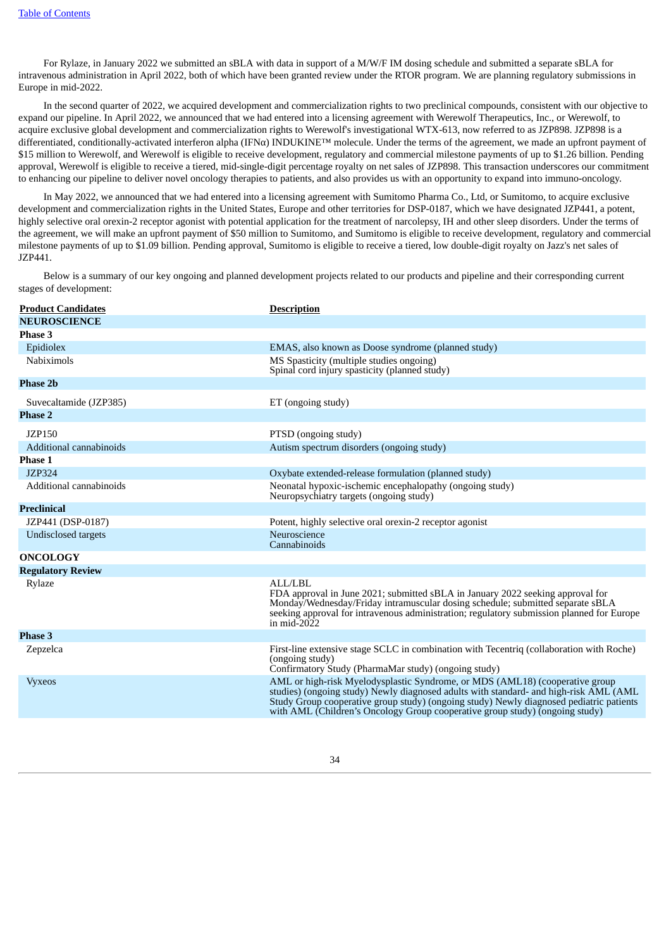For Rylaze, in January 2022 we submitted an sBLA with data in support of a M/W/F IM dosing schedule and submitted a separate sBLA for intravenous administration in April 2022, both of which have been granted review under the RTOR program. We are planning regulatory submissions in Europe in mid-2022.

In the second quarter of 2022, we acquired development and commercialization rights to two preclinical compounds, consistent with our objective to expand our pipeline. In April 2022, we announced that we had entered into a licensing agreement with Werewolf Therapeutics, Inc., or Werewolf, to acquire exclusive global development and commercialization rights to Werewolf's investigational WTX-613, now referred to as JZP898. JZP898 is a differentiated, conditionally-activated interferon alpha (IFNα) INDUKINE™ molecule. Under the terms of the agreement, we made an upfront payment of \$15 million to Werewolf, and Werewolf is eligible to receive development, regulatory and commercial milestone payments of up to \$1.26 billion. Pending approval, Werewolf is eligible to receive a tiered, mid-single-digit percentage royalty on net sales of JZP898. This transaction underscores our commitment to enhancing our pipeline to deliver novel oncology therapies to patients, and also provides us with an opportunity to expand into immuno-oncology.

In May 2022, we announced that we had entered into a licensing agreement with Sumitomo Pharma Co., Ltd, or Sumitomo, to acquire exclusive development and commercialization rights in the United States, Europe and other territories for DSP-0187, which we have designated JZP441, a potent, highly selective oral orexin-2 receptor agonist with potential application for the treatment of narcolepsy, IH and other sleep disorders. Under the terms of the agreement, we will make an upfront payment of \$50 million to Sumitomo, and Sumitomo is eligible to receive development, regulatory and commercial milestone payments of up to \$1.09 billion. Pending approval, Sumitomo is eligible to receive a tiered, low double-digit royalty on Jazz's net sales of JZP441.

Below is a summary of our key ongoing and planned development projects related to our products and pipeline and their corresponding current stages of development:

| <b>Product Candidates</b> | <b>Description</b>                                                                                                                                                                                                                                                                                                                               |
|---------------------------|--------------------------------------------------------------------------------------------------------------------------------------------------------------------------------------------------------------------------------------------------------------------------------------------------------------------------------------------------|
| <b>NEUROSCIENCE</b>       |                                                                                                                                                                                                                                                                                                                                                  |
| <b>Phase 3</b>            |                                                                                                                                                                                                                                                                                                                                                  |
| Epidiolex                 | EMAS, also known as Doose syndrome (planned study)                                                                                                                                                                                                                                                                                               |
| <b>Nabiximols</b>         | MS Spasticity (multiple studies ongoing)<br>Spinal cord injury spasticity (planned study)                                                                                                                                                                                                                                                        |
| <b>Phase 2b</b>           |                                                                                                                                                                                                                                                                                                                                                  |
| Suvecaltamide (JZP385)    | ET (ongoing study)                                                                                                                                                                                                                                                                                                                               |
| <b>Phase 2</b>            |                                                                                                                                                                                                                                                                                                                                                  |
| <b>JZP150</b>             | PTSD (ongoing study)                                                                                                                                                                                                                                                                                                                             |
| Additional cannabinoids   | Autism spectrum disorders (ongoing study)                                                                                                                                                                                                                                                                                                        |
| <b>Phase 1</b>            |                                                                                                                                                                                                                                                                                                                                                  |
| <b>JZP324</b>             | Oxybate extended-release formulation (planned study)                                                                                                                                                                                                                                                                                             |
| Additional cannabinoids   | Neonatal hypoxic-ischemic encephalopathy (ongoing study)<br>Neuropsychiatry targets (ongoing study)                                                                                                                                                                                                                                              |
| <b>Preclinical</b>        |                                                                                                                                                                                                                                                                                                                                                  |
| JZP441 (DSP-0187)         | Potent, highly selective oral orexin-2 receptor agonist                                                                                                                                                                                                                                                                                          |
| Undisclosed targets       | Neuroscience<br>Cannabinoids                                                                                                                                                                                                                                                                                                                     |
| <b>ONCOLOGY</b>           |                                                                                                                                                                                                                                                                                                                                                  |
| <b>Regulatory Review</b>  |                                                                                                                                                                                                                                                                                                                                                  |
| Rylaze                    | <b>ALL/LBL</b><br>FDA approval in June 2021; submitted sBLA in January 2022 seeking approval for<br>Monday/Wednesday/Friday intramuscular dosing schedule; submitted separate sBLA<br>seeking approval for intravenous administration; regulatory submission planned for Europe<br>in $mid-2022$                                                 |
| <b>Phase 3</b>            |                                                                                                                                                                                                                                                                                                                                                  |
| Zepzelca                  | First-line extensive stage SCLC in combination with Tecentriq (collaboration with Roche)<br>(ongoing study)<br>Confirmatory Study (PharmaMar study) (ongoing study)                                                                                                                                                                              |
| <b>Vyxeos</b>             | AML or high-risk Myelodysplastic Syndrome, or MDS (AML18) (cooperative group<br>studies) (ongoing study) Newly diagnosed adults with standard- and high-risk AML (AML<br>Study Group cooperative group study) (ongoing study) Newly diagnosed pediatric patients<br>with AML (Children's Oncology Group cooperative group study) (ongoing study) |
|                           |                                                                                                                                                                                                                                                                                                                                                  |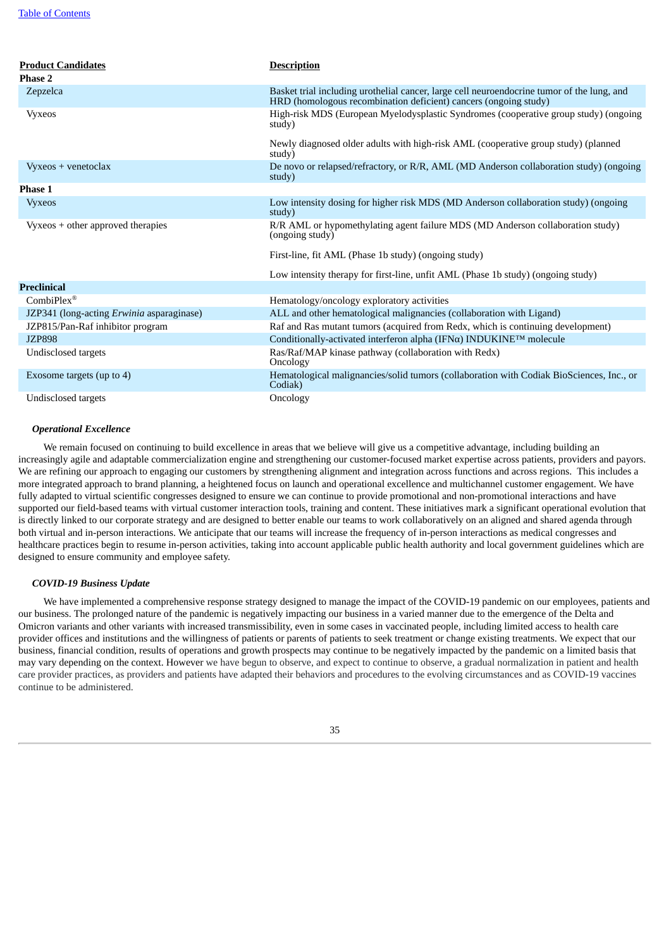| <b>Product Candidates</b><br><b>Phase 2</b> | <b>Description</b>                                                                                                                                             |
|---------------------------------------------|----------------------------------------------------------------------------------------------------------------------------------------------------------------|
| Zepzelca                                    | Basket trial including urothelial cancer, large cell neuroendocrine tumor of the lung, and<br>HRD (homologous recombination deficient) cancers (ongoing study) |
| <b>Vyxeos</b>                               | High-risk MDS (European Myelodysplastic Syndromes (cooperative group study) (ongoing<br>study)                                                                 |
|                                             | Newly diagnosed older adults with high-risk AML (cooperative group study) (planned<br>study)                                                                   |
| $V$ vxeos + venetoclax                      | De novo or relapsed/refractory, or R/R, AML (MD Anderson collaboration study) (ongoing<br>study)                                                               |
| <b>Phase 1</b>                              |                                                                                                                                                                |
| <b>Vyxeos</b>                               | Low intensity dosing for higher risk MDS (MD Anderson collaboration study) (ongoing<br>study)                                                                  |
| Vyxeos + other approved therapies           | R/R AML or hypomethylating agent failure MDS (MD Anderson collaboration study)<br>(ongoing study)                                                              |
|                                             | First-line, fit AML (Phase 1b study) (ongoing study)                                                                                                           |
|                                             | Low intensity therapy for first-line, unfit AML (Phase 1b study) (ongoing study)                                                                               |
| <b>Preclinical</b>                          |                                                                                                                                                                |
| $CombiPIex^{\circledR}$                     | Hematology/oncology exploratory activities                                                                                                                     |
| JZP341 (long-acting Erwinia asparaginase)   | ALL and other hematological malignancies (collaboration with Ligand)                                                                                           |
| JZP815/Pan-Raf inhibitor program            | Raf and Ras mutant tumors (acquired from Redx, which is continuing development)                                                                                |
| <b>JZP898</b>                               | Conditionally-activated interferon alpha (IFN $\alpha$ ) INDUKINE <sup>TM</sup> molecule                                                                       |
| Undisclosed targets                         | Ras/Raf/MAP kinase pathway (collaboration with Redx)<br>Oncology                                                                                               |
| Exosome targets (up to 4)                   | Hematological malignancies/solid tumors (collaboration with Codiak BioSciences, Inc., or<br>Codiak)                                                            |
| Undisclosed targets                         | Oncology                                                                                                                                                       |

#### *Operational Excellence*

We remain focused on continuing to build excellence in areas that we believe will give us a competitive advantage, including building an increasingly agile and adaptable commercialization engine and strengthening our customer-focused market expertise across patients, providers and payors. We are refining our approach to engaging our customers by strengthening alignment and integration across functions and across regions. This includes a more integrated approach to brand planning, a heightened focus on launch and operational excellence and multichannel customer engagement. We have fully adapted to virtual scientific congresses designed to ensure we can continue to provide promotional and non-promotional interactions and have supported our field-based teams with virtual customer interaction tools, training and content. These initiatives mark a significant operational evolution that is directly linked to our corporate strategy and are designed to better enable our teams to work collaboratively on an aligned and shared agenda through both virtual and in-person interactions. We anticipate that our teams will increase the frequency of in-person interactions as medical congresses and healthcare practices begin to resume in-person activities, taking into account applicable public health authority and local government guidelines which are designed to ensure community and employee safety.

#### *COVID-19 Business Update*

We have implemented a comprehensive response strategy designed to manage the impact of the COVID-19 pandemic on our employees, patients and our business. The prolonged nature of the pandemic is negatively impacting our business in a varied manner due to the emergence of the Delta and Omicron variants and other variants with increased transmissibility, even in some cases in vaccinated people, including limited access to health care provider offices and institutions and the willingness of patients or parents of patients to seek treatment or change existing treatments. We expect that our business, financial condition, results of operations and growth prospects may continue to be negatively impacted by the pandemic on a limited basis that may vary depending on the context. However we have begun to observe, and expect to continue to observe, a gradual normalization in patient and health care provider practices, as providers and patients have adapted their behaviors and procedures to the evolving circumstances and as COVID-19 vaccines continue to be administered.

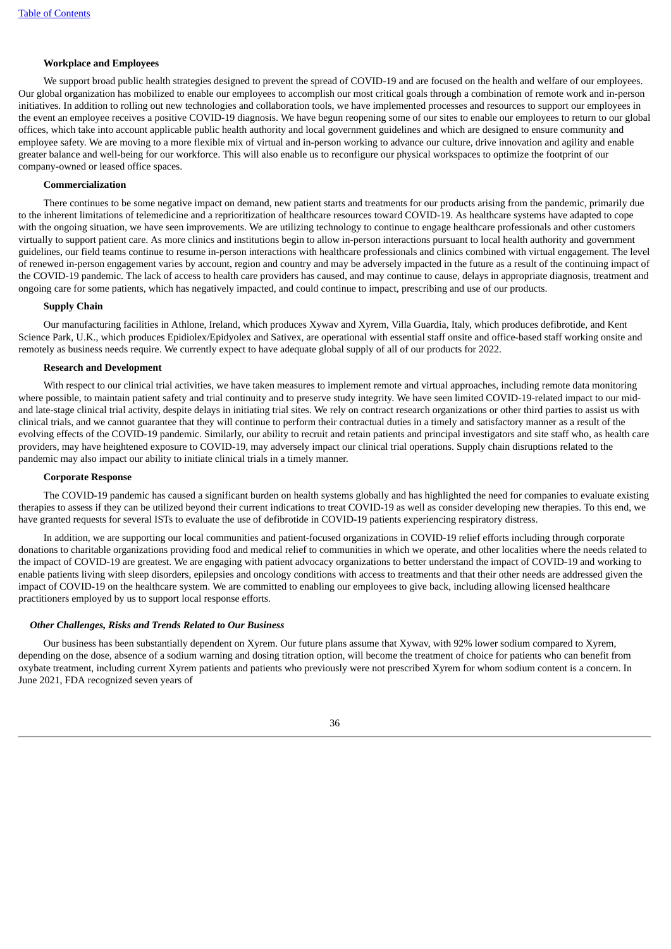# **Workplace and Employees**

We support broad public health strategies designed to prevent the spread of COVID-19 and are focused on the health and welfare of our employees. Our global organization has mobilized to enable our employees to accomplish our most critical goals through a combination of remote work and in-person initiatives. In addition to rolling out new technologies and collaboration tools, we have implemented processes and resources to support our employees in the event an employee receives a positive COVID-19 diagnosis. We have begun reopening some of our sites to enable our employees to return to our global offices, which take into account applicable public health authority and local government guidelines and which are designed to ensure community and employee safety. We are moving to a more flexible mix of virtual and in-person working to advance our culture, drive innovation and agility and enable greater balance and well-being for our workforce. This will also enable us to reconfigure our physical workspaces to optimize the footprint of our company-owned or leased office spaces.

#### **Commercialization**

There continues to be some negative impact on demand, new patient starts and treatments for our products arising from the pandemic, primarily due to the inherent limitations of telemedicine and a reprioritization of healthcare resources toward COVID-19. As healthcare systems have adapted to cope with the ongoing situation, we have seen improvements. We are utilizing technology to continue to engage healthcare professionals and other customers virtually to support patient care. As more clinics and institutions begin to allow in-person interactions pursuant to local health authority and government guidelines, our field teams continue to resume in-person interactions with healthcare professionals and clinics combined with virtual engagement. The level of renewed in-person engagement varies by account, region and country and may be adversely impacted in the future as a result of the continuing impact of the COVID-19 pandemic. The lack of access to health care providers has caused, and may continue to cause, delays in appropriate diagnosis, treatment and ongoing care for some patients, which has negatively impacted, and could continue to impact, prescribing and use of our products.

#### **Supply Chain**

Our manufacturing facilities in Athlone, Ireland, which produces Xywav and Xyrem, Villa Guardia, Italy, which produces defibrotide, and Kent Science Park, U.K., which produces Epidiolex/Epidyolex and Sativex, are operational with essential staff onsite and office-based staff working onsite and remotely as business needs require. We currently expect to have adequate global supply of all of our products for 2022.

# **Research and Development**

With respect to our clinical trial activities, we have taken measures to implement remote and virtual approaches, including remote data monitoring where possible, to maintain patient safety and trial continuity and to preserve study integrity. We have seen limited COVID-19-related impact to our midand late-stage clinical trial activity, despite delays in initiating trial sites. We rely on contract research organizations or other third parties to assist us with clinical trials, and we cannot guarantee that they will continue to perform their contractual duties in a timely and satisfactory manner as a result of the evolving effects of the COVID-19 pandemic. Similarly, our ability to recruit and retain patients and principal investigators and site staff who, as health care providers, may have heightened exposure to COVID-19, may adversely impact our clinical trial operations. Supply chain disruptions related to the pandemic may also impact our ability to initiate clinical trials in a timely manner.

#### **Corporate Response**

The COVID-19 pandemic has caused a significant burden on health systems globally and has highlighted the need for companies to evaluate existing therapies to assess if they can be utilized beyond their current indications to treat COVID-19 as well as consider developing new therapies. To this end, we have granted requests for several ISTs to evaluate the use of defibrotide in COVID-19 patients experiencing respiratory distress.

In addition, we are supporting our local communities and patient-focused organizations in COVID-19 relief efforts including through corporate donations to charitable organizations providing food and medical relief to communities in which we operate, and other localities where the needs related to the impact of COVID-19 are greatest. We are engaging with patient advocacy organizations to better understand the impact of COVID-19 and working to enable patients living with sleep disorders, epilepsies and oncology conditions with access to treatments and that their other needs are addressed given the impact of COVID-19 on the healthcare system. We are committed to enabling our employees to give back, including allowing licensed healthcare practitioners employed by us to support local response efforts.

#### *Other Challenges, Risks and Trends Related to Our Business*

Our business has been substantially dependent on Xyrem. Our future plans assume that Xywav, with 92% lower sodium compared to Xyrem, depending on the dose, absence of a sodium warning and dosing titration option, will become the treatment of choice for patients who can benefit from oxybate treatment, including current Xyrem patients and patients who previously were not prescribed Xyrem for whom sodium content is a concern. In June 2021, FDA recognized seven years of

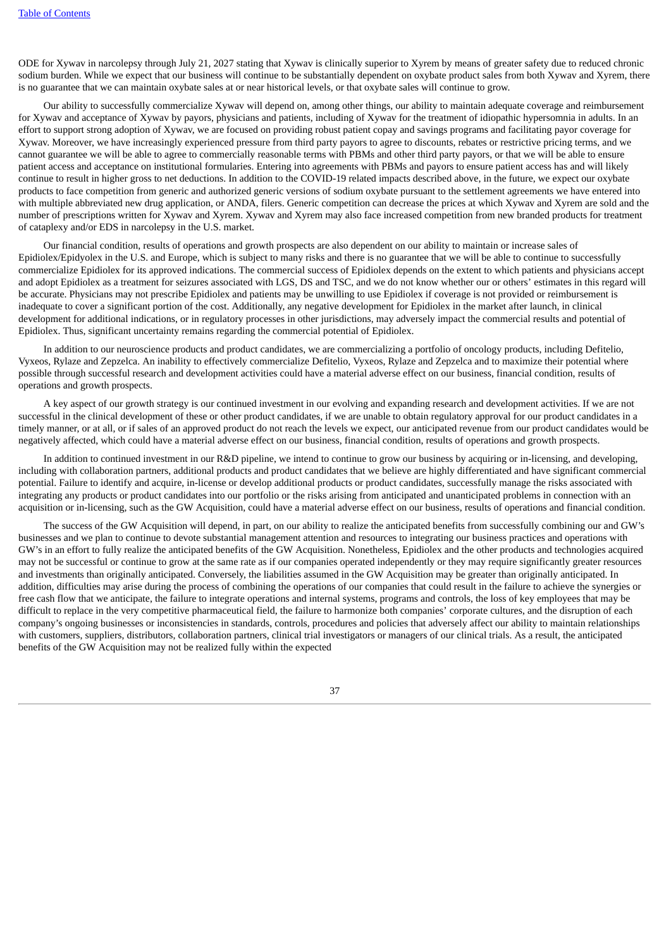ODE for Xywav in narcolepsy through July 21, 2027 stating that Xywav is clinically superior to Xyrem by means of greater safety due to reduced chronic sodium burden. While we expect that our business will continue to be substantially dependent on oxybate product sales from both Xyway and Xyrem, there is no guarantee that we can maintain oxybate sales at or near historical levels, or that oxybate sales will continue to grow.

Our ability to successfully commercialize Xywav will depend on, among other things, our ability to maintain adequate coverage and reimbursement for Xywav and acceptance of Xywav by payors, physicians and patients, including of Xywav for the treatment of idiopathic hypersomnia in adults. In an effort to support strong adoption of Xywav, we are focused on providing robust patient copay and savings programs and facilitating payor coverage for Xywav. Moreover, we have increasingly experienced pressure from third party payors to agree to discounts, rebates or restrictive pricing terms, and we cannot guarantee we will be able to agree to commercially reasonable terms with PBMs and other third party payors, or that we will be able to ensure patient access and acceptance on institutional formularies. Entering into agreements with PBMs and payors to ensure patient access has and will likely continue to result in higher gross to net deductions. In addition to the COVID-19 related impacts described above, in the future, we expect our oxybate products to face competition from generic and authorized generic versions of sodium oxybate pursuant to the settlement agreements we have entered into with multiple abbreviated new drug application, or ANDA, filers. Generic competition can decrease the prices at which Xywav and Xyrem are sold and the number of prescriptions written for Xywav and Xyrem. Xywav and Xyrem may also face increased competition from new branded products for treatment of cataplexy and/or EDS in narcolepsy in the U.S. market.

Our financial condition, results of operations and growth prospects are also dependent on our ability to maintain or increase sales of Epidiolex/Epidyolex in the U.S. and Europe, which is subject to many risks and there is no guarantee that we will be able to continue to successfully commercialize Epidiolex for its approved indications. The commercial success of Epidiolex depends on the extent to which patients and physicians accept and adopt Epidiolex as a treatment for seizures associated with LGS, DS and TSC, and we do not know whether our or others' estimates in this regard will be accurate. Physicians may not prescribe Epidiolex and patients may be unwilling to use Epidiolex if coverage is not provided or reimbursement is inadequate to cover a significant portion of the cost. Additionally, any negative development for Epidiolex in the market after launch, in clinical development for additional indications, or in regulatory processes in other jurisdictions, may adversely impact the commercial results and potential of Epidiolex. Thus, significant uncertainty remains regarding the commercial potential of Epidiolex.

In addition to our neuroscience products and product candidates, we are commercializing a portfolio of oncology products, including Defitelio, Vyxeos, Rylaze and Zepzelca. An inability to effectively commercialize Defitelio, Vyxeos, Rylaze and Zepzelca and to maximize their potential where possible through successful research and development activities could have a material adverse effect on our business, financial condition, results of operations and growth prospects.

A key aspect of our growth strategy is our continued investment in our evolving and expanding research and development activities. If we are not successful in the clinical development of these or other product candidates, if we are unable to obtain regulatory approval for our product candidates in a timely manner, or at all, or if sales of an approved product do not reach the levels we expect, our anticipated revenue from our product candidates would be negatively affected, which could have a material adverse effect on our business, financial condition, results of operations and growth prospects.

In addition to continued investment in our R&D pipeline, we intend to continue to grow our business by acquiring or in-licensing, and developing, including with collaboration partners, additional products and product candidates that we believe are highly differentiated and have significant commercial potential. Failure to identify and acquire, in-license or develop additional products or product candidates, successfully manage the risks associated with integrating any products or product candidates into our portfolio or the risks arising from anticipated and unanticipated problems in connection with an acquisition or in-licensing, such as the GW Acquisition, could have a material adverse effect on our business, results of operations and financial condition.

The success of the GW Acquisition will depend, in part, on our ability to realize the anticipated benefits from successfully combining our and GW's businesses and we plan to continue to devote substantial management attention and resources to integrating our business practices and operations with GW's in an effort to fully realize the anticipated benefits of the GW Acquisition. Nonetheless, Epidiolex and the other products and technologies acquired may not be successful or continue to grow at the same rate as if our companies operated independently or they may require significantly greater resources and investments than originally anticipated. Conversely, the liabilities assumed in the GW Acquisition may be greater than originally anticipated. In addition, difficulties may arise during the process of combining the operations of our companies that could result in the failure to achieve the synergies or free cash flow that we anticipate, the failure to integrate operations and internal systems, programs and controls, the loss of key employees that may be difficult to replace in the very competitive pharmaceutical field, the failure to harmonize both companies' corporate cultures, and the disruption of each company's ongoing businesses or inconsistencies in standards, controls, procedures and policies that adversely affect our ability to maintain relationships with customers, suppliers, distributors, collaboration partners, clinical trial investigators or managers of our clinical trials. As a result, the anticipated benefits of the GW Acquisition may not be realized fully within the expected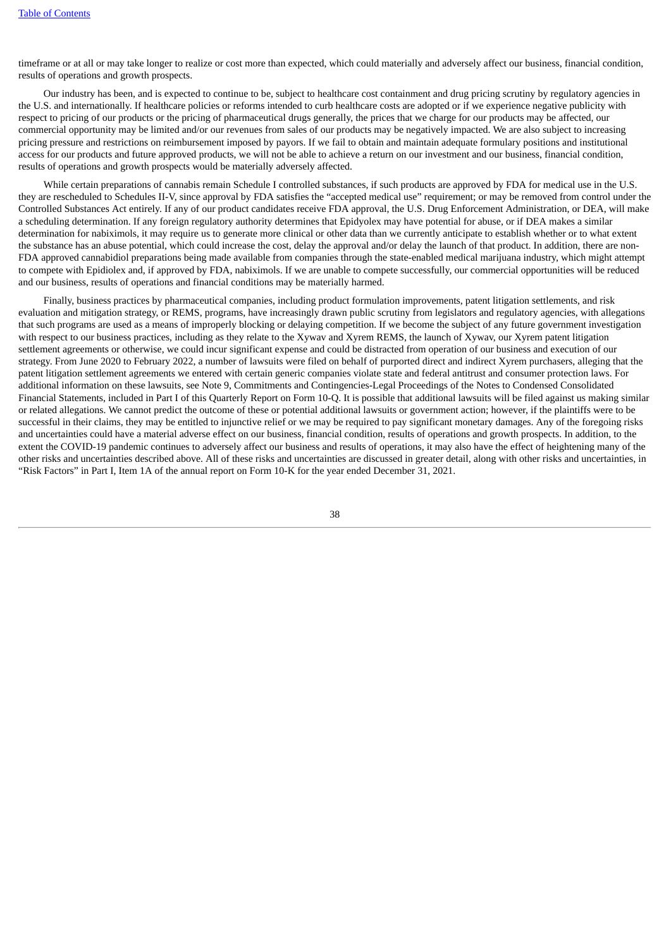timeframe or at all or may take longer to realize or cost more than expected, which could materially and adversely affect our business, financial condition, results of operations and growth prospects.

Our industry has been, and is expected to continue to be, subject to healthcare cost containment and drug pricing scrutiny by regulatory agencies in the U.S. and internationally. If healthcare policies or reforms intended to curb healthcare costs are adopted or if we experience negative publicity with respect to pricing of our products or the pricing of pharmaceutical drugs generally, the prices that we charge for our products may be affected, our commercial opportunity may be limited and/or our revenues from sales of our products may be negatively impacted. We are also subject to increasing pricing pressure and restrictions on reimbursement imposed by payors. If we fail to obtain and maintain adequate formulary positions and institutional access for our products and future approved products, we will not be able to achieve a return on our investment and our business, financial condition, results of operations and growth prospects would be materially adversely affected.

While certain preparations of cannabis remain Schedule I controlled substances, if such products are approved by FDA for medical use in the U.S. they are rescheduled to Schedules II-V, since approval by FDA satisfies the "accepted medical use" requirement; or may be removed from control under the Controlled Substances Act entirely. If any of our product candidates receive FDA approval, the U.S. Drug Enforcement Administration, or DEA, will make a scheduling determination. If any foreign regulatory authority determines that Epidyolex may have potential for abuse, or if DEA makes a similar determination for nabiximols, it may require us to generate more clinical or other data than we currently anticipate to establish whether or to what extent the substance has an abuse potential, which could increase the cost, delay the approval and/or delay the launch of that product. In addition, there are non-FDA approved cannabidiol preparations being made available from companies through the state-enabled medical marijuana industry, which might attempt to compete with Epidiolex and, if approved by FDA, nabiximols. If we are unable to compete successfully, our commercial opportunities will be reduced and our business, results of operations and financial conditions may be materially harmed.

Finally, business practices by pharmaceutical companies, including product formulation improvements, patent litigation settlements, and risk evaluation and mitigation strategy, or REMS, programs, have increasingly drawn public scrutiny from legislators and regulatory agencies, with allegations that such programs are used as a means of improperly blocking or delaying competition. If we become the subject of any future government investigation with respect to our business practices, including as they relate to the Xywav and Xyrem REMS, the launch of Xywav, our Xyrem patent litigation settlement agreements or otherwise, we could incur significant expense and could be distracted from operation of our business and execution of our strategy. From June 2020 to February 2022, a number of lawsuits were filed on behalf of purported direct and indirect Xyrem purchasers, alleging that the patent litigation settlement agreements we entered with certain generic companies violate state and federal antitrust and consumer protection laws. For additional information on these lawsuits, see Note 9, Commitments and Contingencies-Legal Proceedings of the Notes to Condensed Consolidated Financial Statements, included in Part I of this Quarterly Report on Form 10‑Q. It is possible that additional lawsuits will be filed against us making similar or related allegations. We cannot predict the outcome of these or potential additional lawsuits or government action; however, if the plaintiffs were to be successful in their claims, they may be entitled to injunctive relief or we may be required to pay significant monetary damages. Any of the foregoing risks and uncertainties could have a material adverse effect on our business, financial condition, results of operations and growth prospects. In addition, to the extent the COVID-19 pandemic continues to adversely affect our business and results of operations, it may also have the effect of heightening many of the other risks and uncertainties described above. All of these risks and uncertainties are discussed in greater detail, along with other risks and uncertainties, in "Risk Factors" in Part I, Item 1A of the annual report on Form 10-K for the year ended December 31, 2021.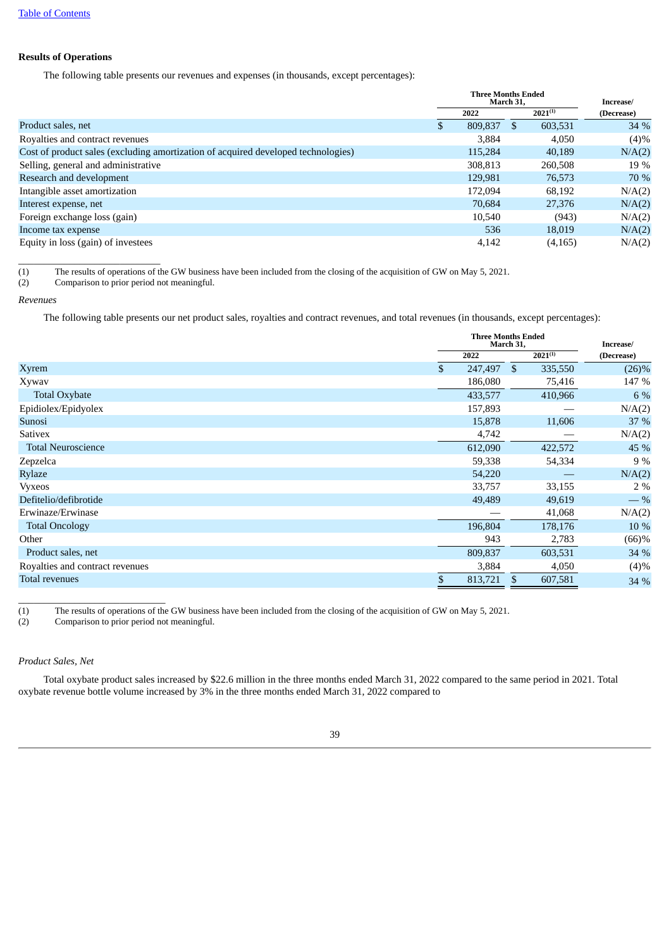# **Results of Operations**

The following table presents our revenues and expenses (in thousands, except percentages):

|                                                                                   | <b>Three Months Ended</b><br>March 31. |         | Increase/    |              |            |
|-----------------------------------------------------------------------------------|----------------------------------------|---------|--------------|--------------|------------|
|                                                                                   |                                        | 2022    |              | $2021^{(1)}$ | (Decrease) |
| Product sales, net                                                                | .D                                     | 809,837 | <sup>S</sup> | 603,531      | 34%        |
| Royalties and contract revenues                                                   |                                        | 3,884   |              | 4,050        | (4)%       |
| Cost of product sales (excluding amortization of acquired developed technologies) |                                        | 115,284 |              | 40,189       | N/A(2)     |
| Selling, general and administrative                                               |                                        | 308,813 |              | 260,508      | 19 %       |
| Research and development                                                          |                                        | 129,981 |              | 76,573       | 70 %       |
| Intangible asset amortization                                                     |                                        | 172,094 |              | 68,192       | N/A(2)     |
| Interest expense, net                                                             |                                        | 70.684  |              | 27,376       | N/A(2)     |
| Foreign exchange loss (gain)                                                      |                                        | 10,540  |              | (943)        | N/A(2)     |
| Income tax expense                                                                |                                        | 536     |              | 18,019       | N/A(2)     |
| Equity in loss (gain) of investees                                                |                                        | 4,142   |              | (4,165)      | N/A(2)     |

(1) The results of operations of the GW business have been included from the closing of the acquisition of GW on May 5, 2021.

Comparison to prior period not meaningful.

 $\_$ 

#### *Revenues*

The following table presents our net product sales, royalties and contract revenues, and total revenues (in thousands, except percentages):

|                                 |                         | <b>Three Months Ended</b><br>March 31, |              |            |
|---------------------------------|-------------------------|----------------------------------------|--------------|------------|
|                                 | 2022                    |                                        | $2021^{(1)}$ | (Decrease) |
| <b>Xyrem</b>                    | $\mathbb{S}$<br>247,497 | $\mathbb{S}$                           | 335,550      | $(26)\%$   |
| Xyway                           | 186,080                 |                                        | 75,416       | 147 %      |
| <b>Total Oxybate</b>            | 433,577                 |                                        | 410,966      | 6 %        |
| Epidiolex/Epidyolex             | 157,893                 |                                        |              | N/A(2)     |
| Sunosi                          | 15,878                  |                                        | 11,606       | 37 %       |
| <b>Sativex</b>                  | 4,742                   |                                        |              | N/A(2)     |
| <b>Total Neuroscience</b>       | 612,090                 |                                        | 422,572      | 45 %       |
| Zepzelca                        | 59,338                  |                                        | 54,334       | 9%         |
| Rylaze                          | 54,220                  |                                        |              | N/A(2)     |
| <b>Vyxeos</b>                   | 33,757                  |                                        | 33,155       | $2\%$      |
| Defitelio/defibrotide           | 49,489                  |                                        | 49,619       | $-$ %      |
| Erwinaze/Erwinase               |                         |                                        | 41,068       | N/A(2)     |
| <b>Total Oncology</b>           | 196,804                 |                                        | 178,176      | 10 %       |
| Other                           | 943                     |                                        | 2,783        | (66)%      |
| Product sales, net              | 809,837                 |                                        | 603,531      | 34 %       |
| Royalties and contract revenues | 3,884                   |                                        | 4,050        | (4)%       |
| <b>Total revenues</b>           | \$<br>813,721           | \$                                     | 607,581      | 34 %       |

(1) The results of operations of the GW business have been included from the closing of the acquisition of GW on May 5, 2021.

(2) Comparison to prior period not meaningful.

\_\_\_\_\_\_\_\_\_\_\_\_\_\_\_\_\_\_\_\_\_\_\_\_\_\_\_\_\_

# *Product Sales, Net*

Total oxybate product sales increased by \$22.6 million in the three months ended March 31, 2022 compared to the same period in 2021. Total oxybate revenue bottle volume increased by 3% in the three months ended March 31, 2022 compared to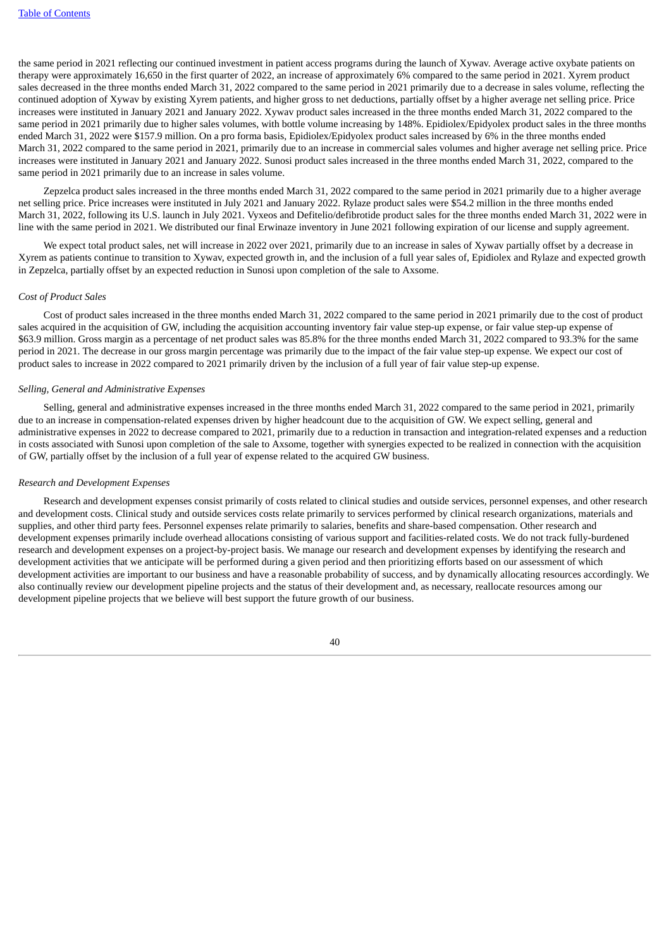the same period in 2021 reflecting our continued investment in patient access programs during the launch of Xywav. Average active oxybate patients on therapy were approximately 16,650 in the first quarter of 2022, an increase of approximately 6% compared to the same period in 2021. Xyrem product sales decreased in the three months ended March 31, 2022 compared to the same period in 2021 primarily due to a decrease in sales volume, reflecting the continued adoption of Xywav by existing Xyrem patients, and higher gross to net deductions, partially offset by a higher average net selling price. Price increases were instituted in January 2021 and January 2022. Xywav product sales increased in the three months ended March 31, 2022 compared to the same period in 2021 primarily due to higher sales volumes, with bottle volume increasing by 148%. Epidiolex/Epidyolex product sales in the three months ended March 31, 2022 were \$157.9 million. On a pro forma basis, Epidiolex/Epidyolex product sales increased by 6% in the three months ended March 31, 2022 compared to the same period in 2021, primarily due to an increase in commercial sales volumes and higher average net selling price. Price increases were instituted in January 2021 and January 2022. Sunosi product sales increased in the three months ended March 31, 2022, compared to the same period in 2021 primarily due to an increase in sales volume.

Zepzelca product sales increased in the three months ended March 31, 2022 compared to the same period in 2021 primarily due to a higher average net selling price. Price increases were instituted in July 2021 and January 2022. Rylaze product sales were \$54.2 million in the three months ended March 31, 2022, following its U.S. launch in July 2021. Vyxeos and Defitelio/defibrotide product sales for the three months ended March 31, 2022 were in line with the same period in 2021. We distributed our final Erwinaze inventory in June 2021 following expiration of our license and supply agreement.

We expect total product sales, net will increase in 2022 over 2021, primarily due to an increase in sales of Xywav partially offset by a decrease in Xyrem as patients continue to transition to Xywav, expected growth in, and the inclusion of a full year sales of, Epidiolex and Rylaze and expected growth in Zepzelca, partially offset by an expected reduction in Sunosi upon completion of the sale to Axsome.

#### *Cost of Product Sales*

Cost of product sales increased in the three months ended March 31, 2022 compared to the same period in 2021 primarily due to the cost of product sales acquired in the acquisition of GW, including the acquisition accounting inventory fair value step-up expense, or fair value step-up expense of \$63.9 million. Gross margin as a percentage of net product sales was 85.8% for the three months ended March 31, 2022 compared to 93.3% for the same period in 2021. The decrease in our gross margin percentage was primarily due to the impact of the fair value step-up expense. We expect our cost of product sales to increase in 2022 compared to 2021 primarily driven by the inclusion of a full year of fair value step-up expense.

#### *Selling, General and Administrative Expenses*

Selling, general and administrative expenses increased in the three months ended March 31, 2022 compared to the same period in 2021, primarily due to an increase in compensation-related expenses driven by higher headcount due to the acquisition of GW. We expect selling, general and administrative expenses in 2022 to decrease compared to 2021, primarily due to a reduction in transaction and integration-related expenses and a reduction in costs associated with Sunosi upon completion of the sale to Axsome, together with synergies expected to be realized in connection with the acquisition of GW, partially offset by the inclusion of a full year of expense related to the acquired GW business.

#### *Research and Development Expenses*

Research and development expenses consist primarily of costs related to clinical studies and outside services, personnel expenses, and other research and development costs. Clinical study and outside services costs relate primarily to services performed by clinical research organizations, materials and supplies, and other third party fees. Personnel expenses relate primarily to salaries, benefits and share-based compensation. Other research and development expenses primarily include overhead allocations consisting of various support and facilities-related costs. We do not track fully-burdened research and development expenses on a project-by-project basis. We manage our research and development expenses by identifying the research and development activities that we anticipate will be performed during a given period and then prioritizing efforts based on our assessment of which development activities are important to our business and have a reasonable probability of success, and by dynamically allocating resources accordingly. We also continually review our development pipeline projects and the status of their development and, as necessary, reallocate resources among our development pipeline projects that we believe will best support the future growth of our business.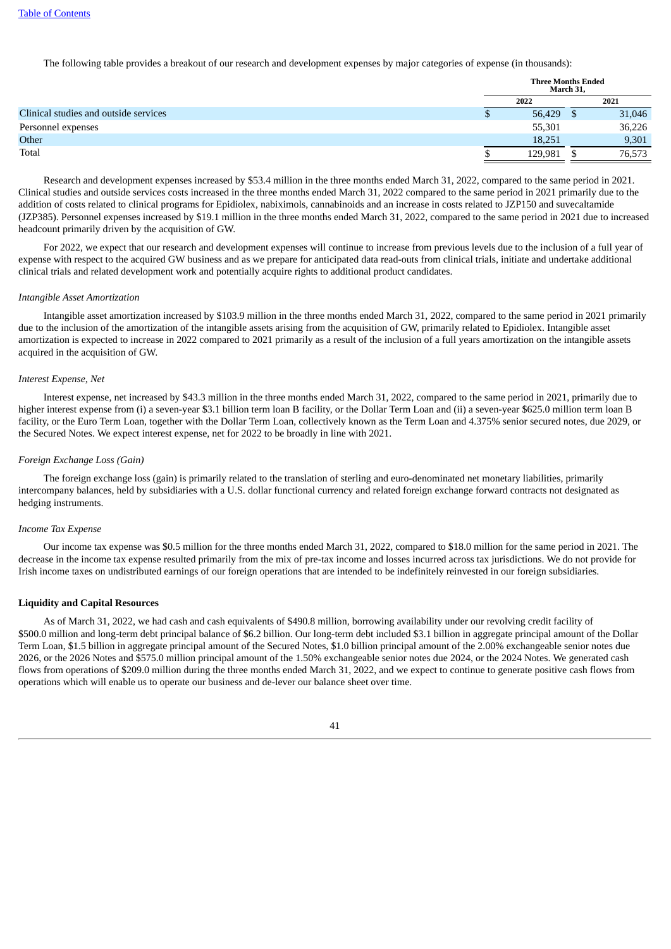The following table provides a breakout of our research and development expenses by major categories of expense (in thousands):

|                                       | <b>Three Months Ended</b><br>March 31, |         |  |        |
|---------------------------------------|----------------------------------------|---------|--|--------|
|                                       |                                        | 2022    |  | 2021   |
| Clinical studies and outside services |                                        | 56,429  |  | 31,046 |
| Personnel expenses                    |                                        | 55,301  |  | 36,226 |
| Other                                 |                                        | 18,251  |  | 9,301  |
| Total                                 |                                        | 129,981 |  | 76,573 |

Research and development expenses increased by \$53.4 million in the three months ended March 31, 2022, compared to the same period in 2021. Clinical studies and outside services costs increased in the three months ended March 31, 2022 compared to the same period in 2021 primarily due to the addition of costs related to clinical programs for Epidiolex, nabiximols, cannabinoids and an increase in costs related to JZP150 and suvecaltamide (JZP385). Personnel expenses increased by \$19.1 million in the three months ended March 31, 2022, compared to the same period in 2021 due to increased headcount primarily driven by the acquisition of GW.

For 2022, we expect that our research and development expenses will continue to increase from previous levels due to the inclusion of a full year of expense with respect to the acquired GW business and as we prepare for anticipated data read-outs from clinical trials, initiate and undertake additional clinical trials and related development work and potentially acquire rights to additional product candidates.

#### *Intangible Asset Amortization*

Intangible asset amortization increased by \$103.9 million in the three months ended March 31, 2022, compared to the same period in 2021 primarily due to the inclusion of the amortization of the intangible assets arising from the acquisition of GW, primarily related to Epidiolex. Intangible asset amortization is expected to increase in 2022 compared to 2021 primarily as a result of the inclusion of a full years amortization on the intangible assets acquired in the acquisition of GW.

#### *Interest Expense, Net*

Interest expense, net increased by \$43.3 million in the three months ended March 31, 2022, compared to the same period in 2021, primarily due to higher interest expense from (i) a seven-year \$3.1 billion term loan B facility, or the Dollar Term Loan and (ii) a seven-year \$625.0 million term loan B facility, or the Euro Term Loan, together with the Dollar Term Loan, collectively known as the Term Loan and 4.375% senior secured notes, due 2029, or the Secured Notes. We expect interest expense, net for 2022 to be broadly in line with 2021.

#### *Foreign Exchange Loss (Gain)*

The foreign exchange loss (gain) is primarily related to the translation of sterling and euro-denominated net monetary liabilities, primarily intercompany balances, held by subsidiaries with a U.S. dollar functional currency and related foreign exchange forward contracts not designated as hedging instruments.

#### *Income Tax Expense*

Our income tax expense was \$0.5 million for the three months ended March 31, 2022, compared to \$18.0 million for the same period in 2021. The decrease in the income tax expense resulted primarily from the mix of pre-tax income and losses incurred across tax jurisdictions. We do not provide for Irish income taxes on undistributed earnings of our foreign operations that are intended to be indefinitely reinvested in our foreign subsidiaries.

#### **Liquidity and Capital Resources**

As of March 31, 2022, we had cash and cash equivalents of \$490.8 million, borrowing availability under our revolving credit facility of \$500.0 million and long-term debt principal balance of \$6.2 billion. Our long-term debt included \$3.1 billion in aggregate principal amount of the Dollar Term Loan, \$1.5 billion in aggregate principal amount of the Secured Notes, \$1.0 billion principal amount of the 2.00% exchangeable senior notes due 2026, or the 2026 Notes and \$575.0 million principal amount of the 1.50% exchangeable senior notes due 2024, or the 2024 Notes. We generated cash flows from operations of \$209.0 million during the three months ended March 31, 2022, and we expect to continue to generate positive cash flows from operations which will enable us to operate our business and de-lever our balance sheet over time.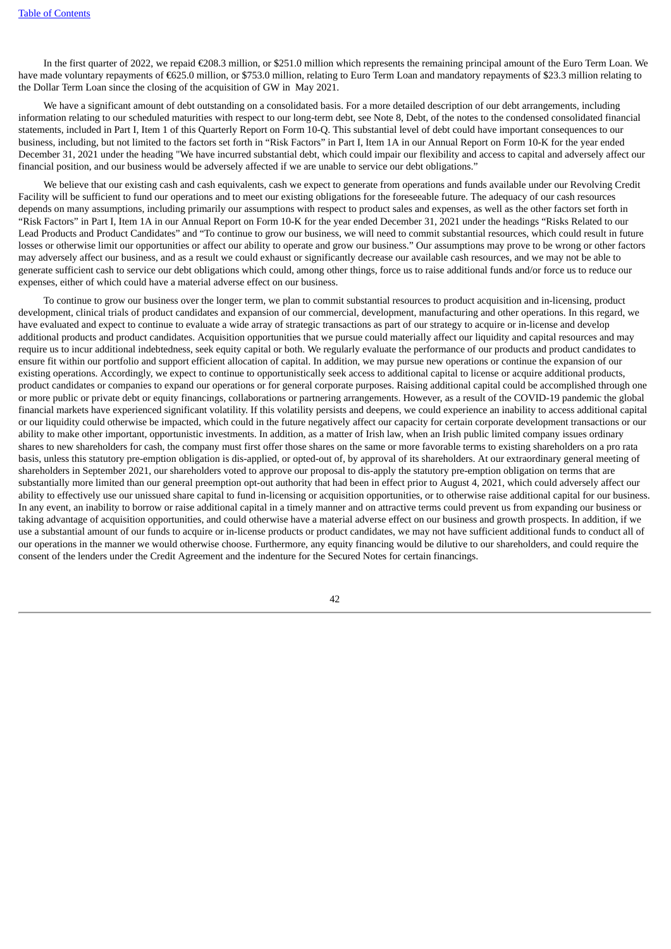In the first quarter of 2022, we repaid €208.3 million, or \$251.0 million which represents the remaining principal amount of the Euro Term Loan. We have made voluntary repayments of €625.0 million, or \$753.0 million, relating to Euro Term Loan and mandatory repayments of \$23.3 million relating to the Dollar Term Loan since the closing of the acquisition of GW in May 2021.

We have a significant amount of debt outstanding on a consolidated basis. For a more detailed description of our debt arrangements, including information relating to our scheduled maturities with respect to our long-term debt, see Note 8, Debt, of the notes to the condensed consolidated financial statements, included in Part I, Item 1 of this Quarterly Report on Form 10‑Q. This substantial level of debt could have important consequences to our business, including, but not limited to the factors set forth in "Risk Factors" in Part I, Item 1A in our Annual Report on Form 10-K for the year ended December 31, 2021 under the heading "We have incurred substantial debt, which could impair our flexibility and access to capital and adversely affect our financial position, and our business would be adversely affected if we are unable to service our debt obligations."

We believe that our existing cash and cash equivalents, cash we expect to generate from operations and funds available under our Revolving Credit Facility will be sufficient to fund our operations and to meet our existing obligations for the foreseeable future. The adequacy of our cash resources depends on many assumptions, including primarily our assumptions with respect to product sales and expenses, as well as the other factors set forth in "Risk Factors" in Part I, Item 1A in our Annual Report on Form 10-K for the year ended December 31, 2021 under the headings "Risks Related to our Lead Products and Product Candidates" and "To continue to grow our business, we will need to commit substantial resources, which could result in future losses or otherwise limit our opportunities or affect our ability to operate and grow our business." Our assumptions may prove to be wrong or other factors may adversely affect our business, and as a result we could exhaust or significantly decrease our available cash resources, and we may not be able to generate sufficient cash to service our debt obligations which could, among other things, force us to raise additional funds and/or force us to reduce our expenses, either of which could have a material adverse effect on our business.

To continue to grow our business over the longer term, we plan to commit substantial resources to product acquisition and in-licensing, product development, clinical trials of product candidates and expansion of our commercial, development, manufacturing and other operations. In this regard, we have evaluated and expect to continue to evaluate a wide array of strategic transactions as part of our strategy to acquire or in-license and develop additional products and product candidates. Acquisition opportunities that we pursue could materially affect our liquidity and capital resources and may require us to incur additional indebtedness, seek equity capital or both. We regularly evaluate the performance of our products and product candidates to ensure fit within our portfolio and support efficient allocation of capital. In addition, we may pursue new operations or continue the expansion of our existing operations. Accordingly, we expect to continue to opportunistically seek access to additional capital to license or acquire additional products, product candidates or companies to expand our operations or for general corporate purposes. Raising additional capital could be accomplished through one or more public or private debt or equity financings, collaborations or partnering arrangements. However, as a result of the COVID-19 pandemic the global financial markets have experienced significant volatility. If this volatility persists and deepens, we could experience an inability to access additional capital or our liquidity could otherwise be impacted, which could in the future negatively affect our capacity for certain corporate development transactions or our ability to make other important, opportunistic investments. In addition, as a matter of Irish law, when an Irish public limited company issues ordinary shares to new shareholders for cash, the company must first offer those shares on the same or more favorable terms to existing shareholders on a pro rata basis, unless this statutory pre-emption obligation is dis-applied, or opted-out of, by approval of its shareholders. At our extraordinary general meeting of shareholders in September 2021, our shareholders voted to approve our proposal to dis-apply the statutory pre-emption obligation on terms that are substantially more limited than our general preemption opt-out authority that had been in effect prior to August 4, 2021, which could adversely affect our ability to effectively use our unissued share capital to fund in-licensing or acquisition opportunities, or to otherwise raise additional capital for our business. In any event, an inability to borrow or raise additional capital in a timely manner and on attractive terms could prevent us from expanding our business or taking advantage of acquisition opportunities, and could otherwise have a material adverse effect on our business and growth prospects. In addition, if we use a substantial amount of our funds to acquire or in-license products or product candidates, we may not have sufficient additional funds to conduct all of our operations in the manner we would otherwise choose. Furthermore, any equity financing would be dilutive to our shareholders, and could require the consent of the lenders under the Credit Agreement and the indenture for the Secured Notes for certain financings.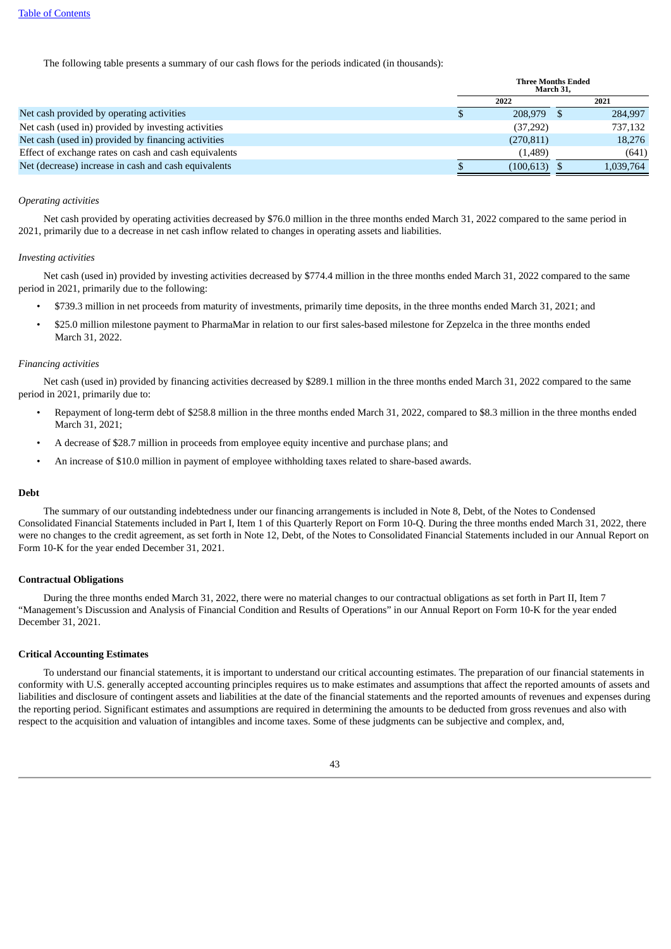The following table presents a summary of our cash flows for the periods indicated (in thousands):

| <b>Three Months Ended</b><br>March 31. |
|----------------------------------------|
| 2022<br>2021                           |
| 208,979<br>284,997                     |
| 737,132<br>(37,292)                    |
| 18,276<br>(270, 811)                   |
| (641)<br>(1,489)                       |
| 1,039,764<br>$(100, 613)$ \$           |
|                                        |

#### *Operating activities*

Net cash provided by operating activities decreased by \$76.0 million in the three months ended March 31, 2022 compared to the same period in 2021, primarily due to a decrease in net cash inflow related to changes in operating assets and liabilities.

#### *Investing activities*

Net cash (used in) provided by investing activities decreased by \$774.4 million in the three months ended March 31, 2022 compared to the same period in 2021, primarily due to the following:

- \$739.3 million in net proceeds from maturity of investments, primarily time deposits, in the three months ended March 31, 2021; and
- \$25.0 million milestone payment to PharmaMar in relation to our first sales-based milestone for Zepzelca in the three months ended March 31, 2022.

# *Financing activities*

Net cash (used in) provided by financing activities decreased by \$289.1 million in the three months ended March 31, 2022 compared to the same period in 2021, primarily due to:

- Repayment of long-term debt of \$258.8 million in the three months ended March 31, 2022, compared to \$8.3 million in the three months ended March 31, 2021;
- A decrease of \$28.7 million in proceeds from employee equity incentive and purchase plans; and
- An increase of \$10.0 million in payment of employee withholding taxes related to share-based awards.

# **Debt**

The summary of our outstanding indebtedness under our financing arrangements is included in Note 8, Debt, of the Notes to Condensed Consolidated Financial Statements included in Part I, Item 1 of this Quarterly Report on Form 10-Q. During the three months ended March 31, 2022, there were no changes to the credit agreement, as set forth in Note 12, Debt, of the Notes to Consolidated Financial Statements included in our Annual Report on Form 10-K for the year ended December 31, 2021.

#### **Contractual Obligations**

During the three months ended March 31, 2022, there were no material changes to our contractual obligations as set forth in Part II, Item 7 "Management's Discussion and Analysis of Financial Condition and Results of Operations" in our Annual Report on Form 10-K for the year ended December 31, 2021.

#### **Critical Accounting Estimates**

To understand our financial statements, it is important to understand our critical accounting estimates. The preparation of our financial statements in conformity with U.S. generally accepted accounting principles requires us to make estimates and assumptions that affect the reported amounts of assets and liabilities and disclosure of contingent assets and liabilities at the date of the financial statements and the reported amounts of revenues and expenses during the reporting period. Significant estimates and assumptions are required in determining the amounts to be deducted from gross revenues and also with respect to the acquisition and valuation of intangibles and income taxes. Some of these judgments can be subjective and complex, and,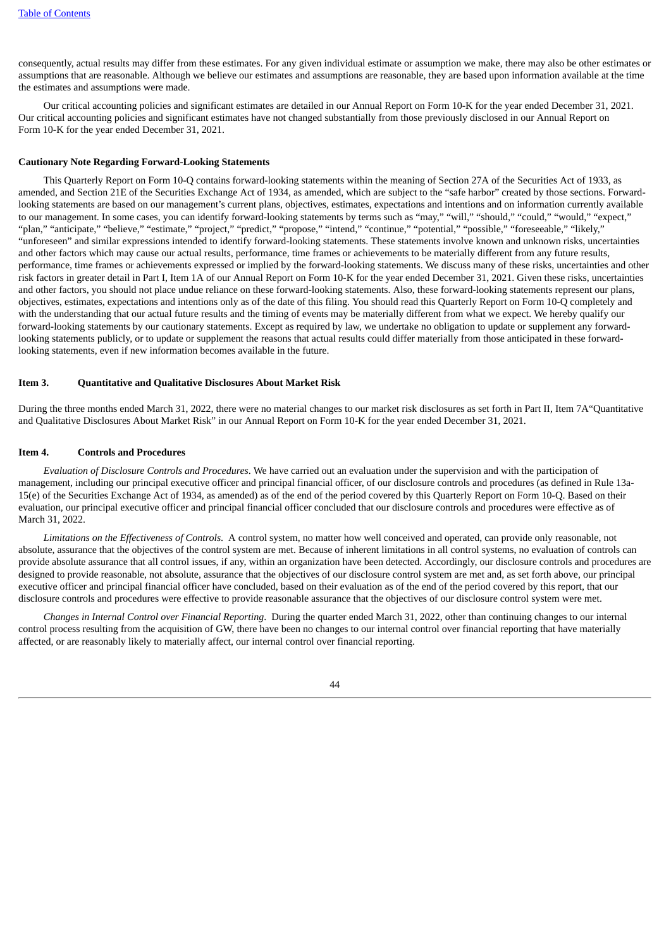consequently, actual results may differ from these estimates. For any given individual estimate or assumption we make, there may also be other estimates or assumptions that are reasonable. Although we believe our estimates and assumptions are reasonable, they are based upon information available at the time the estimates and assumptions were made.

Our critical accounting policies and significant estimates are detailed in our Annual Report on Form 10‑K for the year ended December 31, 2021. Our critical accounting policies and significant estimates have not changed substantially from those previously disclosed in our Annual Report on Form 10‑K for the year ended December 31, 2021.

#### **Cautionary Note Regarding Forward-Looking Statements**

This Quarterly Report on Form 10‑Q contains forward-looking statements within the meaning of Section 27A of the Securities Act of 1933, as amended, and Section 21E of the Securities Exchange Act of 1934, as amended, which are subject to the "safe harbor" created by those sections. Forwardlooking statements are based on our management's current plans, objectives, estimates, expectations and intentions and on information currently available to our management. In some cases, you can identify forward-looking statements by terms such as "may," "will," "should," "could," "would," "expect," "plan," "anticipate," "believe," "estimate," "project," "predict," "propose," "intend," "continue," "potential," "possible," "foreseeable," "likely," "unforeseen" and similar expressions intended to identify forward-looking statements. These statements involve known and unknown risks, uncertainties and other factors which may cause our actual results, performance, time frames or achievements to be materially different from any future results, performance, time frames or achievements expressed or implied by the forward-looking statements. We discuss many of these risks, uncertainties and other risk factors in greater detail in Part I, Item 1A of our Annual Report on Form 10-K for the year ended December 31, 2021. Given these risks, uncertainties and other factors, you should not place undue reliance on these forward-looking statements. Also, these forward-looking statements represent our plans, objectives, estimates, expectations and intentions only as of the date of this filing. You should read this Quarterly Report on Form 10‑Q completely and with the understanding that our actual future results and the timing of events may be materially different from what we expect. We hereby qualify our forward-looking statements by our cautionary statements. Except as required by law, we undertake no obligation to update or supplement any forwardlooking statements publicly, or to update or supplement the reasons that actual results could differ materially from those anticipated in these forwardlooking statements, even if new information becomes available in the future.

## <span id="page-44-0"></span>**Item 3. Quantitative and Qualitative Disclosures About Market Risk**

During the three months ended March 31, 2022, there were no material changes to our market risk disclosures as set forth in Part II, Item 7A"Quantitative and Qualitative Disclosures About Market Risk" in our Annual Report on Form 10-K for the year ended December 31, 2021.

# <span id="page-44-1"></span>**Item 4. Controls and Procedures**

*Evaluation of Disclosure Controls and Procedures*. We have carried out an evaluation under the supervision and with the participation of management, including our principal executive officer and principal financial officer, of our disclosure controls and procedures (as defined in Rule 13a-15(e) of the Securities Exchange Act of 1934, as amended) as of the end of the period covered by this Quarterly Report on Form 10‑Q. Based on their evaluation, our principal executive officer and principal financial officer concluded that our disclosure controls and procedures were effective as of March 31, 2022.

*Limitations on the Effectiveness of Controls*. A control system, no matter how well conceived and operated, can provide only reasonable, not absolute, assurance that the objectives of the control system are met. Because of inherent limitations in all control systems, no evaluation of controls can provide absolute assurance that all control issues, if any, within an organization have been detected. Accordingly, our disclosure controls and procedures are designed to provide reasonable, not absolute, assurance that the objectives of our disclosure control system are met and, as set forth above, our principal executive officer and principal financial officer have concluded, based on their evaluation as of the end of the period covered by this report, that our disclosure controls and procedures were effective to provide reasonable assurance that the objectives of our disclosure control system were met.

<span id="page-44-2"></span>*Changes in Internal Control over Financial Reporting*. During the quarter ended March 31, 2022, other than continuing changes to our internal control process resulting from the acquisition of GW, there have been no changes to our internal control over financial reporting that have materially affected, or are reasonably likely to materially affect, our internal control over financial reporting.

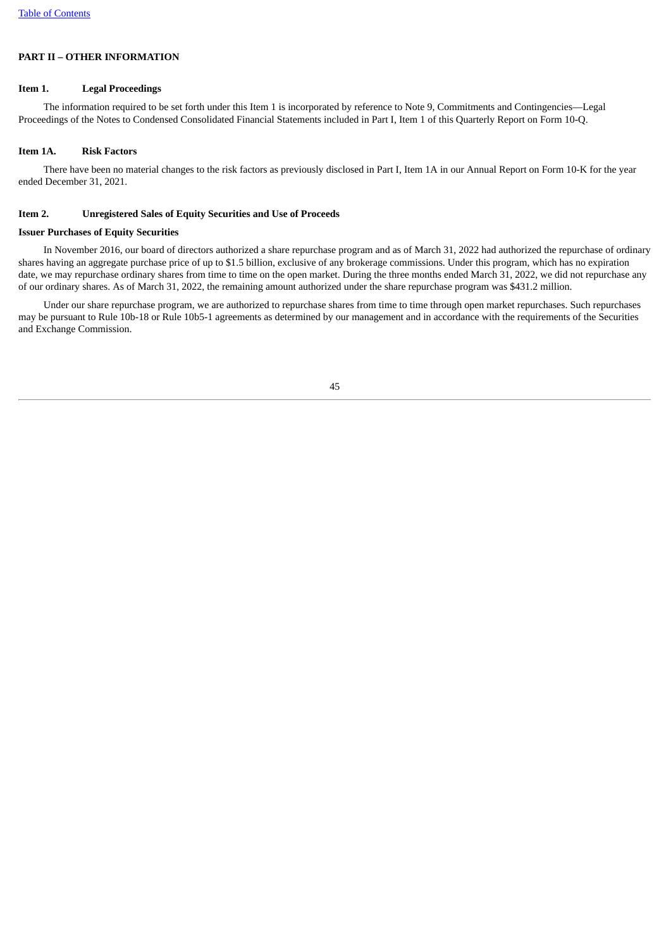# **PART II – OTHER INFORMATION**

#### <span id="page-45-0"></span>**Item 1. Legal Proceedings**

The information required to be set forth under this Item 1 is incorporated by reference to Note 9, Commitments and Contingencies—Legal Proceedings of the Notes to Condensed Consolidated Financial Statements included in Part I, Item 1 of this Quarterly Report on Form 10‑Q.

#### <span id="page-45-1"></span>**Item 1A. Risk Factors**

There have been no material changes to the risk factors as previously disclosed in Part I, Item 1A in our Annual Report on Form 10-K for the year ended December 31, 2021.

# <span id="page-45-2"></span>**Item 2. Unregistered Sales of Equity Securities and Use of Proceeds**

# **Issuer Purchases of Equity Securities**

In November 2016, our board of directors authorized a share repurchase program and as of March 31, 2022 had authorized the repurchase of ordinary shares having an aggregate purchase price of up to \$1.5 billion, exclusive of any brokerage commissions. Under this program, which has no expiration date, we may repurchase ordinary shares from time to time on the open market. During the three months ended March 31, 2022, we did not repurchase any of our ordinary shares. As of March 31, 2022, the remaining amount authorized under the share repurchase program was \$431.2 million.

<span id="page-45-3"></span>Under our share repurchase program, we are authorized to repurchase shares from time to time through open market repurchases. Such repurchases may be pursuant to Rule 10b-18 or Rule 10b5-1 agreements as determined by our management and in accordance with the requirements of the Securities and Exchange Commission.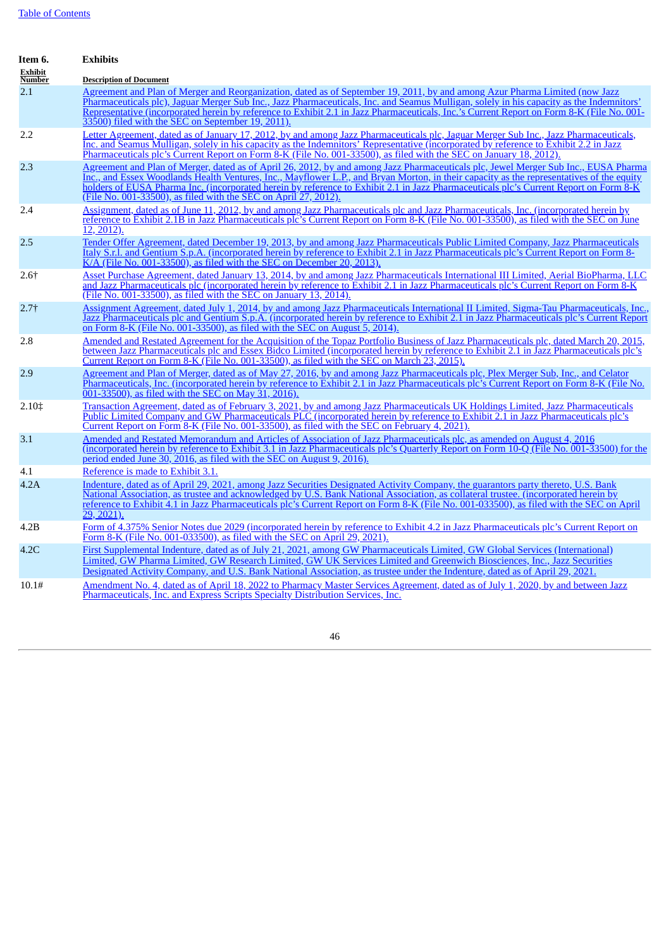| Item 6.                         | <b>Exhibits</b>                                                                                                                                                                                                                                                                                                                                                                                                                                                                              |  |  |  |  |
|---------------------------------|----------------------------------------------------------------------------------------------------------------------------------------------------------------------------------------------------------------------------------------------------------------------------------------------------------------------------------------------------------------------------------------------------------------------------------------------------------------------------------------------|--|--|--|--|
| <b>Exhibit</b><br><b>Number</b> | <b>Description of Document</b>                                                                                                                                                                                                                                                                                                                                                                                                                                                               |  |  |  |  |
| 2.1                             | Agreement and Plan of Merger and Reorganization, dated as of September 19, 2011, by and among Azur Pharma Limited (now Jazz<br>Pharmaceuticals plc), Jaguar Merger Sub Inc., Jazz Pharmaceuticals, Inc. and Seamus Mulligan, solely in his capacity as the Indemnitors'<br>Representative (incorporated herein by reference to Exhibit 2.1 in Jazz Pharmaceuticals, Inc.'s Current Report on Form 8-K (File No. 001-<br>33500) filed with the SEC on September 19, 2011).                    |  |  |  |  |
| 2.2                             | Letter Agreement, dated as of January 17, 2012, by and among Jazz Pharmaceuticals plc, Jaguar Merger Sub Inc., Jazz Pharmaceuticals,<br>Inc. and Seamus Mulligan, solely in his capacity as the Indemnitors' Representative (incorporated by reference to Exhibit 2.2 in Jazz<br>Pharmaceuticals plc's Current Report on Form 8-K (File No. 001-33500), as filed with the SEC on January 18, 2012).                                                                                          |  |  |  |  |
| 2.3                             | Agreement and Plan of Merger, dated as of April 26, 2012, by and among Jazz Pharmaceuticals plc, Jewel Merger Sub Inc., EUSA Pharma<br>Inc., and Essex Woodlands Health Ventures, Inc., Mayflower L.P., and Bryan Morton, in their capacity as the representatives of the equity<br>holders of EUSA Pharma Inc. (incorporated herein by reference to Exhibit 2.1 in Jazz Pharmaceuticals plc's Current Report on Form 8-K<br>(File No. 001-33500), as filed with the SEC on April 27, 2012). |  |  |  |  |
| 2.4                             | Assignment, dated as of June 11, 2012, by and among Jazz Pharmaceuticals plc and Jazz Pharmaceuticals, Inc. (incorporated herein by<br>reference to Exhibit 2.1B in Jazz Pharmaceuticals plc's Current Report on Form 8-K (File No. 001-33500), as filed with the SEC on June<br>12, 2012).                                                                                                                                                                                                  |  |  |  |  |
| 2.5                             | Tender Offer Agreement, dated December 19, 2013, by and among Jazz Pharmaceuticals Public Limited Company, Jazz Pharmaceuticals<br>Italy S.r.l. and Gentium S.p.A. (incorporated herein by reference to Exhibit 2.1 in Jazz Pharmaceuticals plc's Current Report on Form 8-<br>$K/A$ (File No. 001-33500), as filed with the SEC on December 20, 2013).                                                                                                                                      |  |  |  |  |
| $2.6+$                          | Asset Purchase Agreement, dated January 13, 2014, by and among Jazz Pharmaceuticals International III Limited, Aerial BioPharma, LLC<br>and Jazz Pharmaceuticals plc (incorporated herein by reference to Exhibit 2.1 in Jazz Pharmaceuticals plc's Current Report on Form 8-K<br>(File No. 001-33500), as filed with the SEC on January 13, 2014).                                                                                                                                          |  |  |  |  |
| $2.7+$                          | Assignment Agreement, dated July 1, 2014, by and among Jazz Pharmaceuticals International II Limited, Sigma-Tau Pharmaceuticals, Inc.,<br>Jazz Pharmaceuticals plc and Gentium S.p.A. (incorporated herein by reference to Exhibit 2.1 in Jazz Pharmaceuticals plc's Current Report<br>on Form 8-K (File No. 001-33500), as filed with the SEC on August 5, 2014).                                                                                                                           |  |  |  |  |
| 2.8                             | Amended and Restated Agreement for the Acquisition of the Topaz Portfolio Business of Jazz Pharmaceuticals plc, dated March 20, 2015,<br>between Jazz Pharmaceuticals plc and Essex Bidco Limited (incorporated herein by reference to Exhibit 2.1 in Jazz Pharmaceuticals plc's<br>Current Report on Form 8-K (File No. 001-33500), as filed with the SEC on March 23, 2015).                                                                                                               |  |  |  |  |
| 2.9                             | Agreement and Plan of Merger, dated as of May 27, 2016, by and among Jazz Pharmaceuticals plc, Plex Merger Sub, Inc., and Celator<br>Pharmaceuticals, Inc. (incorporated herein by reference to Exhibit 2.1 in Jazz Pharmaceuticals plc's Current Report on Form 8-K (File No.<br>001-33500), as filed with the SEC on May 31, 2016).                                                                                                                                                        |  |  |  |  |
| 2.10 <sup>‡</sup>               | Transaction Agreement, dated as of February 3, 2021, by and among Jazz Pharmaceuticals UK Holdings Limited, Jazz Pharmaceuticals<br>Public Limited Company and GW Pharmaceuticals PLC (incorporated herein by reference to Exhibit 2.1 in Jazz Pharmaceuticals plc's<br>Current Report on Form 8-K (File No. 001-33500), as filed with the SEC on February 4, 2021).                                                                                                                         |  |  |  |  |
| 3.1                             | Amended and Restated Memorandum and Articles of Association of Jazz Pharmaceuticals plc, as amended on August 4, 2016<br>(incorporated herein by reference to Exhibit 3.1 in Jazz Pharmaceuticals plc's Quarterly Report on Form 10-Q (File No. 001-33500) for the<br>period ended June 30, 2016, as filed with the SEC on August 9, 2016).                                                                                                                                                  |  |  |  |  |
| 4.1                             | Reference is made to Exhibit 3.1.                                                                                                                                                                                                                                                                                                                                                                                                                                                            |  |  |  |  |
| 4.2A                            | Indenture, dated as of April 29, 2021, among Jazz Securities Designated Activity Company, the guarantors party thereto, U.S. Bank<br>National Association, as trustee and acknowledged by U.S. Bank National Association, as collateral trustee. (incorporated herein by<br>reference to Exhibit 4.1 in Jazz Pharmaceuticals plc's Current Report on Form 8-K (File No. 001-033500), as filed with the SEC on April<br>29, 2021).                                                            |  |  |  |  |
| 4.2B                            | Form of 4.375% Senior Notes due 2029 (incorporated herein by reference to Exhibit 4.2 in Jazz Pharmaceuticals plc's Current Report on<br>Form 8-K (File No. 001-033500), as filed with the SEC on April 29, 2021).                                                                                                                                                                                                                                                                           |  |  |  |  |
| 4.2C                            | First Supplemental Indenture, dated as of July 21, 2021, among GW Pharmaceuticals Limited, GW Global Services (International)<br>Limited, GW Pharma Limited, GW Research Limited, GW UK Services Limited and Greenwich Biosciences, Inc., Jazz Securities<br>Designated Activity Company, and U.S. Bank National Association, as trustee under the Indenture, dated as of April 29, 2021                                                                                                     |  |  |  |  |
| 10.1#                           | Amendment No. 4, dated as of April 18, 2022 to Pharmacy Master Services Agreement, dated as of July 1, 2020, by and between Jazz<br>Pharmaceuticals, Inc. and Express Scripts Specialty Distribution Services, Inc.                                                                                                                                                                                                                                                                          |  |  |  |  |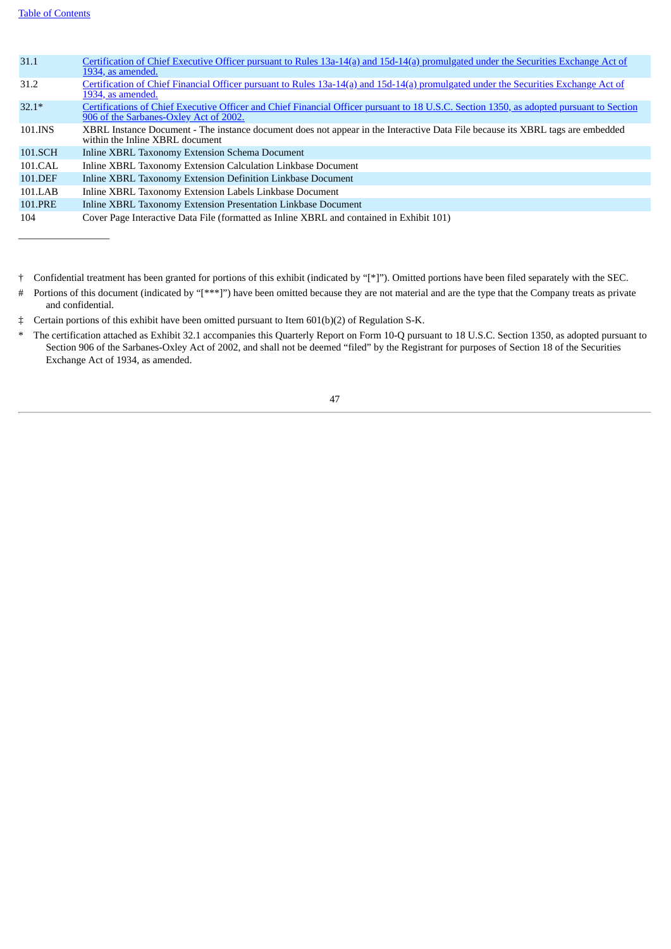\_\_\_\_\_\_\_\_\_\_\_\_\_\_\_\_\_\_

| 31.1    | Certification of Chief Executive Officer pursuant to Rules 13a-14(a) and 15d-14(a) promulgated under the Securities Exchange Act of<br>1934, as amended.                           |
|---------|------------------------------------------------------------------------------------------------------------------------------------------------------------------------------------|
| 31.2    | Certification of Chief Financial Officer pursuant to Rules 13a-14(a) and 15d-14(a) promulgated under the Securities Exchange Act of<br>1934, as amended.                           |
| $32.1*$ | Certifications of Chief Executive Officer and Chief Financial Officer pursuant to 18 U.S.C. Section 1350, as adopted pursuant to Section<br>906 of the Sarbanes-Oxley Act of 2002. |
| 101.INS | XBRL Instance Document - The instance document does not appear in the Interactive Data File because its XBRL tags are embedded<br>within the Inline XBRL document                  |
| 101.SCH | Inline XBRL Taxonomy Extension Schema Document                                                                                                                                     |
| 101.CAL | Inline XBRL Taxonomy Extension Calculation Linkbase Document                                                                                                                       |
| 101.DEF | Inline XBRL Taxonomy Extension Definition Linkbase Document                                                                                                                        |
| 101.LAB | Inline XBRL Taxonomy Extension Labels Linkbase Document                                                                                                                            |
| 101.PRE | Inline XBRL Taxonomy Extension Presentation Linkbase Document                                                                                                                      |
| 104     | Cover Page Interactive Data File (formatted as Inline XBRL and contained in Exhibit 101)                                                                                           |

- † Confidential treatment has been granted for portions of this exhibit (indicated by "[\*]"). Omitted portions have been filed separately with the SEC.
- # Portions of this document (indicated by "[\*\*\*]") have been omitted because they are not material and are the type that the Company treats as private and confidential.
- ‡ Certain portions of this exhibit have been omitted pursuant to Item 601(b)(2) of Regulation S-K.
- <span id="page-47-0"></span>\* The certification attached as Exhibit 32.1 accompanies this Quarterly Report on Form 10‑Q pursuant to 18 U.S.C. Section 1350, as adopted pursuant to Section 906 of the Sarbanes-Oxley Act of 2002, and shall not be deemed "filed" by the Registrant for purposes of Section 18 of the Securities Exchange Act of 1934, as amended.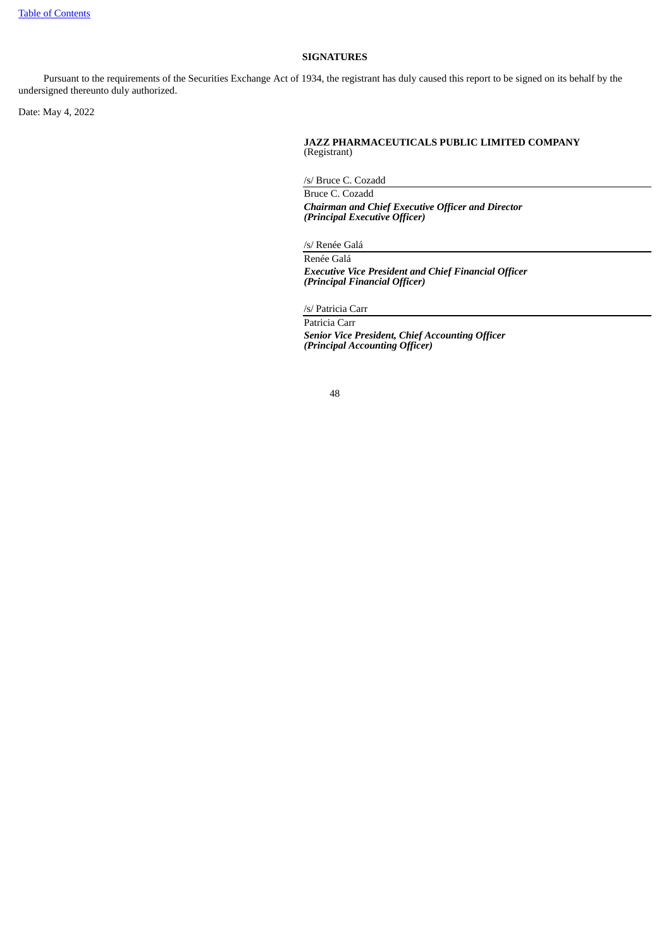# **SIGNATURES**

Pursuant to the requirements of the Securities Exchange Act of 1934, the registrant has duly caused this report to be signed on its behalf by the undersigned thereunto duly authorized.

Date: May 4, 2022

# **JAZZ PHARMACEUTICALS PUBLIC LIMITED COMPANY** (Registrant)

/s/ Bruce C. Cozadd

Bruce C. Cozadd *Chairman and Chief Executive Officer and Director (Principal Executive Officer)*

/s/ Renée Galá

Renée Galá *Executive Vice President and Chief Financial Officer (Principal Financial Officer)*

/s/ Patricia Carr

Patricia Carr *Senior Vice President, Chief Accounting Officer (Principal Accounting Officer)*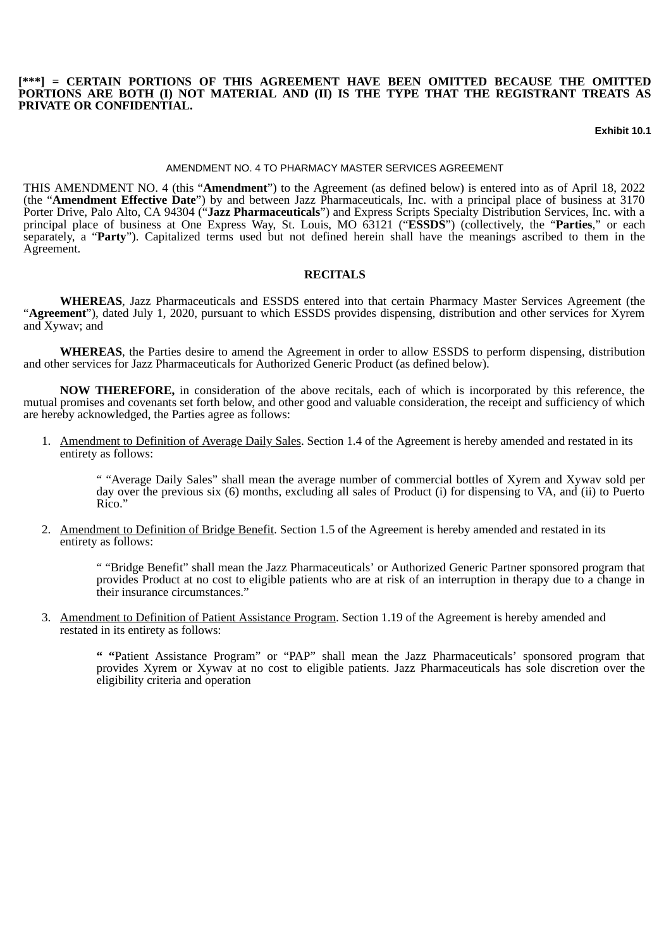# <span id="page-49-0"></span>**[\*\*\*] = CERTAIN PORTIONS OF THIS AGREEMENT HAVE BEEN OMITTED BECAUSE THE OMITTED PORTIONS ARE BOTH (I) NOT MATERIAL AND (II) IS THE TYPE THAT THE REGISTRANT TREATS AS PRIVATE OR CONFIDENTIAL.**

# **Exhibit 10.1**

# AMENDMENT NO. 4 TO PHARMACY MASTER SERVICES AGREEMENT

THIS AMENDMENT NO. 4 (this "**Amendment**") to the Agreement (as defined below) is entered into as of April 18, 2022 (the "**Amendment Effective Date**") by and between Jazz Pharmaceuticals, Inc. with a principal place of business at 3170 Porter Drive, Palo Alto, CA 94304 ("**Jazz Pharmaceuticals**") and Express Scripts Specialty Distribution Services, Inc. with a principal place of business at One Express Way, St. Louis, MO 63121 ("**ESSDS**") (collectively, the "**Parties**," or each separately, a "**Party**"). Capitalized terms used but not defined herein shall have the meanings ascribed to them in the Agreement.

# **RECITALS**

**WHEREAS**, Jazz Pharmaceuticals and ESSDS entered into that certain Pharmacy Master Services Agreement (the "**Agreement**"), dated July 1, 2020, pursuant to which ESSDS provides dispensing, distribution and other services for Xyrem and Xywav; and

**WHEREAS**, the Parties desire to amend the Agreement in order to allow ESSDS to perform dispensing, distribution and other services for Jazz Pharmaceuticals for Authorized Generic Product (as defined below).

**NOW THEREFORE,** in consideration of the above recitals, each of which is incorporated by this reference, the mutual promises and covenants set forth below, and other good and valuable consideration, the receipt and sufficiency of which are hereby acknowledged, the Parties agree as follows:

1. Amendment to Definition of Average Daily Sales. Section 1.4 of the Agreement is hereby amended and restated in its entirety as follows:

" "Average Daily Sales" shall mean the average number of commercial bottles of Xyrem and Xywav sold per day over the previous six (6) months, excluding all sales of Product (i) for dispensing to VA, and (ii) to Puerto R<sub>ico</sub>"

2. Amendment to Definition of Bridge Benefit. Section 1.5 of the Agreement is hereby amended and restated in its entirety as follows:

" "Bridge Benefit" shall mean the Jazz Pharmaceuticals' or Authorized Generic Partner sponsored program that provides Product at no cost to eligible patients who are at risk of an interruption in therapy due to a change in their insurance circumstances."

3. Amendment to Definition of Patient Assistance Program. Section 1.19 of the Agreement is hereby amended and restated in its entirety as follows:

**" "**Patient Assistance Program" or "PAP" shall mean the Jazz Pharmaceuticals' sponsored program that provides Xyrem or Xywav at no cost to eligible patients. Jazz Pharmaceuticals has sole discretion over the eligibility criteria and operation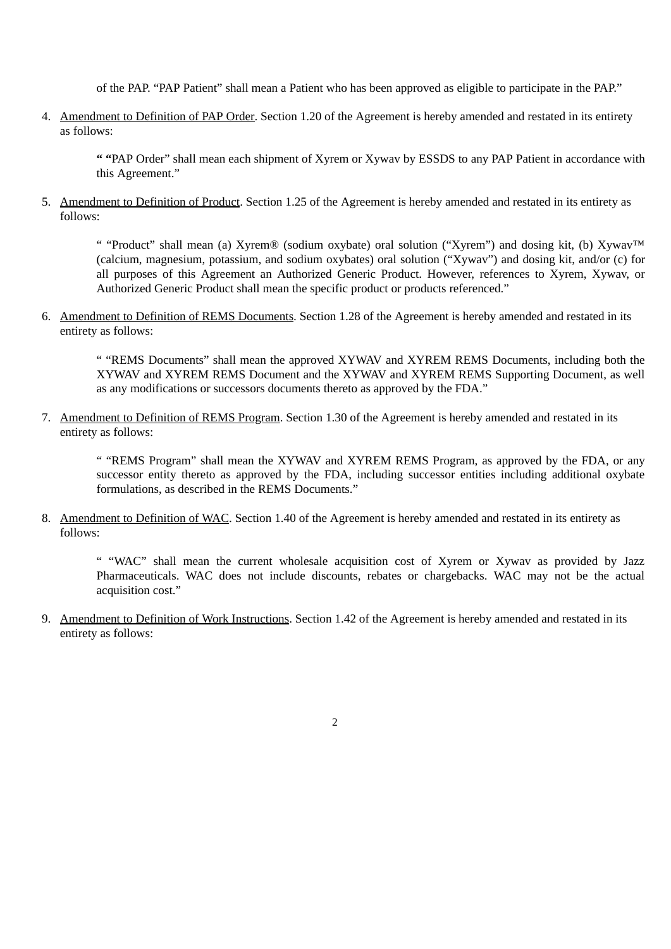of the PAP. "PAP Patient" shall mean a Patient who has been approved as eligible to participate in the PAP."

4. Amendment to Definition of PAP Order. Section 1.20 of the Agreement is hereby amended and restated in its entirety as follows:

**" "**PAP Order" shall mean each shipment of Xyrem or Xywav by ESSDS to any PAP Patient in accordance with this Agreement."

5. Amendment to Definition of Product. Section 1.25 of the Agreement is hereby amended and restated in its entirety as follows:

" "Product" shall mean (a) Xyrem® (sodium oxybate) oral solution ("Xyrem") and dosing kit, (b) Xywav™ (calcium, magnesium, potassium, and sodium oxybates) oral solution ("Xywav") and dosing kit, and/or (c) for all purposes of this Agreement an Authorized Generic Product. However, references to Xyrem, Xywav, or Authorized Generic Product shall mean the specific product or products referenced."

6. Amendment to Definition of REMS Documents. Section 1.28 of the Agreement is hereby amended and restated in its entirety as follows:

" "REMS Documents" shall mean the approved XYWAV and XYREM REMS Documents, including both the XYWAV and XYREM REMS Document and the XYWAV and XYREM REMS Supporting Document, as well as any modifications or successors documents thereto as approved by the FDA."

7. Amendment to Definition of REMS Program. Section 1.30 of the Agreement is hereby amended and restated in its entirety as follows:

" "REMS Program" shall mean the XYWAV and XYREM REMS Program, as approved by the FDA, or any successor entity thereto as approved by the FDA, including successor entities including additional oxybate formulations, as described in the REMS Documents."

8. Amendment to Definition of WAC. Section 1.40 of the Agreement is hereby amended and restated in its entirety as follows:

" "WAC" shall mean the current wholesale acquisition cost of Xyrem or Xywav as provided by Jazz Pharmaceuticals. WAC does not include discounts, rebates or chargebacks. WAC may not be the actual acquisition cost."

9. Amendment to Definition of Work Instructions. Section 1.42 of the Agreement is hereby amended and restated in its entirety as follows: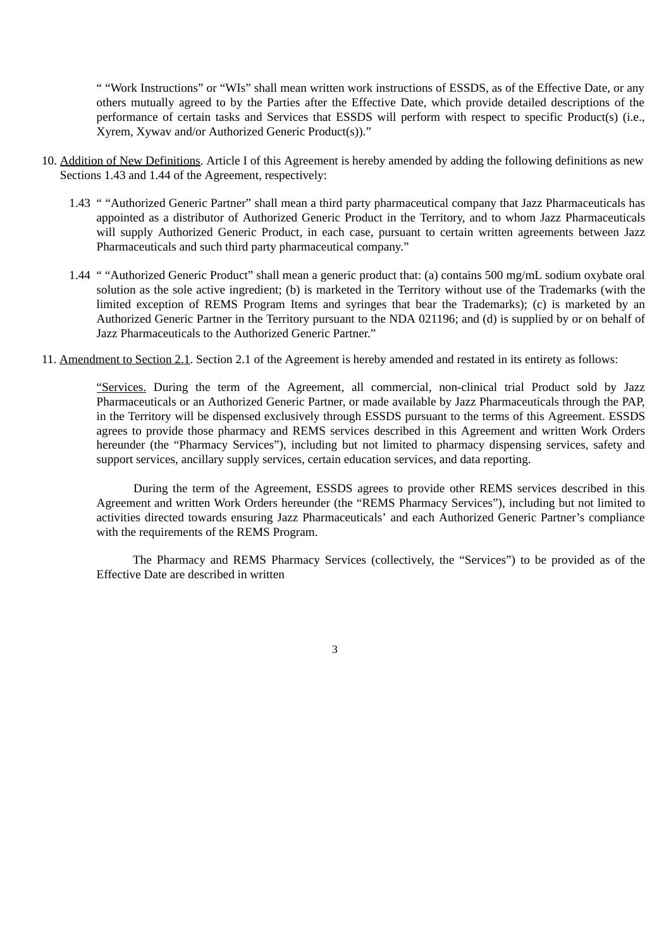" "Work Instructions" or "WIs" shall mean written work instructions of ESSDS, as of the Effective Date, or any others mutually agreed to by the Parties after the Effective Date, which provide detailed descriptions of the performance of certain tasks and Services that ESSDS will perform with respect to specific Product(s) (i.e., Xyrem, Xywav and/or Authorized Generic Product(s))."

- 10. Addition of New Definitions. Article I of this Agreement is hereby amended by adding the following definitions as new Sections 1.43 and 1.44 of the Agreement, respectively:
	- 1.43 " "Authorized Generic Partner" shall mean a third party pharmaceutical company that Jazz Pharmaceuticals has appointed as a distributor of Authorized Generic Product in the Territory, and to whom Jazz Pharmaceuticals will supply Authorized Generic Product, in each case, pursuant to certain written agreements between Jazz Pharmaceuticals and such third party pharmaceutical company."
	- 1.44 " "Authorized Generic Product" shall mean a generic product that: (a) contains 500 mg/mL sodium oxybate oral solution as the sole active ingredient; (b) is marketed in the Territory without use of the Trademarks (with the limited exception of REMS Program Items and syringes that bear the Trademarks); (c) is marketed by an Authorized Generic Partner in the Territory pursuant to the NDA 021196; and (d) is supplied by or on behalf of Jazz Pharmaceuticals to the Authorized Generic Partner."
- 11. Amendment to Section 2.1. Section 2.1 of the Agreement is hereby amended and restated in its entirety as follows:

"Services. During the term of the Agreement, all commercial, non-clinical trial Product sold by Jazz Pharmaceuticals or an Authorized Generic Partner, or made available by Jazz Pharmaceuticals through the PAP, in the Territory will be dispensed exclusively through ESSDS pursuant to the terms of this Agreement. ESSDS agrees to provide those pharmacy and REMS services described in this Agreement and written Work Orders hereunder (the "Pharmacy Services"), including but not limited to pharmacy dispensing services, safety and support services, ancillary supply services, certain education services, and data reporting.

During the term of the Agreement, ESSDS agrees to provide other REMS services described in this Agreement and written Work Orders hereunder (the "REMS Pharmacy Services"), including but not limited to activities directed towards ensuring Jazz Pharmaceuticals' and each Authorized Generic Partner's compliance with the requirements of the REMS Program.

The Pharmacy and REMS Pharmacy Services (collectively, the "Services") to be provided as of the Effective Date are described in written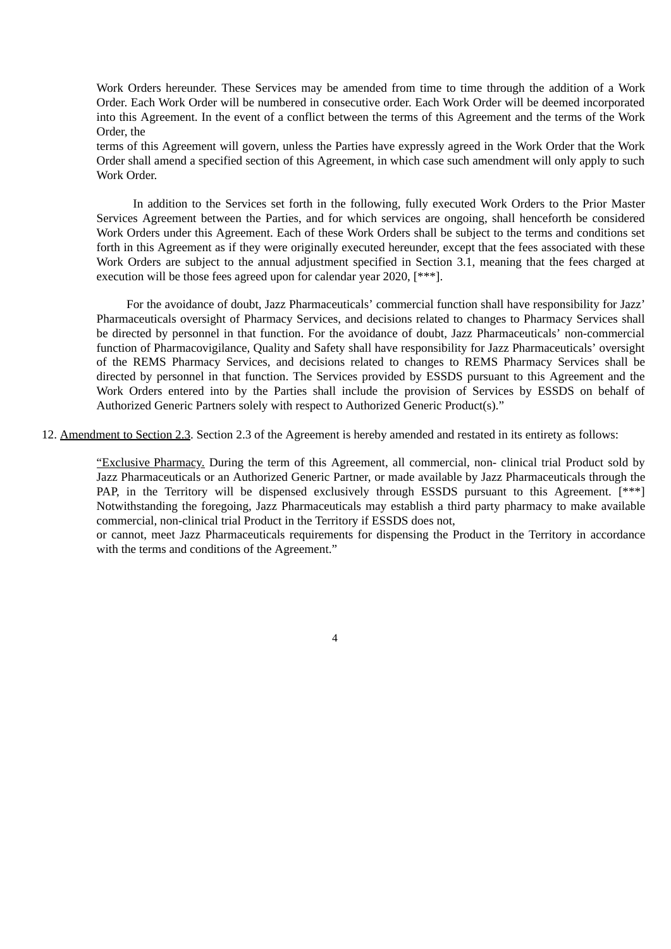Work Orders hereunder. These Services may be amended from time to time through the addition of a Work Order. Each Work Order will be numbered in consecutive order. Each Work Order will be deemed incorporated into this Agreement. In the event of a conflict between the terms of this Agreement and the terms of the Work Order, the

terms of this Agreement will govern, unless the Parties have expressly agreed in the Work Order that the Work Order shall amend a specified section of this Agreement, in which case such amendment will only apply to such Work Order.

In addition to the Services set forth in the following, fully executed Work Orders to the Prior Master Services Agreement between the Parties, and for which services are ongoing, shall henceforth be considered Work Orders under this Agreement. Each of these Work Orders shall be subject to the terms and conditions set forth in this Agreement as if they were originally executed hereunder, except that the fees associated with these Work Orders are subject to the annual adjustment specified in Section 3.1, meaning that the fees charged at execution will be those fees agreed upon for calendar year 2020, [\*\*\*].

For the avoidance of doubt, Jazz Pharmaceuticals' commercial function shall have responsibility for Jazz' Pharmaceuticals oversight of Pharmacy Services, and decisions related to changes to Pharmacy Services shall be directed by personnel in that function. For the avoidance of doubt, Jazz Pharmaceuticals' non-commercial function of Pharmacovigilance, Quality and Safety shall have responsibility for Jazz Pharmaceuticals' oversight of the REMS Pharmacy Services, and decisions related to changes to REMS Pharmacy Services shall be directed by personnel in that function. The Services provided by ESSDS pursuant to this Agreement and the Work Orders entered into by the Parties shall include the provision of Services by ESSDS on behalf of Authorized Generic Partners solely with respect to Authorized Generic Product(s)."

12. Amendment to Section 2.3. Section 2.3 of the Agreement is hereby amended and restated in its entirety as follows:

"Exclusive Pharmacy. During the term of this Agreement, all commercial, non- clinical trial Product sold by Jazz Pharmaceuticals or an Authorized Generic Partner, or made available by Jazz Pharmaceuticals through the PAP, in the Territory will be dispensed exclusively through ESSDS pursuant to this Agreement. [\*\*\*] Notwithstanding the foregoing, Jazz Pharmaceuticals may establish a third party pharmacy to make available commercial, non-clinical trial Product in the Territory if ESSDS does not,

or cannot, meet Jazz Pharmaceuticals requirements for dispensing the Product in the Territory in accordance with the terms and conditions of the Agreement."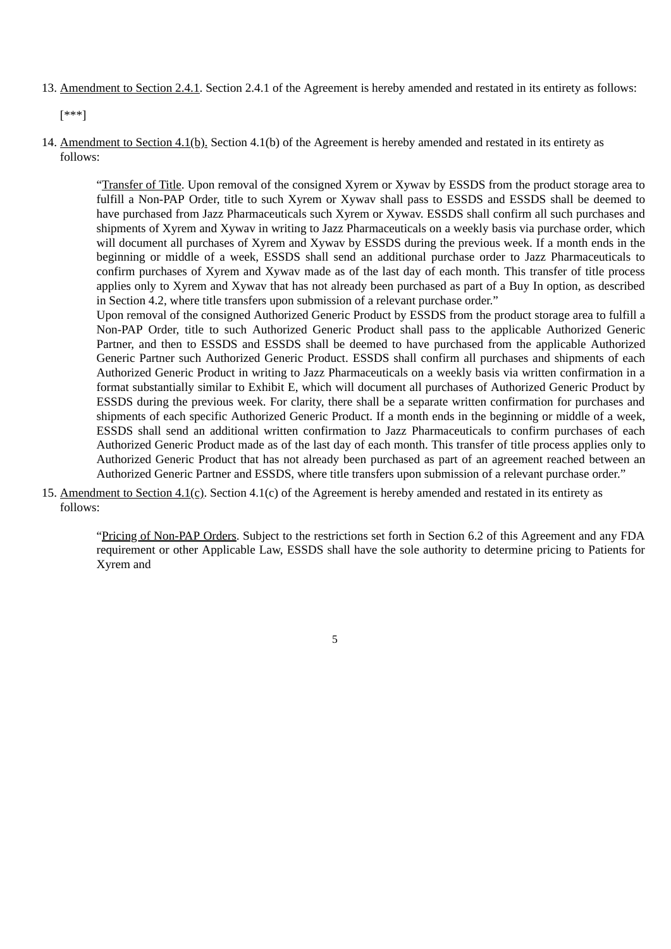13. Amendment to Section 2.4.1. Section 2.4.1 of the Agreement is hereby amended and restated in its entirety as follows:

[\*\*\*]

14. Amendment to Section 4.1(b). Section 4.1(b) of the Agreement is hereby amended and restated in its entirety as follows:

"Transfer of Title. Upon removal of the consigned Xyrem or Xywav by ESSDS from the product storage area to fulfill a Non-PAP Order, title to such Xyrem or Xywav shall pass to ESSDS and ESSDS shall be deemed to have purchased from Jazz Pharmaceuticals such Xyrem or Xywav. ESSDS shall confirm all such purchases and shipments of Xyrem and Xywav in writing to Jazz Pharmaceuticals on a weekly basis via purchase order, which will document all purchases of Xyrem and Xywav by ESSDS during the previous week. If a month ends in the beginning or middle of a week, ESSDS shall send an additional purchase order to Jazz Pharmaceuticals to confirm purchases of Xyrem and Xywav made as of the last day of each month. This transfer of title process applies only to Xyrem and Xywav that has not already been purchased as part of a Buy In option, as described in Section 4.2, where title transfers upon submission of a relevant purchase order."

Upon removal of the consigned Authorized Generic Product by ESSDS from the product storage area to fulfill a Non-PAP Order, title to such Authorized Generic Product shall pass to the applicable Authorized Generic Partner, and then to ESSDS and ESSDS shall be deemed to have purchased from the applicable Authorized Generic Partner such Authorized Generic Product. ESSDS shall confirm all purchases and shipments of each Authorized Generic Product in writing to Jazz Pharmaceuticals on a weekly basis via written confirmation in a format substantially similar to Exhibit E, which will document all purchases of Authorized Generic Product by ESSDS during the previous week. For clarity, there shall be a separate written confirmation for purchases and shipments of each specific Authorized Generic Product. If a month ends in the beginning or middle of a week, ESSDS shall send an additional written confirmation to Jazz Pharmaceuticals to confirm purchases of each Authorized Generic Product made as of the last day of each month. This transfer of title process applies only to Authorized Generic Product that has not already been purchased as part of an agreement reached between an Authorized Generic Partner and ESSDS, where title transfers upon submission of a relevant purchase order."

15. Amendment to Section 4.1(c). Section 4.1(c) of the Agreement is hereby amended and restated in its entirety as follows:

"Pricing of Non-PAP Orders. Subject to the restrictions set forth in Section 6.2 of this Agreement and any FDA requirement or other Applicable Law, ESSDS shall have the sole authority to determine pricing to Patients for Xyrem and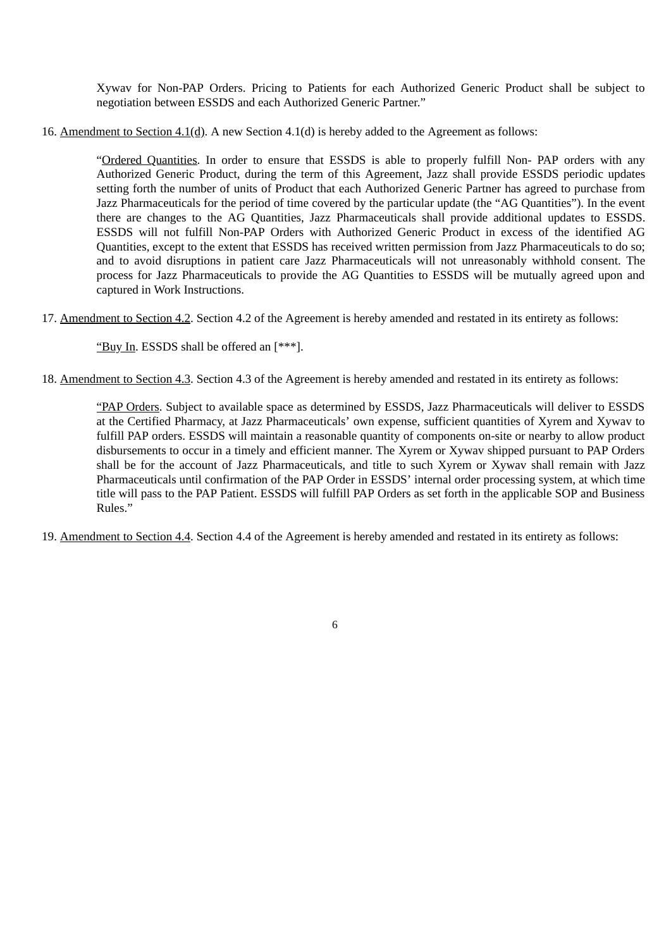Xywav for Non-PAP Orders. Pricing to Patients for each Authorized Generic Product shall be subject to negotiation between ESSDS and each Authorized Generic Partner."

16. Amendment to Section 4.1(d). A new Section 4.1(d) is hereby added to the Agreement as follows:

"Ordered Quantities. In order to ensure that ESSDS is able to properly fulfill Non- PAP orders with any Authorized Generic Product, during the term of this Agreement, Jazz shall provide ESSDS periodic updates setting forth the number of units of Product that each Authorized Generic Partner has agreed to purchase from Jazz Pharmaceuticals for the period of time covered by the particular update (the "AG Quantities"). In the event there are changes to the AG Quantities, Jazz Pharmaceuticals shall provide additional updates to ESSDS. ESSDS will not fulfill Non-PAP Orders with Authorized Generic Product in excess of the identified AG Quantities, except to the extent that ESSDS has received written permission from Jazz Pharmaceuticals to do so; and to avoid disruptions in patient care Jazz Pharmaceuticals will not unreasonably withhold consent. The process for Jazz Pharmaceuticals to provide the AG Quantities to ESSDS will be mutually agreed upon and captured in Work Instructions.

17. Amendment to Section 4.2. Section 4.2 of the Agreement is hereby amended and restated in its entirety as follows:

"Buy In. ESSDS shall be offered an [\*\*\*].

18. Amendment to Section 4.3. Section 4.3 of the Agreement is hereby amended and restated in its entirety as follows:

"PAP Orders. Subject to available space as determined by ESSDS, Jazz Pharmaceuticals will deliver to ESSDS at the Certified Pharmacy, at Jazz Pharmaceuticals' own expense, sufficient quantities of Xyrem and Xywav to fulfill PAP orders. ESSDS will maintain a reasonable quantity of components on-site or nearby to allow product disbursements to occur in a timely and efficient manner. The Xyrem or Xywav shipped pursuant to PAP Orders shall be for the account of Jazz Pharmaceuticals, and title to such Xyrem or Xywav shall remain with Jazz Pharmaceuticals until confirmation of the PAP Order in ESSDS' internal order processing system, at which time title will pass to the PAP Patient. ESSDS will fulfill PAP Orders as set forth in the applicable SOP and Business Rules."

19. Amendment to Section 4.4. Section 4.4 of the Agreement is hereby amended and restated in its entirety as follows: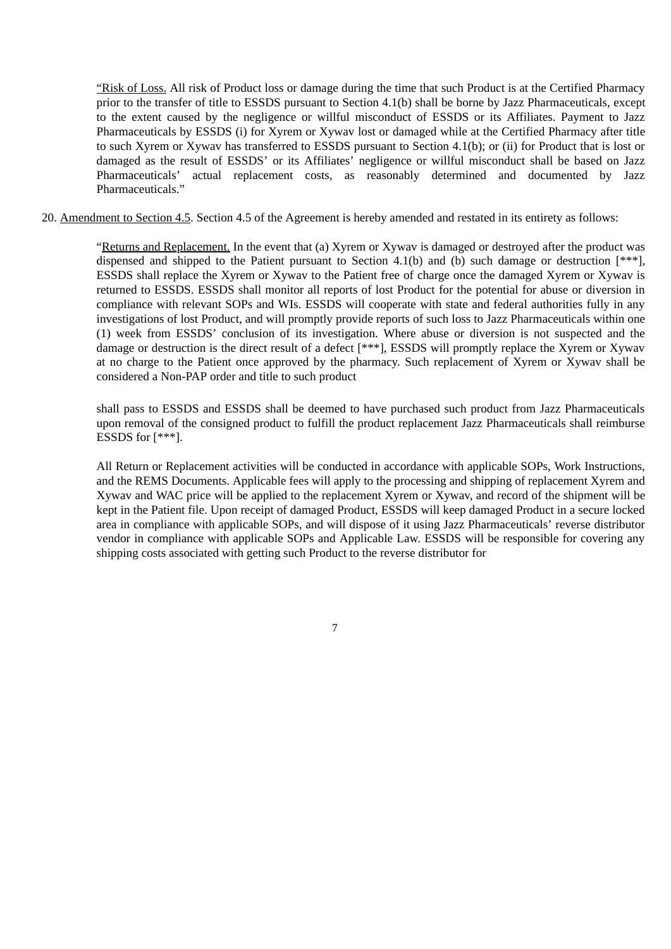"Risk of Loss. All risk of Product loss or damage during the time that such Product is at the Certified Pharmacy prior to the transfer of title to ESSDS pursuant to Section 4.1(b) shall be borne by Jazz Pharmaceuticals, except to the extent caused by the negligence or willful misconduct of ESSDS or its Affiliates. Payment to Jazz Pharmaceuticals by ESSDS (i) for Xyrem or Xywav lost or damaged while at the Certified Pharmacy after title to such Xyrem or Xywav has transferred to ESSDS pursuant to Section 4.1(b); or (ii) for Product that is lost or damaged as the result of ESSDS' or its Affiliates' negligence or willful misconduct shall be based on Jazz Pharmaceuticals' actual replacement costs, as reasonably determined and documented by Jazz Pharmaceuticals."

20. Amendment to Section 4.5. Section 4.5 of the Agreement is hereby amended and restated in its entirety as follows:

"Returns and Replacement. In the event that (a) Xyrem or Xywav is damaged or destroyed after the product was dispensed and shipped to the Patient pursuant to Section 4.1(b) and (b) such damage or destruction [\*\*\*], ESSDS shall replace the Xyrem or Xywav to the Patient free of charge once the damaged Xyrem or Xywav is returned to ESSDS. ESSDS shall monitor all reports of lost Product for the potential for abuse or diversion in compliance with relevant SOPs and WIs. ESSDS will cooperate with state and federal authorities fully in any investigations of lost Product, and will promptly provide reports of such loss to Jazz Pharmaceuticals within one (1) week from ESSDS' conclusion of its investigation. Where abuse or diversion is not suspected and the damage or destruction is the direct result of a defect [\*\*\*], ESSDS will promptly replace the Xyrem or Xywav at no charge to the Patient once approved by the pharmacy. Such replacement of Xyrem or Xywav shall be considered a Non-PAP order and title to such product

shall pass to ESSDS and ESSDS shall be deemed to have purchased such product from Jazz Pharmaceuticals upon removal of the consigned product to fulfill the product replacement Jazz Pharmaceuticals shall reimburse ESSDS for  $[***]$ .

All Return or Replacement activities will be conducted in accordance with applicable SOPs, Work Instructions, and the REMS Documents. Applicable fees will apply to the processing and shipping of replacement Xyrem and Xywav and WAC price will be applied to the replacement Xyrem or Xywav, and record of the shipment will be kept in the Patient file. Upon receipt of damaged Product, ESSDS will keep damaged Product in a secure locked area in compliance with applicable SOPs, and will dispose of it using Jazz Pharmaceuticals' reverse distributor vendor in compliance with applicable SOPs and Applicable Law. ESSDS will be responsible for covering any shipping costs associated with getting such Product to the reverse distributor for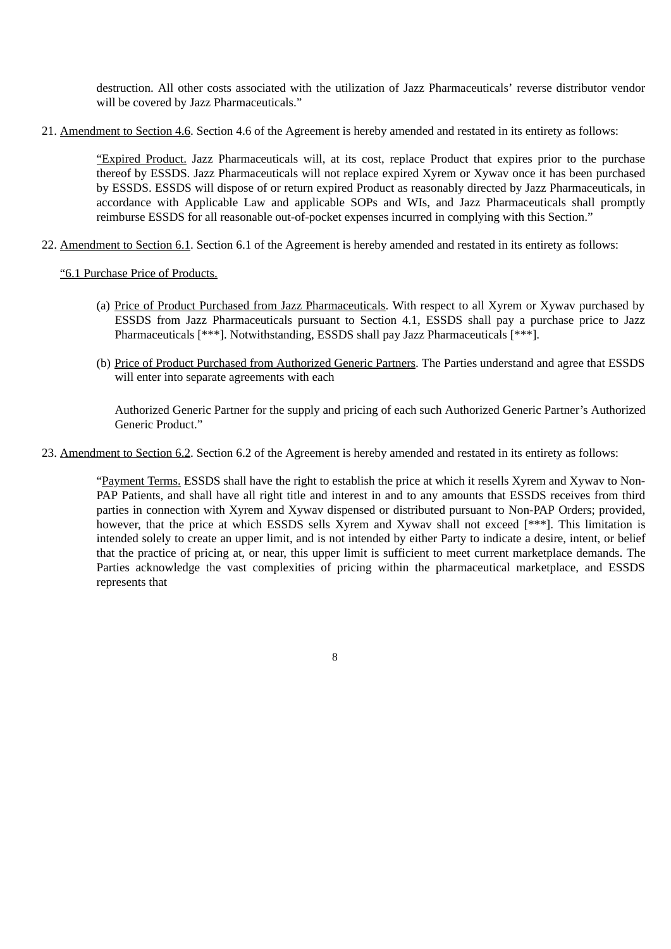destruction. All other costs associated with the utilization of Jazz Pharmaceuticals' reverse distributor vendor will be covered by Jazz Pharmaceuticals."

21. Amendment to Section 4.6. Section 4.6 of the Agreement is hereby amended and restated in its entirety as follows:

"Expired Product. Jazz Pharmaceuticals will, at its cost, replace Product that expires prior to the purchase thereof by ESSDS. Jazz Pharmaceuticals will not replace expired Xyrem or Xywav once it has been purchased by ESSDS. ESSDS will dispose of or return expired Product as reasonably directed by Jazz Pharmaceuticals, in accordance with Applicable Law and applicable SOPs and WIs, and Jazz Pharmaceuticals shall promptly reimburse ESSDS for all reasonable out-of-pocket expenses incurred in complying with this Section."

22. Amendment to Section 6.1. Section 6.1 of the Agreement is hereby amended and restated in its entirety as follows:

"6.1 Purchase Price of Products.

- (a) Price of Product Purchased from Jazz Pharmaceuticals. With respect to all Xyrem or Xywav purchased by ESSDS from Jazz Pharmaceuticals pursuant to Section 4.1, ESSDS shall pay a purchase price to Jazz Pharmaceuticals [\*\*\*]. Notwithstanding, ESSDS shall pay Jazz Pharmaceuticals [\*\*\*].
- (b) Price of Product Purchased from Authorized Generic Partners. The Parties understand and agree that ESSDS will enter into separate agreements with each

Authorized Generic Partner for the supply and pricing of each such Authorized Generic Partner's Authorized Generic Product."

23. Amendment to Section 6.2. Section 6.2 of the Agreement is hereby amended and restated in its entirety as follows:

"Payment Terms. ESSDS shall have the right to establish the price at which it resells Xyrem and Xywav to Non-PAP Patients, and shall have all right title and interest in and to any amounts that ESSDS receives from third parties in connection with Xyrem and Xywav dispensed or distributed pursuant to Non-PAP Orders; provided, however, that the price at which ESSDS sells Xyrem and Xywav shall not exceed [\*\*\*]. This limitation is intended solely to create an upper limit, and is not intended by either Party to indicate a desire, intent, or belief that the practice of pricing at, or near, this upper limit is sufficient to meet current marketplace demands. The Parties acknowledge the vast complexities of pricing within the pharmaceutical marketplace, and ESSDS represents that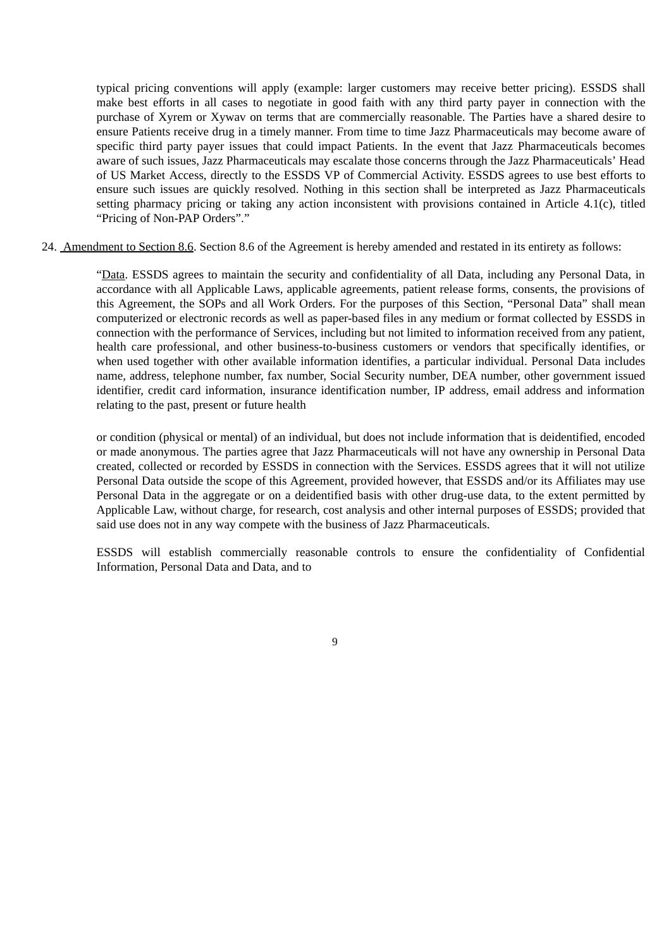typical pricing conventions will apply (example: larger customers may receive better pricing). ESSDS shall make best efforts in all cases to negotiate in good faith with any third party payer in connection with the purchase of Xyrem or Xywav on terms that are commercially reasonable. The Parties have a shared desire to ensure Patients receive drug in a timely manner. From time to time Jazz Pharmaceuticals may become aware of specific third party payer issues that could impact Patients. In the event that Jazz Pharmaceuticals becomes aware of such issues, Jazz Pharmaceuticals may escalate those concerns through the Jazz Pharmaceuticals' Head of US Market Access, directly to the ESSDS VP of Commercial Activity. ESSDS agrees to use best efforts to ensure such issues are quickly resolved. Nothing in this section shall be interpreted as Jazz Pharmaceuticals setting pharmacy pricing or taking any action inconsistent with provisions contained in Article 4.1(c), titled "Pricing of Non-PAP Orders"."

24. Amendment to Section 8.6. Section 8.6 of the Agreement is hereby amended and restated in its entirety as follows:

"Data. ESSDS agrees to maintain the security and confidentiality of all Data, including any Personal Data, in accordance with all Applicable Laws, applicable agreements, patient release forms, consents, the provisions of this Agreement, the SOPs and all Work Orders. For the purposes of this Section, "Personal Data" shall mean computerized or electronic records as well as paper-based files in any medium or format collected by ESSDS in connection with the performance of Services, including but not limited to information received from any patient, health care professional, and other business-to-business customers or vendors that specifically identifies, or when used together with other available information identifies, a particular individual. Personal Data includes name, address, telephone number, fax number, Social Security number, DEA number, other government issued identifier, credit card information, insurance identification number, IP address, email address and information relating to the past, present or future health

or condition (physical or mental) of an individual, but does not include information that is deidentified, encoded or made anonymous. The parties agree that Jazz Pharmaceuticals will not have any ownership in Personal Data created, collected or recorded by ESSDS in connection with the Services. ESSDS agrees that it will not utilize Personal Data outside the scope of this Agreement, provided however, that ESSDS and/or its Affiliates may use Personal Data in the aggregate or on a deidentified basis with other drug-use data, to the extent permitted by Applicable Law, without charge, for research, cost analysis and other internal purposes of ESSDS; provided that said use does not in any way compete with the business of Jazz Pharmaceuticals.

ESSDS will establish commercially reasonable controls to ensure the confidentiality of Confidential Information, Personal Data and Data, and to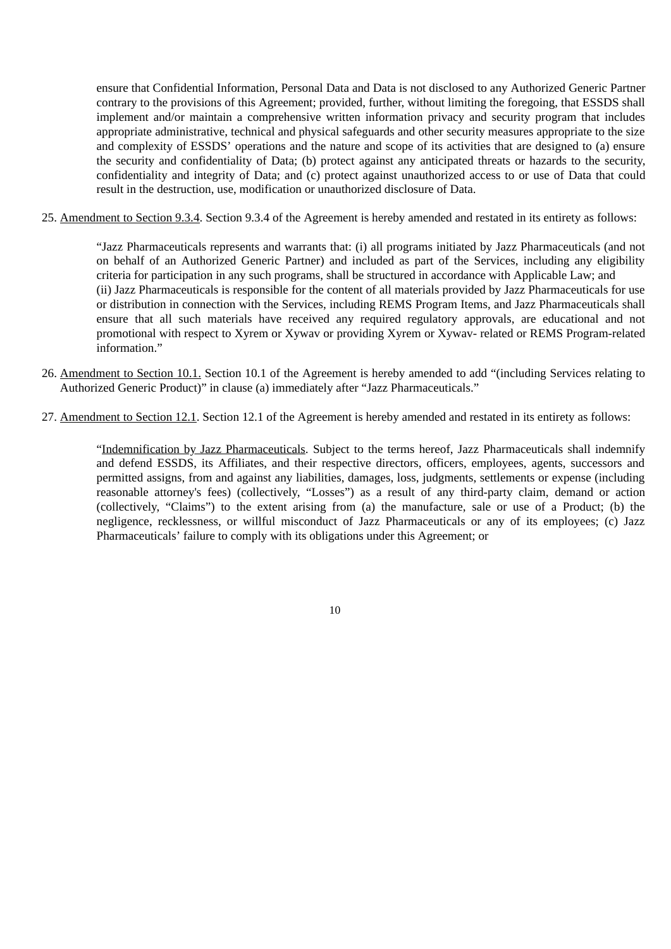ensure that Confidential Information, Personal Data and Data is not disclosed to any Authorized Generic Partner contrary to the provisions of this Agreement; provided, further, without limiting the foregoing, that ESSDS shall implement and/or maintain a comprehensive written information privacy and security program that includes appropriate administrative, technical and physical safeguards and other security measures appropriate to the size and complexity of ESSDS' operations and the nature and scope of its activities that are designed to (a) ensure the security and confidentiality of Data; (b) protect against any anticipated threats or hazards to the security, confidentiality and integrity of Data; and (c) protect against unauthorized access to or use of Data that could result in the destruction, use, modification or unauthorized disclosure of Data.

25. Amendment to Section 9.3.4. Section 9.3.4 of the Agreement is hereby amended and restated in its entirety as follows:

"Jazz Pharmaceuticals represents and warrants that: (i) all programs initiated by Jazz Pharmaceuticals (and not on behalf of an Authorized Generic Partner) and included as part of the Services, including any eligibility criteria for participation in any such programs, shall be structured in accordance with Applicable Law; and (ii) Jazz Pharmaceuticals is responsible for the content of all materials provided by Jazz Pharmaceuticals for use or distribution in connection with the Services, including REMS Program Items, and Jazz Pharmaceuticals shall ensure that all such materials have received any required regulatory approvals, are educational and not promotional with respect to Xyrem or Xywav or providing Xyrem or Xywav- related or REMS Program-related information."

- 26. Amendment to Section 10.1. Section 10.1 of the Agreement is hereby amended to add "(including Services relating to Authorized Generic Product)" in clause (a) immediately after "Jazz Pharmaceuticals."
- 27. Amendment to Section 12.1. Section 12.1 of the Agreement is hereby amended and restated in its entirety as follows:

"Indemnification by Jazz Pharmaceuticals. Subject to the terms hereof, Jazz Pharmaceuticals shall indemnify and defend ESSDS, its Affiliates, and their respective directors, officers, employees, agents, successors and permitted assigns, from and against any liabilities, damages, loss, judgments, settlements or expense (including reasonable attorney's fees) (collectively, "Losses") as a result of any third-party claim, demand or action (collectively, "Claims") to the extent arising from (a) the manufacture, sale or use of a Product; (b) the negligence, recklessness, or willful misconduct of Jazz Pharmaceuticals or any of its employees; (c) Jazz Pharmaceuticals' failure to comply with its obligations under this Agreement; or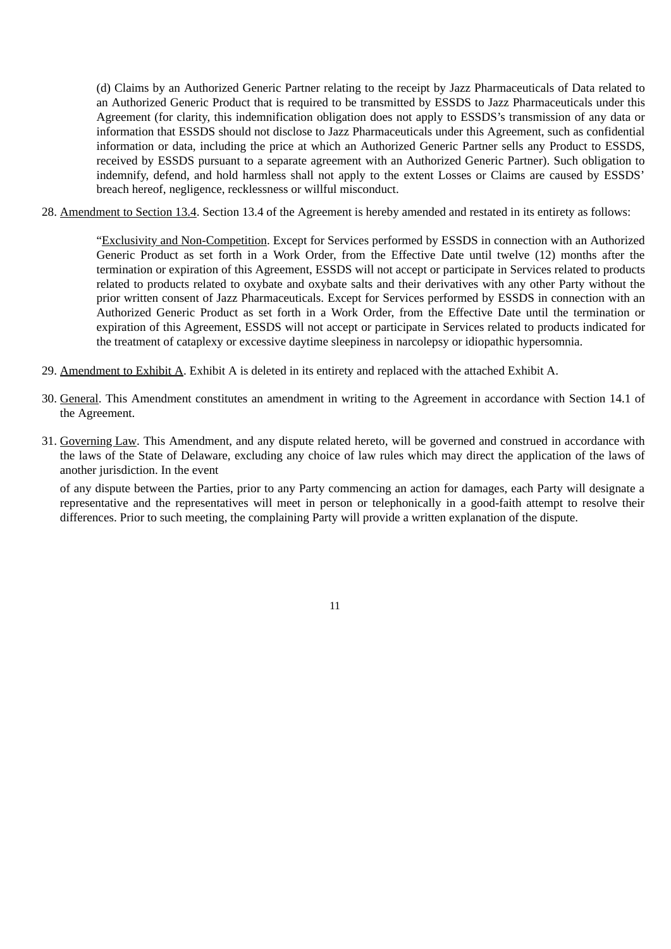(d) Claims by an Authorized Generic Partner relating to the receipt by Jazz Pharmaceuticals of Data related to an Authorized Generic Product that is required to be transmitted by ESSDS to Jazz Pharmaceuticals under this Agreement (for clarity, this indemnification obligation does not apply to ESSDS's transmission of any data or information that ESSDS should not disclose to Jazz Pharmaceuticals under this Agreement, such as confidential information or data, including the price at which an Authorized Generic Partner sells any Product to ESSDS, received by ESSDS pursuant to a separate agreement with an Authorized Generic Partner). Such obligation to indemnify, defend, and hold harmless shall not apply to the extent Losses or Claims are caused by ESSDS' breach hereof, negligence, recklessness or willful misconduct.

28. Amendment to Section 13.4. Section 13.4 of the Agreement is hereby amended and restated in its entirety as follows:

"Exclusivity and Non-Competition. Except for Services performed by ESSDS in connection with an Authorized Generic Product as set forth in a Work Order, from the Effective Date until twelve (12) months after the termination or expiration of this Agreement, ESSDS will not accept or participate in Services related to products related to products related to oxybate and oxybate salts and their derivatives with any other Party without the prior written consent of Jazz Pharmaceuticals. Except for Services performed by ESSDS in connection with an Authorized Generic Product as set forth in a Work Order, from the Effective Date until the termination or expiration of this Agreement, ESSDS will not accept or participate in Services related to products indicated for the treatment of cataplexy or excessive daytime sleepiness in narcolepsy or idiopathic hypersomnia.

- 29. Amendment to Exhibit A. Exhibit A is deleted in its entirety and replaced with the attached Exhibit A.
- 30. General. This Amendment constitutes an amendment in writing to the Agreement in accordance with Section 14.1 of the Agreement.
- 31. Governing Law. This Amendment, and any dispute related hereto, will be governed and construed in accordance with the laws of the State of Delaware, excluding any choice of law rules which may direct the application of the laws of another jurisdiction. In the event

of any dispute between the Parties, prior to any Party commencing an action for damages, each Party will designate a representative and the representatives will meet in person or telephonically in a good-faith attempt to resolve their differences. Prior to such meeting, the complaining Party will provide a written explanation of the dispute.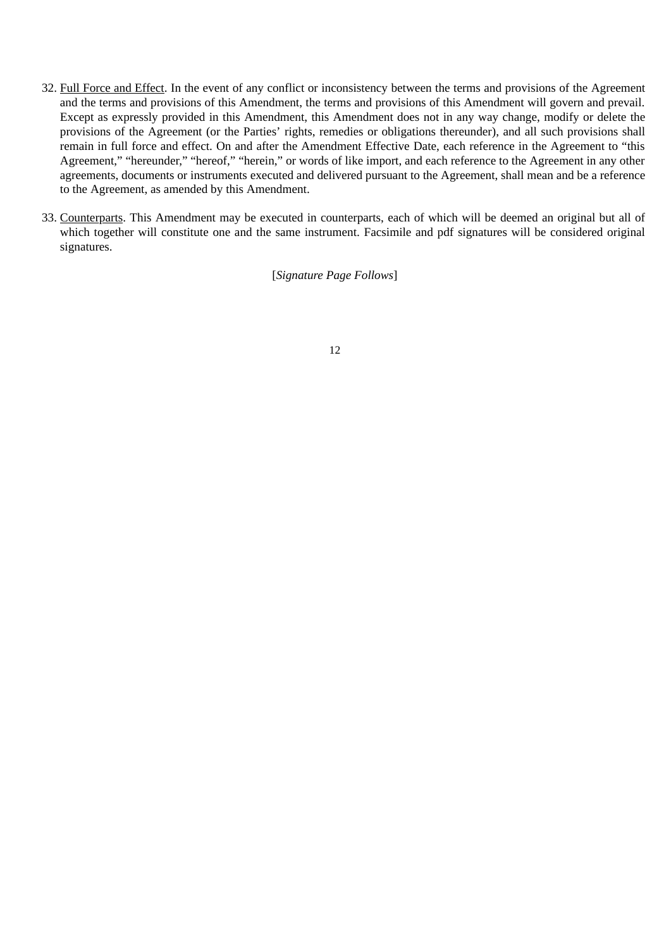- 32. Full Force and Effect. In the event of any conflict or inconsistency between the terms and provisions of the Agreement and the terms and provisions of this Amendment, the terms and provisions of this Amendment will govern and prevail. Except as expressly provided in this Amendment, this Amendment does not in any way change, modify or delete the provisions of the Agreement (or the Parties' rights, remedies or obligations thereunder), and all such provisions shall remain in full force and effect. On and after the Amendment Effective Date, each reference in the Agreement to "this Agreement," "hereunder," "hereof," "herein," or words of like import, and each reference to the Agreement in any other agreements, documents or instruments executed and delivered pursuant to the Agreement, shall mean and be a reference to the Agreement, as amended by this Amendment.
- 33. Counterparts. This Amendment may be executed in counterparts, each of which will be deemed an original but all of which together will constitute one and the same instrument. Facsimile and pdf signatures will be considered original signatures.

# [*Signature Page Follows*]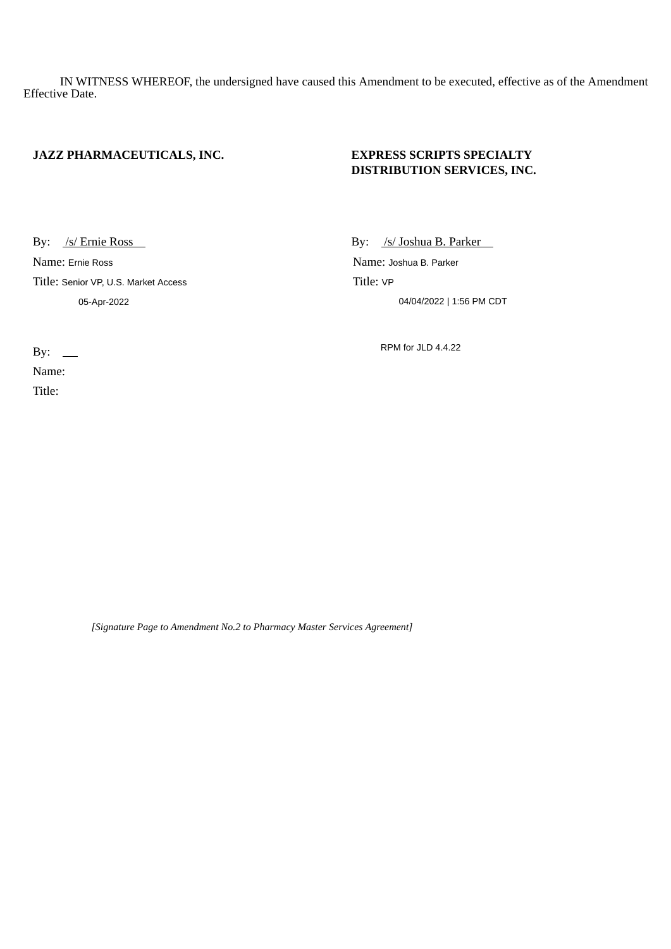IN WITNESS WHEREOF, the undersigned have caused this Amendment to be executed, effective as of the Amendment Effective Date.

# **JAZZ PHARMACEUTICALS, INC. EXPRESS SCRIPTS SPECIALTY**

# **DISTRIBUTION SERVICES, INC.**

By: /s/ Ernie Ross By: /s/ Joshua B. Parker Name: Ernie Ross Name: Joshua B. Parker Title: Senior VP, U.S. Market Access Title: VP

05-Apr-2022 2008 04/04/2022 | 1:56 PM CDT

Name: Title:

By: <u>example 2.4.22</u>

*[Signature Page to Amendment No.2 to Pharmacy Master Services Agreement]*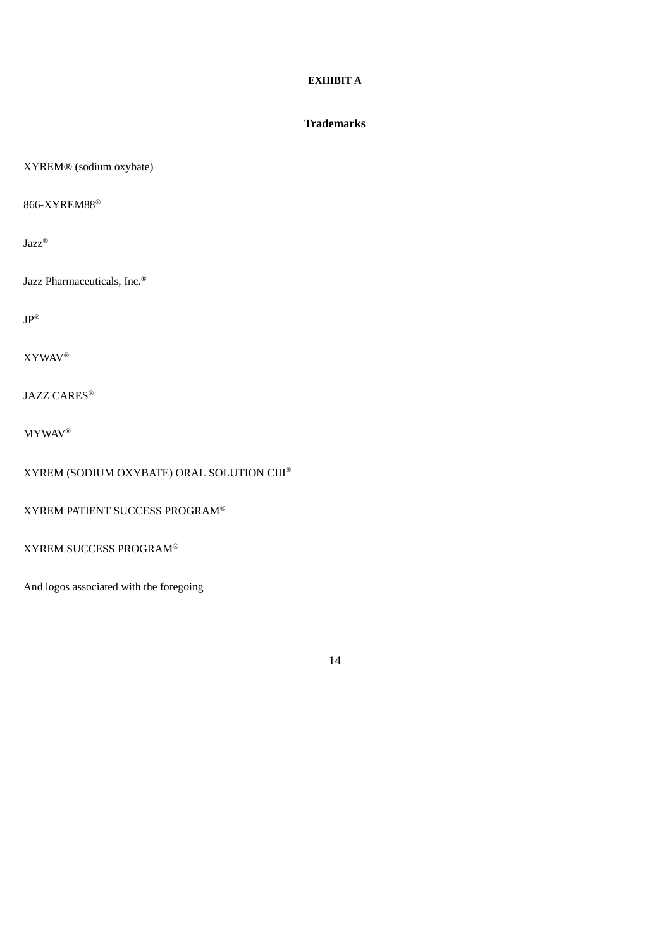# **EXHIBIT A**

# **Trademarks**

XYREM® (sodium oxybate)

866-XYREM88 ®

Jazz ®

Jazz Pharmaceuticals, Inc. ®

JP ®

XYWAV ®

JAZZ CARES ®

MYWAV ®

XYREM (SODIUM OXYBATE) ORAL SOLUTION CIII ®

XYREM PATIENT SUCCESS PROGRAM ®

XYREM SUCCESS PROGRAM ®

And logos associated with the foregoing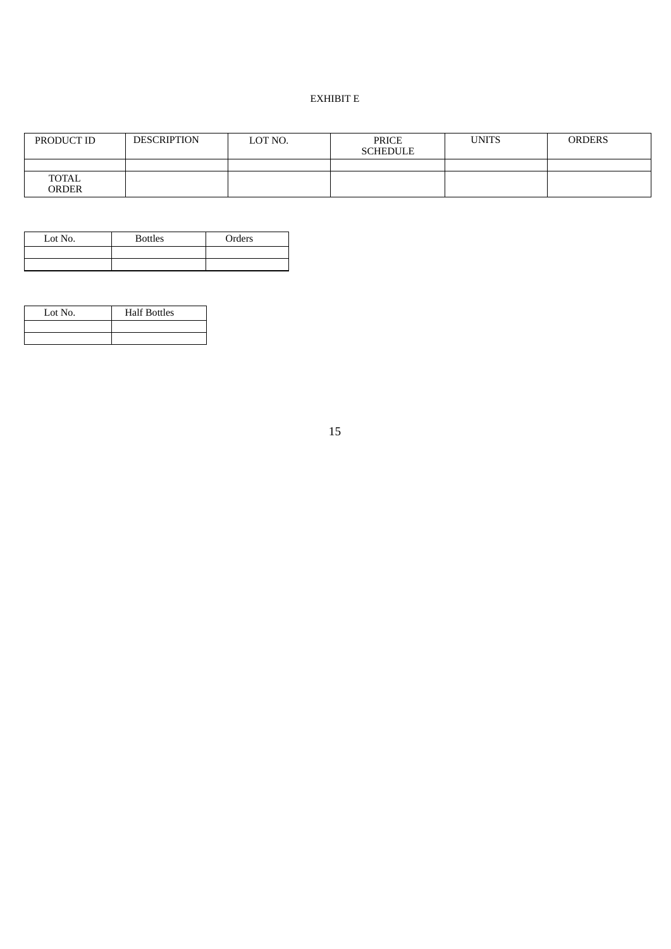# EXHIBIT E

| PRODUCT ID            | <b>DESCRIPTION</b> | LOT NO. | PRICE<br><b>SCHEDULE</b> | <b>UNITS</b> | <b>ORDERS</b> |
|-----------------------|--------------------|---------|--------------------------|--------------|---------------|
|                       |                    |         |                          |              |               |
| TOTAL<br><b>ORDER</b> |                    |         |                          |              |               |

| Lot No. | <b>Bottles</b> | Orders |
|---------|----------------|--------|
|         |                |        |
|         |                |        |

| Lot No. | <b>Half Bottles</b> |
|---------|---------------------|
|         |                     |
|         |                     |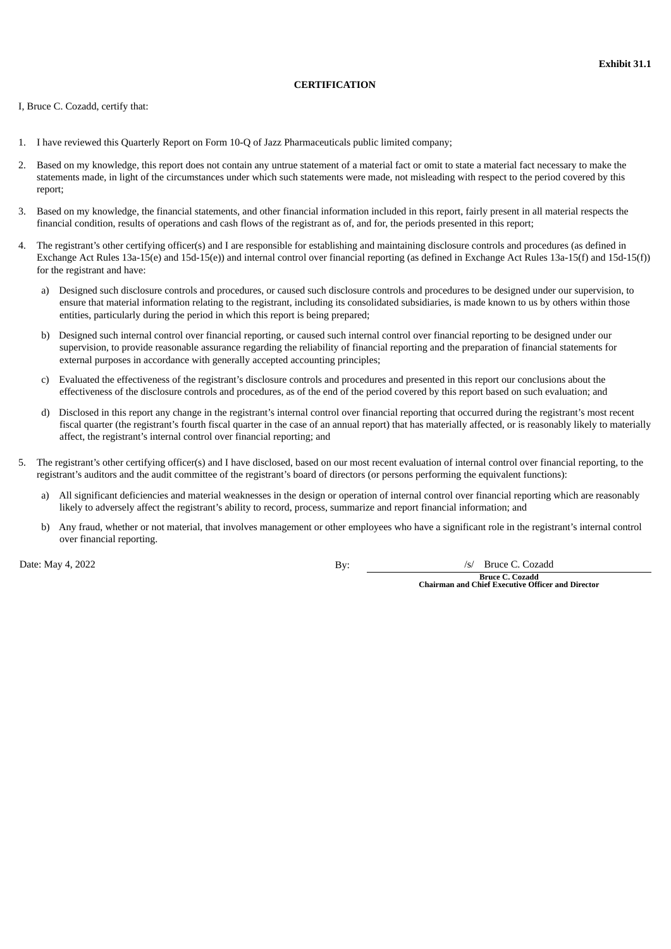# **CERTIFICATION**

<span id="page-64-0"></span>I, Bruce C. Cozadd, certify that:

- 1. I have reviewed this Quarterly Report on Form 10-Q of Jazz Pharmaceuticals public limited company;
- 2. Based on my knowledge, this report does not contain any untrue statement of a material fact or omit to state a material fact necessary to make the statements made, in light of the circumstances under which such statements were made, not misleading with respect to the period covered by this report;
- 3. Based on my knowledge, the financial statements, and other financial information included in this report, fairly present in all material respects the financial condition, results of operations and cash flows of the registrant as of, and for, the periods presented in this report;
- 4. The registrant's other certifying officer(s) and I are responsible for establishing and maintaining disclosure controls and procedures (as defined in Exchange Act Rules 13a-15(e) and 15d-15(e)) and internal control over financial reporting (as defined in Exchange Act Rules 13a-15(f) and 15d-15(f)) for the registrant and have:
	- a) Designed such disclosure controls and procedures, or caused such disclosure controls and procedures to be designed under our supervision, to ensure that material information relating to the registrant, including its consolidated subsidiaries, is made known to us by others within those entities, particularly during the period in which this report is being prepared;
	- b) Designed such internal control over financial reporting, or caused such internal control over financial reporting to be designed under our supervision, to provide reasonable assurance regarding the reliability of financial reporting and the preparation of financial statements for external purposes in accordance with generally accepted accounting principles;
	- c) Evaluated the effectiveness of the registrant's disclosure controls and procedures and presented in this report our conclusions about the effectiveness of the disclosure controls and procedures, as of the end of the period covered by this report based on such evaluation; and
	- d) Disclosed in this report any change in the registrant's internal control over financial reporting that occurred during the registrant's most recent fiscal quarter (the registrant's fourth fiscal quarter in the case of an annual report) that has materially affected, or is reasonably likely to materially affect, the registrant's internal control over financial reporting; and
- 5. The registrant's other certifying officer(s) and I have disclosed, based on our most recent evaluation of internal control over financial reporting, to the registrant's auditors and the audit committee of the registrant's board of directors (or persons performing the equivalent functions):
	- a) All significant deficiencies and material weaknesses in the design or operation of internal control over financial reporting which are reasonably likely to adversely affect the registrant's ability to record, process, summarize and report financial information; and
	- b) Any fraud, whether or not material, that involves management or other employees who have a significant role in the registrant's internal control over financial reporting.

Date: May 4, 2022 **By:** /s/ Bruce C. Cozadd

**Bruce C. Cozadd Chairman and Chief Executive Officer and Director**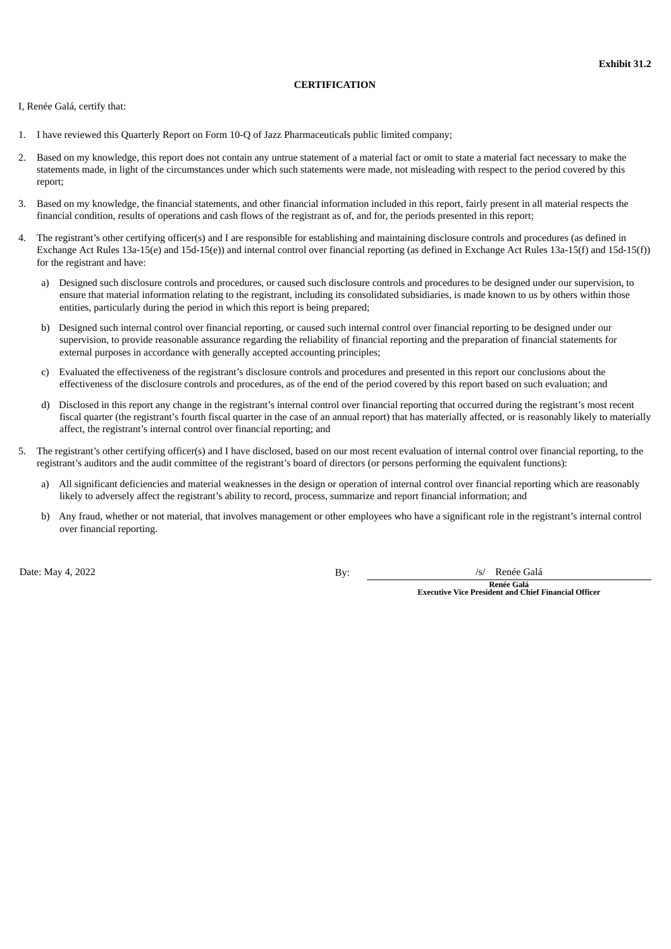# **CERTIFICATION**

<span id="page-65-0"></span>I, Renée Galá, certify that:

- 1. I have reviewed this Quarterly Report on Form 10-Q of Jazz Pharmaceuticals public limited company;
- 2. Based on my knowledge, this report does not contain any untrue statement of a material fact or omit to state a material fact necessary to make the statements made, in light of the circumstances under which such statements were made, not misleading with respect to the period covered by this report;
- 3. Based on my knowledge, the financial statements, and other financial information included in this report, fairly present in all material respects the financial condition, results of operations and cash flows of the registrant as of, and for, the periods presented in this report;
- 4. The registrant's other certifying officer(s) and I are responsible for establishing and maintaining disclosure controls and procedures (as defined in Exchange Act Rules 13a-15(e) and 15d-15(e)) and internal control over financial reporting (as defined in Exchange Act Rules 13a-15(f) and 15d-15(f)) for the registrant and have:
	- a) Designed such disclosure controls and procedures, or caused such disclosure controls and procedures to be designed under our supervision, to ensure that material information relating to the registrant, including its consolidated subsidiaries, is made known to us by others within those entities, particularly during the period in which this report is being prepared;
	- b) Designed such internal control over financial reporting, or caused such internal control over financial reporting to be designed under our supervision, to provide reasonable assurance regarding the reliability of financial reporting and the preparation of financial statements for external purposes in accordance with generally accepted accounting principles;
	- c) Evaluated the effectiveness of the registrant's disclosure controls and procedures and presented in this report our conclusions about the effectiveness of the disclosure controls and procedures, as of the end of the period covered by this report based on such evaluation; and
	- d) Disclosed in this report any change in the registrant's internal control over financial reporting that occurred during the registrant's most recent fiscal quarter (the registrant's fourth fiscal quarter in the case of an annual report) that has materially affected, or is reasonably likely to materially affect, the registrant's internal control over financial reporting; and
- 5. The registrant's other certifying officer(s) and I have disclosed, based on our most recent evaluation of internal control over financial reporting, to the registrant's auditors and the audit committee of the registrant's board of directors (or persons performing the equivalent functions):
	- a) All significant deficiencies and material weaknesses in the design or operation of internal control over financial reporting which are reasonably likely to adversely affect the registrant's ability to record, process, summarize and report financial information; and
	- b) Any fraud, whether or not material, that involves management or other employees who have a significant role in the registrant's internal control over financial reporting.

Date: May 4, 2022 **By:** /s/ Renée Galá

**Renée Galá Executive Vice President and Chief Financial Officer**